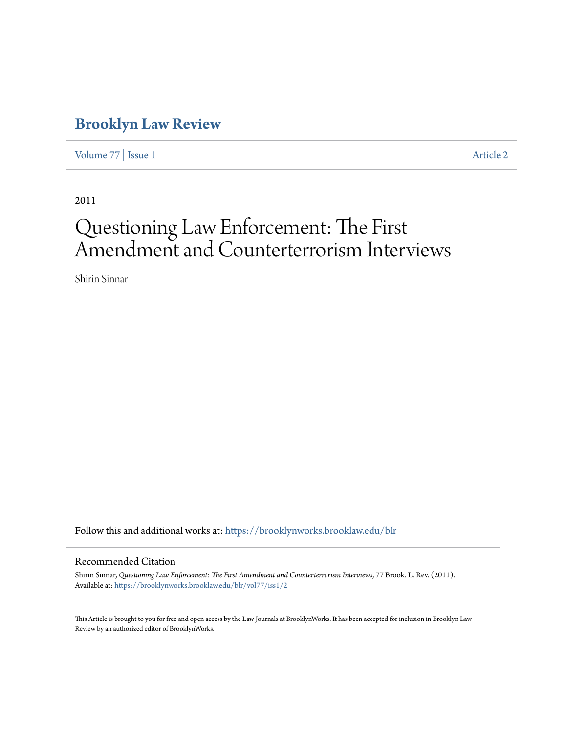# **[Brooklyn Law Review](https://brooklynworks.brooklaw.edu/blr?utm_source=brooklynworks.brooklaw.edu%2Fblr%2Fvol77%2Fiss1%2F2&utm_medium=PDF&utm_campaign=PDFCoverPages)**

[Volume 77](https://brooklynworks.brooklaw.edu/blr/vol77?utm_source=brooklynworks.brooklaw.edu%2Fblr%2Fvol77%2Fiss1%2F2&utm_medium=PDF&utm_campaign=PDFCoverPages) | [Issue 1](https://brooklynworks.brooklaw.edu/blr/vol77/iss1?utm_source=brooklynworks.brooklaw.edu%2Fblr%2Fvol77%2Fiss1%2F2&utm_medium=PDF&utm_campaign=PDFCoverPages) [Article 2](https://brooklynworks.brooklaw.edu/blr/vol77/iss1/2?utm_source=brooklynworks.brooklaw.edu%2Fblr%2Fvol77%2Fiss1%2F2&utm_medium=PDF&utm_campaign=PDFCoverPages)

2011

# Questioning Law Enforcement: The First Amendment and Counterterrorism Interviews

Shirin Sinnar

Follow this and additional works at: [https://brooklynworks.brooklaw.edu/blr](https://brooklynworks.brooklaw.edu/blr?utm_source=brooklynworks.brooklaw.edu%2Fblr%2Fvol77%2Fiss1%2F2&utm_medium=PDF&utm_campaign=PDFCoverPages)

# Recommended Citation

Shirin Sinnar, *Questioning Law Enforcement: The First Amendment and Counterterrorism Interviews*, 77 Brook. L. Rev. (2011). Available at: [https://brooklynworks.brooklaw.edu/blr/vol77/iss1/2](https://brooklynworks.brooklaw.edu/blr/vol77/iss1/2?utm_source=brooklynworks.brooklaw.edu%2Fblr%2Fvol77%2Fiss1%2F2&utm_medium=PDF&utm_campaign=PDFCoverPages)

This Article is brought to you for free and open access by the Law Journals at BrooklynWorks. It has been accepted for inclusion in Brooklyn Law Review by an authorized editor of BrooklynWorks.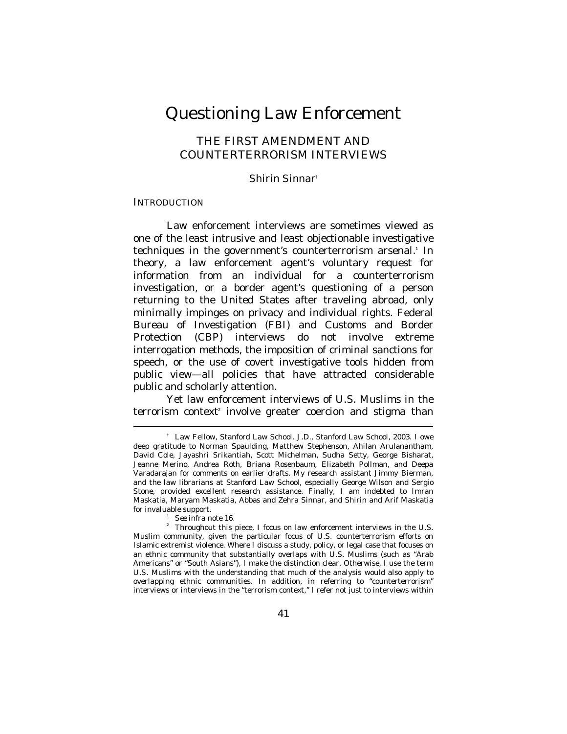# Questioning Law Enforcement

# THE FIRST AMENDMENT AND COUNTERTERRORISM INTERVIEWS

*Shirin Sinnar*†

#### **INTRODUCTION**

Law enforcement interviews are sometimes viewed as one of the least intrusive and least objectionable investigative techniques in the government's counterterrorism arsenal.<sup>1</sup> In theory, a law enforcement agent's voluntary request for information from an individual for a counterterrorism investigation, or a border agent's questioning of a person returning to the United States after traveling abroad, only minimally impinges on privacy and individual rights. Federal Bureau of Investigation (FBI) and Customs and Border Protection (CBP) interviews do not involve extreme interrogation methods, the imposition of criminal sanctions for speech, or the use of covert investigative tools hidden from public view—all policies that have attracted considerable public and scholarly attention.

Yet law enforcement interviews of U.S. Muslims in the terrorism context<sup>2</sup> involve greater coercion and stigma than

<sup>†</sup> Law Fellow, Stanford Law School. J.D., Stanford Law School, 2003. I owe deep gratitude to Norman Spaulding, Matthew Stephenson, Ahilan Arulanantham, David Cole, Jayashri Srikantiah, Scott Michelman, Sudha Setty, George Bisharat, Jeanne Merino, Andrea Roth, Briana Rosenbaum, Elizabeth Pollman, and Deepa Varadarajan for comments on earlier drafts. My research assistant Jimmy Bierman, and the law librarians at Stanford Law School, especially George Wilson and Sergio Stone, provided excellent research assistance. Finally, I am indebted to Imran Maskatia, Maryam Maskatia, Abbas and Zehra Sinnar, and Shirin and Arif Maskatia for invaluable support.<br> $\frac{1}{2}$  See infra note 16.

<sup>&</sup>lt;sup>1</sup> *See infra* note 16.<br><sup>2</sup> Throughout this piece, I focus on law enforcement interviews in the U.S. Muslim community, given the particular focus of U.S. counterterrorism efforts on Islamic extremist violence. Where I discuss a study, policy, or legal case that focuses on an ethnic community that substantially overlaps with U.S. Muslims (such as "Arab Americans" or "South Asians"), I make the distinction clear. Otherwise, I use the term *U.S. Muslims* with the understanding that much of the analysis would also apply to overlapping ethnic communities. In addition, in referring to "counterterrorism" interviews or interviews in the "terrorism context," I refer not just to interviews within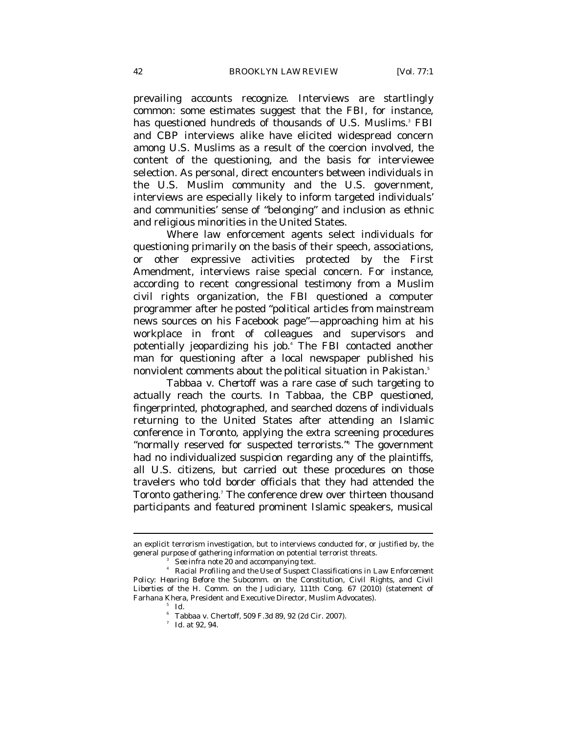prevailing accounts recognize. Interviews are startlingly common: some estimates suggest that the FBI, for instance, has questioned hundreds of thousands of U.S. Muslims.<sup>3</sup> FBI and CBP interviews alike have elicited widespread concern among U.S. Muslims as a result of the coercion involved, the content of the questioning, and the basis for interviewee selection. As personal, direct encounters between individuals in the U.S. Muslim community and the U.S. government, interviews are especially likely to inform targeted individuals' and communities' sense of "belonging" and inclusion as ethnic and religious minorities in the United States.

Where law enforcement agents select individuals for questioning primarily on the basis of their speech, associations, or other expressive activities protected by the First Amendment, interviews raise special concern. For instance, according to recent congressional testimony from a Muslim civil rights organization, the FBI questioned a computer programmer after he posted "political articles from mainstream news sources on his Facebook page"—approaching him at his workplace in front of colleagues and supervisors and potentially jeopardizing his job.4 The FBI contacted another man for questioning after a local newspaper published his nonviolent comments about the political situation in Pakistan.<sup>5</sup>

*Tabbaa v. Chertoff* was a rare case of such targeting to actually reach the courts. In *Tabbaa*, the CBP questioned, fingerprinted, photographed, and searched dozens of individuals returning to the United States after attending an Islamic conference in Toronto, applying the extra screening procedures "normally reserved for suspected terrorists."6 The government had no individualized suspicion regarding any of the plaintiffs, all U.S. citizens, but carried out these procedures on those travelers who told border officials that they had attended the Toronto gathering.<sup>7</sup> The conference drew over thirteen thousand participants and featured prominent Islamic speakers, musical

an explicit terrorism investigation, but to interviews conducted for, or justified by, the general purpose of gathering information on potential terrorist threats.<br> $\frac{3}{2}$  See infra note 20 and accompanying text.

<sup>&</sup>lt;sup>4</sup> *Racial Profiling and the Use of Suspect Classifications in Law Enforcement Policy: Hearing Before the Subcomm. on the Constitution, Civil Rights, and Civil Liberties of the H. Comm. on the Judiciary*, 111th Cong. 67 (2010) (statement of Farhana Khera, President and Executive Director, Muslim Advocates). 5

*Id.*

<sup>6</sup> Tabbaa v. Chertoff, 509 F.3d 89, 92 (2d Cir. 2007).

<sup>7</sup>  *Id.* at 92, 94.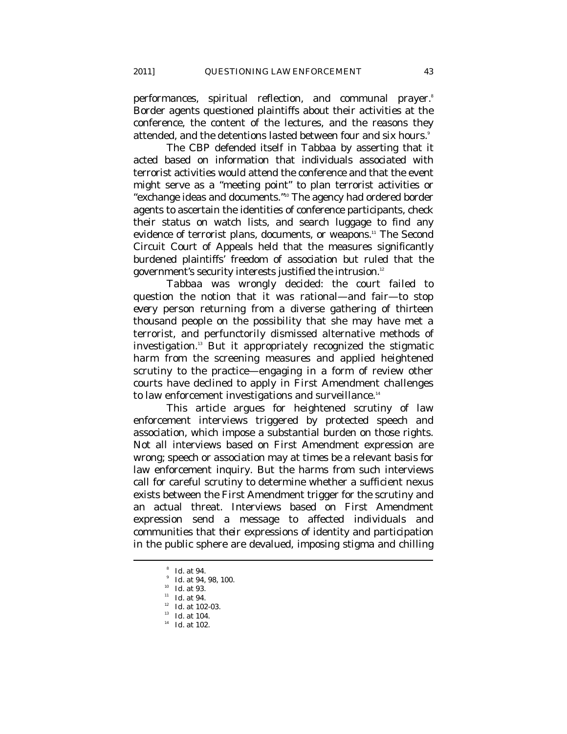performances, spiritual reflection, and communal prayer.<sup>8</sup> Border agents questioned plaintiffs about their activities at the conference, the content of the lectures, and the reasons they attended, and the detentions lasted between four and six hours.<sup>9</sup>

The CBP defended itself in *Tabbaa* by asserting that it acted based on information that individuals associated with terrorist activities would attend the conference and that the event might serve as a "meeting point" to plan terrorist activities or "exchange ideas and documents."10 The agency had ordered border agents to ascertain the identities of conference participants, check their status on watch lists, and search luggage to find any evidence of terrorist plans, documents, or weapons.<sup>11</sup> The Second Circuit Court of Appeals held that the measures significantly burdened plaintiffs' freedom of association but ruled that the government's security interests justified the intrusion.<sup>12</sup>

*Tabbaa* was wrongly decided: the court failed to question the notion that it was rational—and fair—to stop *every* person returning from a diverse gathering of thirteen thousand people on the possibility that she may have met a terrorist, and perfunctorily dismissed alternative methods of investigation.13 But it appropriately recognized the stigmatic harm from the screening measures and applied heightened scrutiny to the practice—engaging in a form of review other courts have declined to apply in First Amendment challenges to law enforcement investigations and surveillance.<sup>14</sup>

This article argues for heightened scrutiny of law enforcement interviews triggered by protected speech and association, which impose a substantial burden on those rights. Not all interviews based on First Amendment expression are wrong; speech or association may at times be a relevant basis for law enforcement inquiry. But the harms from such interviews call for careful scrutiny to determine whether a sufficient nexus exists between the First Amendment trigger for the scrutiny and an actual threat. Interviews based on First Amendment expression send a message to affected individuals and communities that *their* expressions of identity and participation in the public sphere are devalued, imposing stigma and chilling

- 
- 

 $\delta$  Id. at 94.

<sup>&</sup>lt;sup>9</sup> Id. at 94, 98, 100.

<sup>&</sup>lt;sup>10</sup> *Id.* at 93.<br><sup>11</sup> *Id.* at 94.<br><sup>12</sup> *Id.* at 102-03.<br><sup>13</sup> *Id.* at 104.

<sup>&</sup>lt;sup>14</sup> *Id.* at 102.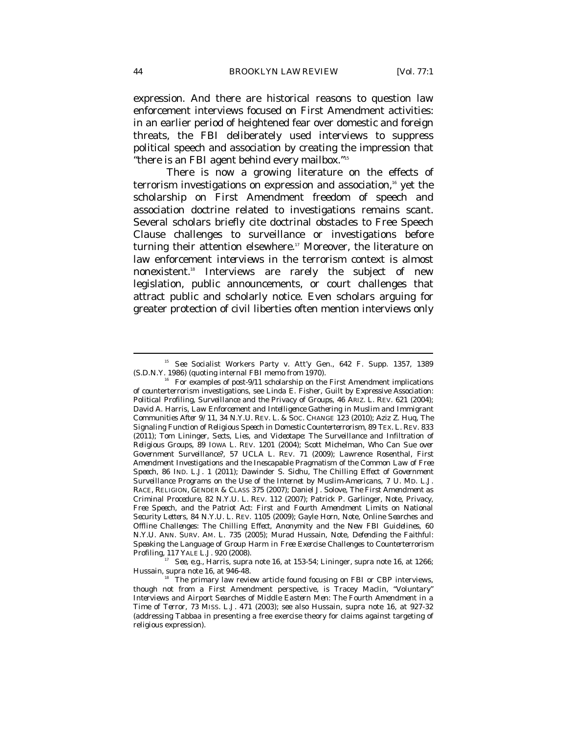expression. And there are historical reasons to question law enforcement interviews focused on First Amendment activities: in an earlier period of heightened fear over domestic and foreign threats, the FBI deliberately used interviews to suppress political speech and association by creating the impression that "there is an FBI agent behind every mailbox."15

There is now a growing literature on the effects of terrorism investigations on expression and association,<sup>16</sup> yet the scholarship on First Amendment freedom of speech and association doctrine related to investigations remains scant. Several scholars briefly cite doctrinal obstacles to Free Speech Clause challenges to surveillance or investigations before turning their attention elsewhere.<sup>17</sup> Moreover, the literature on law enforcement *interviews* in the terrorism context is almost nonexistent.18 Interviews are rarely the subject of new legislation, public announcements, or court challenges that attract public and scholarly notice. Even scholars arguing for greater protection of civil liberties often mention interviews only

<sup>&</sup>lt;sup>15</sup> See Socialist Workers Party v. Att'y Gen., 642 F. Supp. 1357, 1389 (S.D.N.Y. 1986) (quoting internal FBI memo from 1970).

For examples of post-9/11 scholarship on the First Amendment implications of counterterrorism investigations, see Linda E. Fisher, *Guilt by Expressive Association: Political Profiling, Surveillance and the Privacy of Groups*, 46 ARIZ. L. REV. 621 (2004); David A. Harris, *Law Enforcement and Intelligence Gathering in Muslim and Immigrant Communities After 9/11*, 34 N.Y.U. REV. L. & SOC. CHANGE 123 (2010); Aziz Z. Huq, *The Signaling Function of Religious Speech in Domestic Counterterrorism*, 89 TEX. L. REV. 833 (2011); Tom Lininger, *Sects, Lies, and Videotape: The Surveillance and Infiltration of Religious Groups*, 89 IOWA L. REV. 1201 (2004); Scott Michelman, *Who Can Sue over Government Surveillance?*, 57 UCLA L. REV. 71 (2009); Lawrence Rosenthal, *First Amendment Investigations and the Inescapable Pragmatism of the Common Law of Free Speech*, 86 IND. L.J. 1 (2011); Dawinder S. Sidhu, *The Chilling Effect of Government Surveillance Programs on the Use of the Internet by Muslim-Americans*, 7 U. MD. L.J. RACE, RELIGION, GENDER & CLASS 375 (2007); Daniel J. Solove, *The First Amendment as Criminal Procedure*, 82 N.Y.U. L. REV. 112 (2007); Patrick P. Garlinger, Note, *Privacy, Free Speech, and the Patriot Act: First and Fourth Amendment Limits on National Security Letters*, 84 N.Y.U. L. REV. 1105 (2009); Gayle Horn, Note, *Online Searches and Offline Challenges: The Chilling Effect, Anonymity and the New FBI Guidelines*, 60 N.Y.U. ANN. SURV. AM. L. 735 (2005); Murad Hussain, Note, *Defending the Faithful: Speaking the Language of Group Harm in Free Exercise Challenges to Counterterrorism* 

*Profiling*, *Profiling*, *Profiling*, *Profiling*, *Profiling*, *Supra* note 16, at 1266; Hussain, *supra* note 16, at 946-48.

<sup>&</sup>lt;sup>18</sup> The primary law review article found focusing on FBI or CBP interviews, though not from a First Amendment perspective, is Tracey Maclin, *"Voluntary" Interviews and Airport Searches of Middle Eastern Men: The Fourth Amendment in a Time of Terror*, 73 MISS. L.J. 471 (2003); *see also* Hussain, *supra* note 16, at 927-32 (addressing *Tabbaa* in presenting a free exercise theory for claims against targeting of religious expression).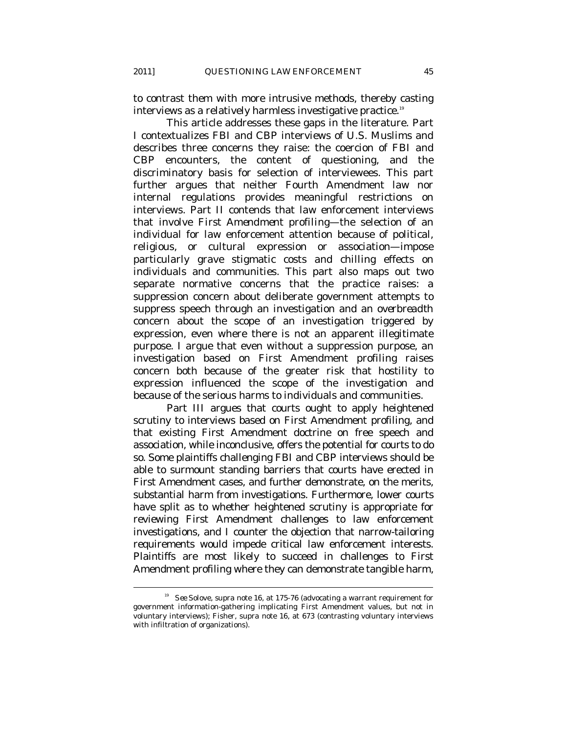to contrast them with more intrusive methods, thereby casting interviews as a relatively harmless investigative practice.<sup>19</sup>

This article addresses these gaps in the literature. Part I contextualizes FBI and CBP interviews of U.S. Muslims and describes three concerns they raise: the coercion of FBI and CBP encounters, the content of questioning, and the discriminatory basis for selection of interviewees. This part further argues that neither Fourth Amendment law nor internal regulations provides meaningful restrictions on interviews. Part II contends that law enforcement interviews that involve *First Amendment profiling*—the selection of an individual for law enforcement attention because of political, religious, or cultural expression or association—impose particularly grave stigmatic costs and chilling effects on individuals and communities. This part also maps out two separate normative concerns that the practice raises: a *suppression* concern about deliberate government attempts to suppress speech through an investigation and an *overbreadth* concern about the scope of an investigation triggered by expression, even where there is not an apparent illegitimate purpose. I argue that even without a suppression purpose, an investigation based on First Amendment profiling raises concern both because of the greater risk that hostility to expression influenced the scope of the investigation and because of the serious harms to individuals and communities.

Part III argues that courts ought to apply heightened scrutiny to interviews based on First Amendment profiling, and that existing First Amendment doctrine on free speech and association, while inconclusive, offers the potential for courts to do so. Some plaintiffs challenging FBI and CBP interviews should be able to surmount standing barriers that courts have erected in First Amendment cases, and further demonstrate, on the merits, substantial harm from investigations. Furthermore, lower courts have split as to whether heightened scrutiny is appropriate for reviewing First Amendment challenges to law enforcement investigations, and I counter the objection that narrow-tailoring requirements would impede critical law enforcement interests. Plaintiffs are most likely to succeed in challenges to First Amendment profiling where they can demonstrate tangible harm,

<sup>19</sup> *See* Solove, *supra* note 16, at 175-76 (advocating a warrant requirement for government information-gathering implicating First Amendment values, but not in voluntary interviews); Fisher, *supra* note 16, at 673 (contrasting voluntary interviews with infiltration of organizations).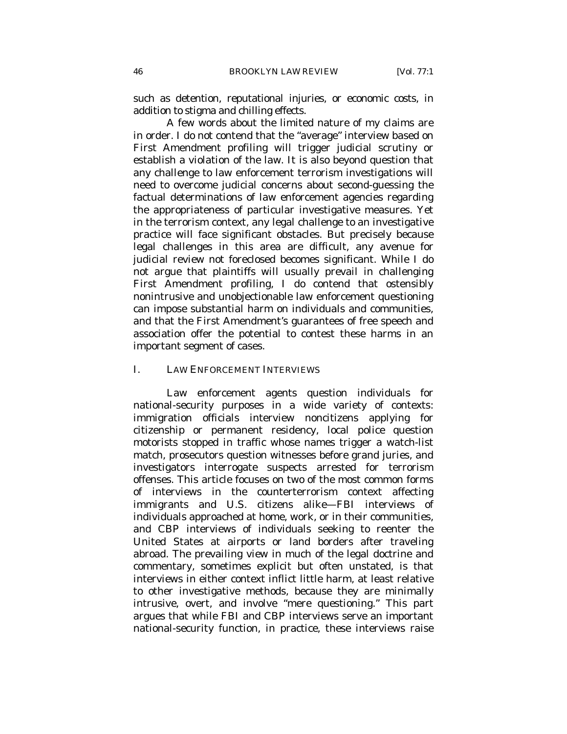such as detention, reputational injuries, or economic costs, in addition to stigma and chilling effects.

A few words about the limited nature of my claims are in order. I do not contend that the "average" interview based on First Amendment profiling will trigger judicial scrutiny or establish a violation of the law. It is also beyond question that any challenge to law enforcement terrorism investigations will need to overcome judicial concerns about second-guessing the factual determinations of law enforcement agencies regarding the appropriateness of particular investigative measures. Yet in the terrorism context, any legal challenge to an investigative practice will face significant obstacles. But precisely because legal challenges in this area are difficult, any avenue for judicial review not foreclosed becomes significant. While I do not argue that plaintiffs will usually prevail in challenging First Amendment profiling, I do contend that ostensibly nonintrusive and unobjectionable law enforcement questioning can impose substantial harm on individuals and communities, and that the First Amendment's guarantees of free speech and association offer the potential to contest these harms in an important segment of cases.

#### I. LAW ENFORCEMENT INTERVIEWS

Law enforcement agents question individuals for national-security purposes in a wide variety of contexts: immigration officials interview noncitizens applying for citizenship or permanent residency, local police question motorists stopped in traffic whose names trigger a watch-list match, prosecutors question witnesses before grand juries, and investigators interrogate suspects arrested for terrorism offenses. This article focuses on two of the most common forms of interviews in the counterterrorism context affecting immigrants and U.S. citizens alike—FBI interviews of individuals approached at home, work, or in their communities, and CBP interviews of individuals seeking to reenter the United States at airports or land borders after traveling abroad. The prevailing view in much of the legal doctrine and commentary, sometimes explicit but often unstated, is that interviews in either context inflict little harm, at least relative to other investigative methods, because they are minimally intrusive, overt, and involve "mere questioning." This part argues that while FBI and CBP interviews serve an important national-security function, in practice, these interviews raise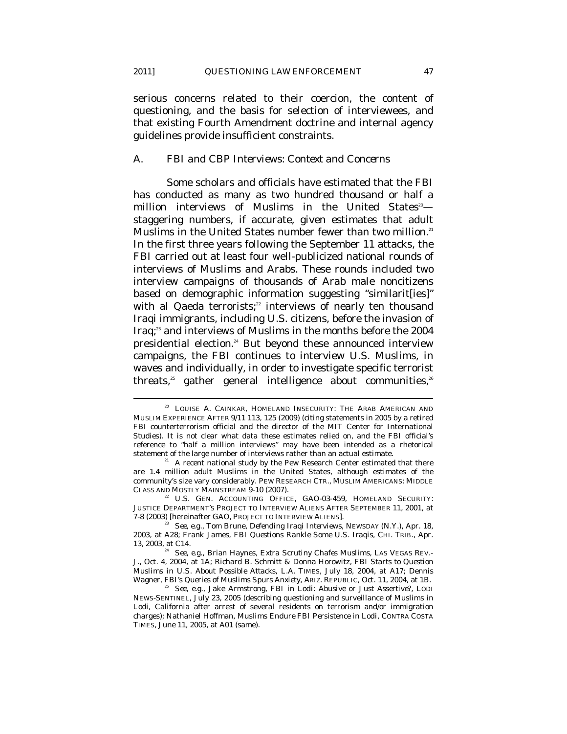$\overline{a}$ 

serious concerns related to their coercion, the content of questioning, and the basis for selection of interviewees, and that existing Fourth Amendment doctrine and internal agency guidelines provide insufficient constraints.

#### *A. FBI and CBP Interviews: Context and Concerns*

Some scholars and officials have estimated that the FBI has conducted as many as two hundred thousand or half a million interviews of Muslims in the United States<sup>20</sup> staggering numbers, if accurate, given estimates that adult Muslims in the United States number fewer than two million.<sup>21</sup> In the first three years following the September 11 attacks, the FBI carried out at least four well-publicized national rounds of interviews of Muslims and Arabs. These rounds included two interview campaigns of thousands of Arab male noncitizens based on demographic information suggesting "similarit[ies]" with al Qaeda terrorists;<sup>22</sup> interviews of nearly ten thousand Iraqi immigrants, including U.S. citizens, before the invasion of Iraq;<sup>23</sup> and interviews of Muslims in the months before the 2004 presidential election.<sup>24</sup> But beyond these announced interview campaigns, the FBI continues to interview U.S. Muslims, in waves and individually, in order to investigate specific terrorist threats,<sup>25</sup> gather general intelligence about communities,<sup>26</sup>

<sup>&</sup>lt;sup>20</sup> LOUISE A. CAINKAR, HOMELAND INSECURITY: THE ARAB AMERICAN AND MUSLIM EXPERIENCE AFTER 9/11 113, 125 (2009) (citing statements in 2005 by a retired FBI counterterrorism official and the director of the MIT Center for International Studies). It is not clear what data these estimates relied on, and the FBI official's reference to "half a million interviews" may have been intended as a rhetorical statement of the large number of interviews rather than an actual estimate.<br><sup>21</sup> A recent national study by the Pew Research Center estimated that there

are 1.4 million adult Muslims in the United States, although estimates of the community's size vary considerably. PEW RESEARCH CTR., MUSLIM AMERICANS: MIDDLE

U.S. GEN. ACCOUNTING OFFICE, GAO-03-459, HOMELAND SECURITY: JUSTICE DEPARTMENT'S PROJECT TO INTERVIEW ALIENS AFTER SEPTEMBER 11, 2001, at

<sup>&</sup>lt;sup>23</sup> *See, e.g.*, Tom Brune, *Defending Iraqi Interviews*, NEWSDAY (N.Y.), Apr. 18, 2003, at A28; Frank James, *FBI Questions Rankle Some U.S. Iraqis*, CHI. TRIB., Apr. 13, 2003, at C14. 24 *See, e.g.*, Brian Haynes, *Extra Scrutiny Chafes Muslims*, LAS VEGAS REV.-

J., Oct. 4, 2004, at 1A; Richard B. Schmitt & Donna Horowitz, *FBI Starts to Question Muslims in U.S. About Possible Attacks*, L.A. TIMES, July 18, 2004, at A17; Dennis

<sup>&</sup>lt;sup>25</sup> See, e.g., Jake Armstrong, *FBI in Lodi: Abusive or Just Assertive*?, LODI NEWS-SENTINEL, July 23, 2005 (describing questioning and surveillance of Muslims in Lodi, California after arrest of several residents on terrorism and/or immigration charges); Nathaniel Hoffman, *Muslims Endure FBI Persistence in Lodi*, CONTRA COSTA TIMES, June 11, 2005, at A01 (same).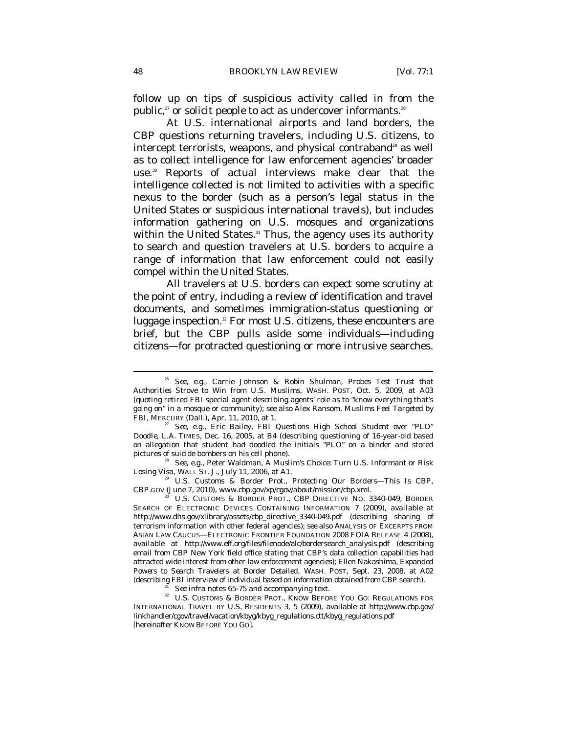follow up on tips of suspicious activity called in from the public,<sup>27</sup> or solicit people to act as undercover informants.<sup>28</sup>

At U.S. international airports and land borders, the CBP questions returning travelers, including U.S. citizens, to intercept terrorists, weapons, and physical contraband<sup>29</sup> as well as to collect intelligence for law enforcement agencies' broader use.<sup>30</sup> Reports of actual interviews make clear that the intelligence collected is not limited to activities with a specific nexus to the border (such as a person's legal status in the United States or suspicious international travels), but includes information gathering on U.S. mosques and organizations within the United States.<sup>31</sup> Thus, the agency uses its authority to search and question travelers at U.S. borders to acquire a range of information that law enforcement could not easily compel within the United States.

All travelers at U.S. borders can expect some scrutiny at the point of entry, including a review of identification and travel documents, and sometimes immigration-status questioning or luggage inspection.<sup>32</sup> For most U.S. citizens, these encounters are brief, but the CBP pulls aside some individuals—including citizens—for protracted questioning or more intrusive searches.

CBP.GOV (June 7, 2010), www.cbp.gov/xp/cgov/about/mission/cbp.xml.

U.S. CUSTOMS & BORDER PROT., CBP DIRECTIVE NO. 3340-049, BORDER SEARCH OF ELECTRONIC DEVICES CONTAINING INFORMATION 7 (2009), *available at*  http://www.dhs.gov/xlibrary/assets/cbp\_directive\_3340-049.pdf (describing sharing of terrorism information with other federal agencies); *see also* ANALYSIS OF EXCERPTS FROM ASIAN LAW CAUCUS—ELECTRONIC FRONTIER FOUNDATION 2008 FOIA RELEASE 4 (2008), *available at* http://www.eff.org/files/filenode/alc/bordersearch\_analysis.pdf (describing email from CBP New York field office stating that CBP's data collection capabilities had attracted wide interest from other law enforcement agencies); Ellen Nakashima, *Expanded Powers to Search Travelers at Border Detailed*, WASH. POST, Sept. 23, 2008, at A02 (describing FBI interview of individual based on information obtained from CBP search).

<sup>31</sup> *See infra* notes 65-75 and accompanying text.<br><sup>32</sup> U.S. CUSTOMS & BORDER PROT., KNOW BEFORE YOU GO: REGULATIONS FOR INTERNATIONAL TRAVEL BY U.S. RESIDENTS 3, 5 (2009), *available at* http://www.cbp.gov/ linkhandler/cgov/travel/vacation/kbyg/kbyg\_regulations.ctt/kbyg\_regulations.pdf [hereinafter KNOW BEFORE YOU GO].

<sup>26</sup> *See, e.g.*, Carrie Johnson & Robin Shulman, *Probes Test Trust that Authorities Strove to Win from U.S. Muslims*, WASH. POST, Oct. 5, 2009, at A03 (quoting retired FBI special agent describing agents' role as to "know everything that's going on" in a mosque or community); *see also* Alex Ransom, *Muslims Feel Targeted by* 

*See, e.g., Eric Bailey, FBI Questions High School Student over "PLO" Doodle*, L.A. TIMES, Dec. 16, 2005, at B4 (describing questioning of 16-year-old based on allegation that student had doodled the initials "PLO" on a binder and stored pictures of suicide bombers on his cell phone). 28 *See, e.g.*, Peter Waldman, *A Muslim's Choice: Turn U.S. Informant or Risk* 

*Losing Visa*, WALL ST. J., July 11, 2006, at A1. 29 U.S. Customs & Border Prot., *Protecting Our Borders—This Is CBP*,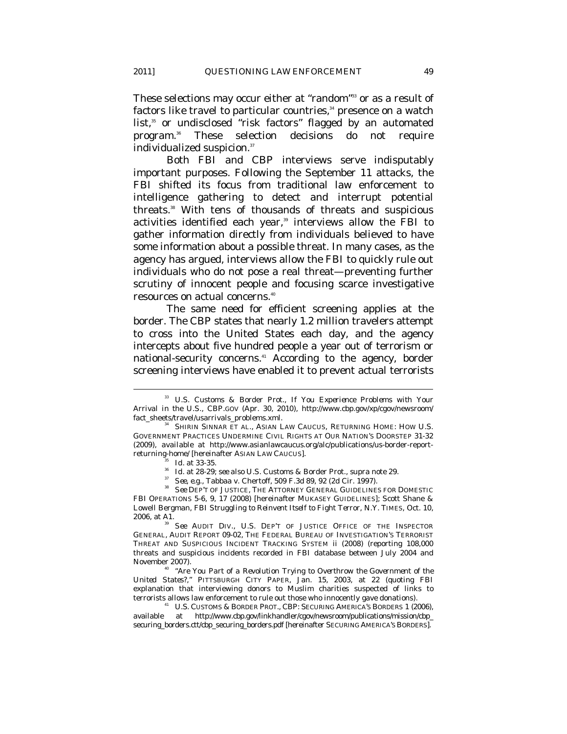These selections may occur either at "random"<sup>33</sup> or as a result of factors like travel to particular countries,<sup>34</sup> presence on a watch list,<sup>35</sup> or undisclosed "risk factors" flagged by an automated program.36 These selection decisions do not require individualized suspicion.<sup>37</sup>

Both FBI and CBP interviews serve indisputably important purposes. Following the September 11 attacks, the FBI shifted its focus from traditional law enforcement to intelligence gathering to detect and interrupt potential threats.38 With tens of thousands of threats and suspicious activities identified each year,<sup>39</sup> interviews allow the FBI to gather information directly from individuals believed to have some information about a possible threat. In many cases, as the agency has argued, interviews allow the FBI to quickly rule out individuals who do not pose a real threat—preventing further scrutiny of innocent people and focusing scarce investigative resources on actual concerns.40

The same need for efficient screening applies at the border. The CBP states that nearly 1.2 million travelers attempt to cross into the United States each day, and the agency intercepts about five hundred people a year out of terrorism or national-security concerns.<sup>41</sup> According to the agency, border screening interviews have enabled it to prevent actual terrorists

<sup>33</sup> U.S. Customs & Border Prot., *If You Experience Problems with Your Arrival in the U.S.*, CBP.GOV (Apr. 30, 2010), http://www.cbp.gov/xp/cgov/newsroom/ fact\_sheets/travel/usarrivals\_problems.xml. 34 SHIRIN SINNAR ET AL., ASIAN LAW CAUCUS, RETURNING HOME: HOW U.S.

GOVERNMENT PRACTICES UNDERMINE CIVIL RIGHTS AT OUR NATION'S DOORSTEP 31-32 (2009), *available at* http://www.asianlawcaucus.org/alc/publications/us-border-report-

returning-home/ [hereinafter ASIAN LAW CAUCUS].<br>
<sup>35</sup> *Id.* at 33-35.<br>
<sup>36</sup> *Id.* at 28-29; *see also* U.S. Customs & Border Prot., *supra* note 29.<br>
<sup>37</sup> *See, e.g.*, Tabbaa v. Chertoff, 509 F.3d 89, 92 (2d Cir. 1997).<br> FBI OPERATIONS 5-6, 9, 17 (2008) [hereinafter MUKASEY GUIDELINES]; Scott Shane & Lowell Bergman, *FBI Struggling to Reinvent Itself to Fight Terror*, N.Y. TIMES, Oct. 10, 2006, at A1. 39 *See* AUDIT DIV., U.S. DEP'T OF JUSTICE OFFICE OF THE INSPECTOR

GENERAL, AUDIT REPORT 09-02, THE FEDERAL BUREAU OF INVESTIGATION'S TERRORIST THREAT AND SUSPICIOUS INCIDENT TRACKING SYSTEM ii (2008) (reporting 108,000 threats and suspicious incidents recorded in FBI database between July 2004 and November 2007). 40 *"Are You Part of a Revolution Trying to Overthrow the Government of the* 

*United States?,"* PITTSBURGH CITY PAPER, Jan. 15, 2003, at 22 (quoting FBI explanation that interviewing donors to Muslim charities suspected of links to terrorists allows law enforcement to rule out those who innocently gave donations). 41 U.S. CUSTOMS & BORDER PROT., CBP: SECURING AMERICA'S BORDERS 1 (2006),

*available at* http://www.cbp.gov/linkhandler/cgov/newsroom/publications/mission/cbp\_ securing\_borders.ctt/cbp\_securing\_borders.pdf [hereinafter SECURING AMERICA'S BORDERS].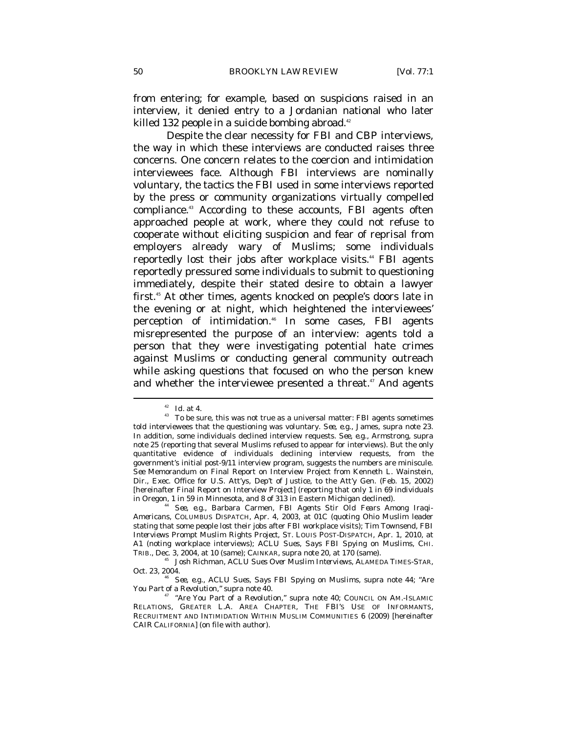from entering; for example, based on suspicions raised in an interview, it denied entry to a Jordanian national who later killed 132 people in a suicide bombing abroad.<sup>42</sup>

Despite the clear necessity for FBI and CBP interviews, the way in which these interviews are conducted raises three concerns. One concern relates to the coercion and intimidation interviewees face. Although FBI interviews are nominally voluntary, the tactics the FBI used in some interviews reported by the press or community organizations virtually compelled compliance.<sup>43</sup> According to these accounts, FBI agents often approached people at work, where they could not refuse to cooperate without eliciting suspicion and fear of reprisal from employers already wary of Muslims; some individuals reportedly lost their jobs after workplace visits.<sup>44</sup> FBI agents reportedly pressured some individuals to submit to questioning immediately, despite their stated desire to obtain a lawyer first.45 At other times, agents knocked on people's doors late in the evening or at night, which heightened the interviewees' perception of intimidation.<sup>46</sup> In some cases, FBI agents misrepresented the purpose of an interview: agents told a person that they were investigating potential hate crimes against Muslims or conducting general community outreach while asking questions that focused on who the person knew and whether the interviewee presented a threat.<sup>47</sup> And agents

 $\stackrel{\mbox{\tiny{42}}}{ }$  *Id.* at 4. <br>  $\stackrel{\mbox{\tiny{43}}}{ }$  To be sure, this was not true as a universal matter: FBI agents sometimes told interviewees that the questioning was voluntary. *See, e.g.*, James, *supra* note 23. In addition, some individuals declined interview requests. *See, e.g.*, Armstrong, *supra* note 25 (reporting that several Muslims refused to appear for interviews). But the only quantitative evidence of individuals declining interview requests, from the government's initial post-9/11 interview program, suggests the numbers are miniscule. *See* Memorandum on Final Report on Interview Project from Kenneth L. Wainstein, Dir., Exec. Office for U.S. Att'ys, Dep't of Justice, to the Att'y Gen. (Feb. 15, 2002) [hereinafter Final Report on Interview Project] (reporting that only 1 in 69 individuals in Oregon, 1 in 59 in Minnesota, and 8 of 313 in Eastern Michigan declined). 44 *See, e.g.*, Barbara Carmen, *FBI Agents Stir Old Fears Among Iraqi-*

*Americans*, COLUMBUS DISPATCH, Apr. 4, 2003, at 01C (quoting Ohio Muslim leader stating that some people lost their jobs after FBI workplace visits); Tim Townsend, *FBI Interviews Prompt Muslim Rights Project*, ST. LOUIS POST-DISPATCH, Apr. 1, 2010, at A1 (noting workplace interviews); *ACLU Sues, Says FBI Spying on Muslims*, CHI.

TRIB., Dec. 3, 2004, at 10 (same); CAINKAR, *supra* note 20, at 170 (same).<br><sup>45</sup> Josh Richman, *ACLU Sues Over Muslim Interviews*, ALAMEDA TIMES-STAR, Oct. 23, 2004.

<sup>&</sup>lt;sup>46</sup> See, e.g., *ACLU Sues, Says FBI Spying on Muslims, supra* note 44; *"Are You Part of a Revolution," supra* note 40. 47 *"Are You Part of a Revolution," supra* note 40; COUNCIL ON AM.-ISLAMIC

RELATIONS, GREATER L.A. AREA CHAPTER, THE FBI'S USE OF INFORMANTS, RECRUITMENT AND INTIMIDATION WITHIN MUSLIM COMMUNITIES 6 (2009) [hereinafter CAIR CALIFORNIA] (on file with author).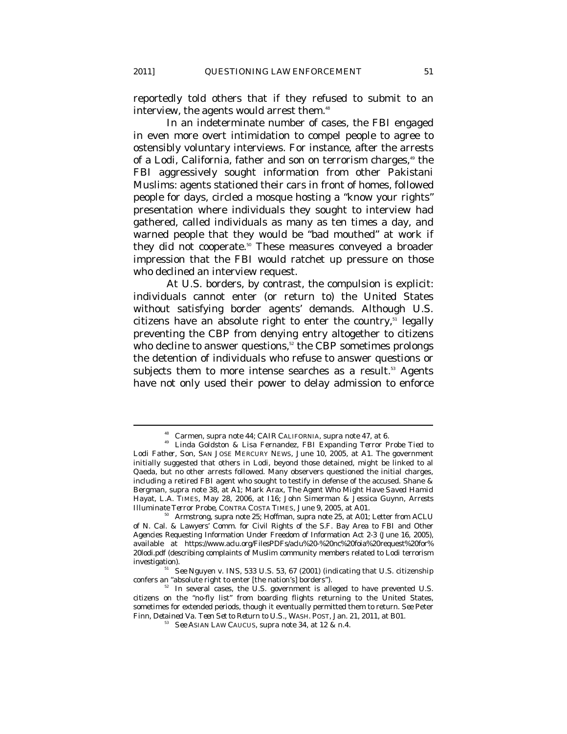reportedly told others that if they refused to submit to an interview, the agents would arrest them.<sup>48</sup>

In an indeterminate number of cases, the FBI engaged in even more overt intimidation to compel people to agree to ostensibly voluntary interviews. For instance, after the arrests of a Lodi, California, father and son on terrorism charges,<sup>49</sup> the FBI aggressively sought information from other Pakistani Muslims: agents stationed their cars in front of homes, followed people for days, circled a mosque hosting a "know your rights" presentation where individuals they sought to interview had gathered, called individuals as many as ten times a day, and warned people that they would be "bad mouthed" at work if they did not cooperate.<sup>50</sup> These measures conveyed a broader impression that the FBI would ratchet up pressure on those who declined an interview request.

At U.S. borders, by contrast, the compulsion is explicit: individuals cannot enter (or return to) the United States without satisfying border agents' demands. Although U.S. citizens have an absolute right to enter the country, $51$  legally preventing the CBP from denying entry altogether to citizens who decline to answer questions,<sup>52</sup> the CBP sometimes prolongs the detention of individuals who refuse to answer questions or subjects them to more intense searches as a result.<sup>53</sup> Agents have not only used their power to delay admission to enforce

<sup>&</sup>lt;sup>48</sup> Carmen, *supra* note 44; CAIR CALIFORNIA, *supra* note 47, at 6.<br><sup>49</sup> Linda Goldston & Lisa Fernandez, *FBI Expanding Terror Probe Tied to Lodi Father, Son*, SAN JOSE MERCURY NEWS, June 10, 2005, at A1. The government initially suggested that others in Lodi, beyond those detained, might be linked to al Qaeda, but no other arrests followed. Many observers questioned the initial charges, including a retired FBI agent who sought to testify in defense of the accused. Shane & Bergman, *supra* note 38, at A1; Mark Arax, *The Agent Who Might Have Saved Hamid Hayat*, L.A. TIMES, May 28, 2006, at I16; John Simerman & Jessica Guynn, *Arrests Illuminate Terror Probe*, CONTRA COSTA TIMES, June 9, 2005, at A01.<br><sup>50</sup> Armstrong, *supra* note 25; Hoffman, *supra* note 25, at A01; Letter from ACLU

of N. Cal. & Lawyers' Comm. for Civil Rights of the S.F. Bay Area to FBI and Other Agencies Requesting Information Under Freedom of Information Act 2-3 (June 16, 2005), *available at* https://www.aclu.org/FilesPDFs/aclu%20-%20nc%20foia%20request%20for% 20lodi.pdf (describing complaints of Muslim community members related to Lodi terrorism

investigation).<br><sup>51</sup> *See* Nguyen v. INS, 533 U.S. 53, 67 (2001) (indicating that U.S. citizenship confers an "absolute right to enter [the nation's] borders").

 $52^{\circ}$  In several cases, the U.S. government is alleged to have prevented U.S. citizens on the "no-fly list" from boarding flights returning to the United States, sometimes for extended periods, though it eventually permitted them to return. *See* Peter Finn, *Detained Va. Teen Set to Return to U.S.*, WASH. POST, Jan. 21, 2011, at B01. 53 *See* ASIAN LAW CAUCUS, *supra* note 34, at 12 & n.4.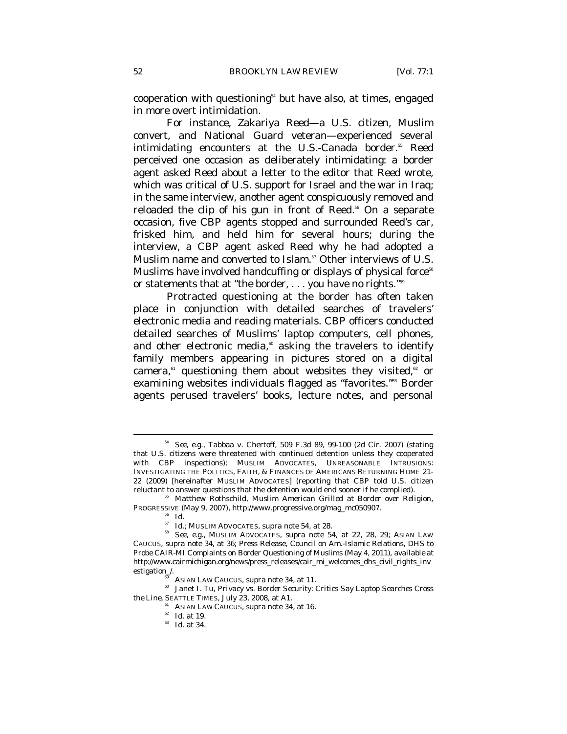cooperation with questioning $54$  but have also, at times, engaged in more overt intimidation.

For instance, Zakariya Reed—a U.S. citizen, Muslim convert, and National Guard veteran—experienced several intimidating encounters at the U.S.-Canada border.<sup>55</sup> Reed perceived one occasion as deliberately intimidating: a border agent asked Reed about a letter to the editor that Reed wrote, which was critical of U.S. support for Israel and the war in Iraq; in the same interview, another agent conspicuously removed and reloaded the clip of his gun in front of Reed.<sup>56</sup> On a separate occasion, five CBP agents stopped and surrounded Reed's car, frisked him, and held him for several hours; during the interview, a CBP agent asked Reed why he had adopted a Muslim name and converted to Islam.<sup>57</sup> Other interviews of U.S. Muslims have involved handcuffing or displays of physical force<sup>58</sup> or statements that at "the border, . . . you have no rights."59

Protracted questioning at the border has often taken place in conjunction with detailed searches of travelers' electronic media and reading materials. CBP officers conducted detailed searches of Muslims' laptop computers, cell phones, and other electronic media, $\omega$  asking the travelers to identify family members appearing in pictures stored on a digital camera, $61$  questioning them about websites they visited, $62$  or examining websites individuals flagged as "favorites."<sup>63</sup> Border agents perused travelers' books, lecture notes, and personal

<sup>54</sup> *See, e.g.*, Tabbaa v. Chertoff, 509 F.3d 89, 99-100 (2d Cir. 2007) (stating that U.S. citizens were threatened with continued detention unless they cooperated with CBP inspections); MUSLIM ADVOCATES, UNREASONABLE INTRUSIONS: INVESTIGATING THE POLITICS, FAITH, & FINANCES OF AMERICANS RETURNING HOME 21- 22 (2009) [hereinafter MUSLIM ADVOCATES] (reporting that CBP told U.S. citizen reluctant to answer questions that the detention would end sooner if he complied). 55 Matthew Rothschild, *Muslim American Grilled at Border over Religion*,

PROGRESSIVE (May 9, 2007), http://www.progressive.org/mag\_mc050907.<br><sup>56</sup> *Id.*<br>*Id.*; MUSLIM ADVOCATES, *supra* note 54, at 28.

<sup>57</sup> *Id.*; MUSLIM ADVOCATES, *supra* note 54, at 28. 58 *See, e.g.*, MUSLIM ADVOCATES, *supra* note 54, at 22, 28, 29; ASIAN LAW CAUCUS, *supra* note 34, at 36; Press Release, Council on Am.-Islamic Relations, DHS to Probe CAIR-MI Complaints on Border Questioning of Muslims (May 4, 2011), *available at*  http://www.cairmichigan.org/news/press\_releases/cair\_mi\_welcomes\_dhs\_civil\_rights\_inv

<sup>&</sup>lt;sup>59</sup> ASIAN LAW CAUCUS, *supra* note 34, at 11.<br><sup>60</sup> Janet I. Tu, *Privacy vs. Border Security: Critics Say Laptop Searches Cross <i>the Line*, SEATTLE TIMES, July 23, 2008, at A1.

<sup>&</sup>lt;sup>61</sup> ASIAN LAW CAUCUS, *supra* note 34, at 16. <sup>62</sup> *Id.* at 19. *Id.* at 34.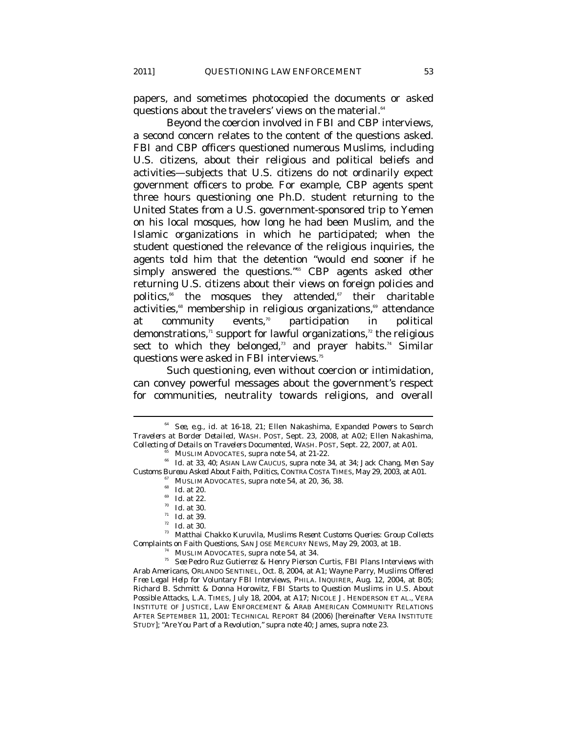papers, and sometimes photocopied the documents or asked questions about the travelers' views on the material.<sup>64</sup>

Beyond the coercion involved in FBI and CBP interviews, a second concern relates to the content of the questions asked. FBI and CBP officers questioned numerous Muslims, including U.S. citizens, about their religious and political beliefs and activities—subjects that U.S. citizens do not ordinarily expect government officers to probe. For example, CBP agents spent three hours questioning one Ph.D. student returning to the United States from a U.S. government-sponsored trip to Yemen on his local mosques, how long he had been Muslim, and the Islamic organizations in which he participated; when the student questioned the relevance of the religious inquiries, the agents told him that the detention "would end sooner if he simply answered the questions."<sup>65</sup> CBP agents asked other returning U.S. citizens about their views on foreign policies and politics,<sup>66</sup> the mosques they attended,<sup>67</sup> their charitable activities,<sup>68</sup> membership in religious organizations,<sup>69</sup> attendance at community events,<sup> $70$ </sup> participation in political demonstrations, $n$  support for lawful organizations, $n$  the religious sect to which they belonged,<sup>73</sup> and prayer habits.<sup>74</sup> Similar questions were asked in FBI interviews.<sup>75</sup>

Such questioning, even without coercion or intimidation, can convey powerful messages about the government's respect for communities, neutrality towards religions, and overall

<sup>64</sup> *See, e.g.*, *id.* at 16-18, 21; Ellen Nakashima, *Expanded Powers to Search Travelers at Border Detailed*, WASH. POST, Sept. 23, 2008, at A02; Ellen Nakashima, Collecting of Details on Travelers Documented, WASH. POST, Sept. 22, 2007, at A01.<br><sup>65</sup> MUSLIM ADVOCATES, *supra* note 54, at 21-22.<br><sup>66</sup> Id. at 33, 40; ASIAN LAW CAUCUS, *supra* note 34, at 34; Jack Chang, *Men Say* 

Customs Bureau Asked About Faith, Politics, CONTRA COSTA TIMES, May 29, 2003, at A01.<br>
<sup>67</sup> MUSLIM ADVOCATES, *supra* note 54, at 20, 36, 38.<br>
<sup>68</sup> *Id.* at 20.<br>
<sup>69</sup> *Id.* at 22.<br> *70 Id.* at 30.<br>
<sup>71</sup> *Id.* at 39.<br> *7* 

*Complaints on Faith Questions*, SAN JOSE MERCURY NEWS, May 29, 2003, at 1B.<br><sup>74</sup> MUSLIM ADVOCATES, *supra* note 54, at 34.<br><sup>75</sup> *See* Pedro Ruz Gutierrez & Henry Pierson Curtis, *FBI Plans Interviews with Arab Americans*, ORLANDO SENTINEL, Oct. 8, 2004, at A1; Wayne Parry, *Muslims Offered Free Legal Help for Voluntary FBI Interviews*, PHILA. INQUIRER, Aug. 12, 2004, at B05; Richard B. Schmitt & Donna Horowitz, *FBI Starts to Question Muslims in U.S. About Possible Attacks*, L.A. TIMES, July 18, 2004, at A17; NICOLE J. HENDERSON ET AL., VERA INSTITUTE OF JUSTICE, LAW ENFORCEMENT & ARAB AMERICAN COMMUNITY RELATIONS AFTER SEPTEMBER 11, 2001: TECHNICAL REPORT 84 (2006) [hereinafter VERA INSTITUTE STUDY]; *"Are You Part of a Revolution," supra* note 40; James, *supra* note 23.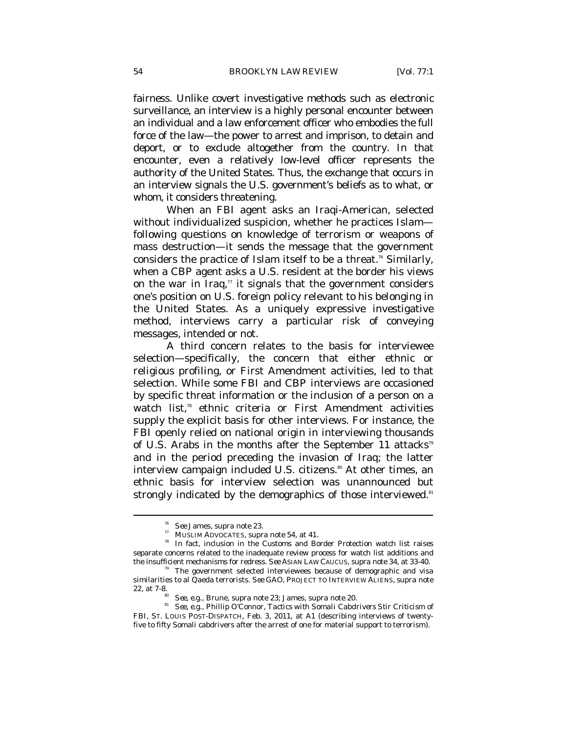fairness. Unlike covert investigative methods such as electronic surveillance, an interview is a highly personal encounter between an individual and a law enforcement officer who embodies the full force of the law—the power to arrest and imprison, to detain and deport, or to exclude altogether from the country. In that encounter, even a relatively low-level officer represents the authority of the United States. Thus, the exchange that occurs in an interview signals the U.S. government's beliefs as to what, or whom, it considers threatening.

When an FBI agent asks an Iraqi-American, selected without individualized suspicion, whether he practices Islam following questions on knowledge of terrorism or weapons of mass destruction—it sends the message that the government considers the practice of Islam itself to be a threat.<sup>76</sup> Similarly, when a CBP agent asks a U.S. resident at the border his views on the war in Iraq, $\pi$  it signals that the government considers one's position on U.S. foreign policy relevant to his belonging in the United States. As a uniquely expressive investigative method, interviews carry a particular risk of conveying messages, intended or not.

A third concern relates to the basis for interviewee selection—specifically, the concern that either ethnic or religious profiling, or First Amendment activities, led to that selection. While some FBI and CBP interviews are occasioned by specific threat information or the inclusion of a person on a watch list,<sup>78</sup> ethnic criteria or First Amendment activities supply the explicit basis for other interviews. For instance, the FBI openly relied on national origin in interviewing thousands of U.S. Arabs in the months after the September 11 attacks<sup>79</sup> and in the period preceding the invasion of Iraq; the latter interview campaign included U.S. citizens.<sup>80</sup> At other times, an ethnic basis for interview selection was unannounced but strongly indicated by the demographics of those interviewed.<sup>81</sup>

<sup>&</sup>lt;sup>76</sup> *See* James, *supra* note 23.<br><sup>77</sup> MUSLIM ADVOCATES, *supra* note 54, at 41.<br><sup>78</sup> In fact, inclusion in the Customs and Border Protection watch list raises separate concerns related to the inadequate review process for watch list additions and the insufficient mechanisms for redress. *See* ASIAN LAW CAUCUS, *supra* note 34, at 33-40. 79 The government selected interviewees because of demographic and visa

similarities to al Qaeda terrorists. *See* GAO, PROJECT TO INTERVIEW ALIENS, *supra* note

<sup>22,</sup> at 7-8. 80 *See, e.g.*, Brune, *supra* note 23; James, *supra* note 20. 81 *See, e.g.*, Phillip O'Connor, *Tactics with Somali Cabdrivers Stir Criticism of FBI*, ST. LOUIS POST-DISPATCH, Feb. 3, 2011, at A1 (describing interviews of twentyfive to fifty Somali cabdrivers after the arrest of one for material support to terrorism).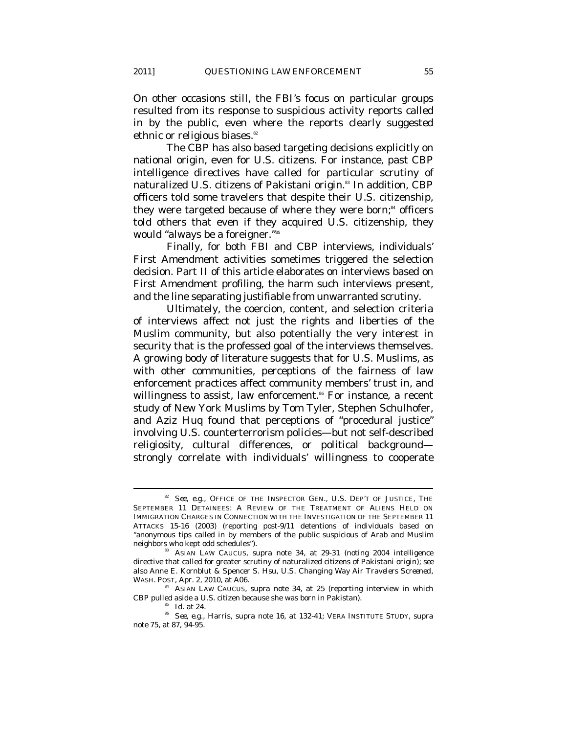On other occasions still, the FBI's focus on particular groups resulted from its response to suspicious activity reports called in by the public, even where the reports clearly suggested ethnic or religious biases.<sup>82</sup>

The CBP has also based targeting decisions explicitly on national origin, even for U.S. citizens. For instance, past CBP intelligence directives have called for particular scrutiny of naturalized U.S. citizens of Pakistani origin.<sup>83</sup> In addition, CBP officers told some travelers that despite their U.S. citizenship, they were targeted because of where they were born;<sup>84</sup> officers told others that even if they acquired U.S. citizenship, they would "always be a foreigner."85

Finally, for both FBI and CBP interviews, individuals' First Amendment activities sometimes triggered the selection decision. Part II of this article elaborates on interviews based on First Amendment profiling, the harm such interviews present, and the line separating justifiable from unwarranted scrutiny.

Ultimately, the coercion, content, and selection criteria of interviews affect not just the rights and liberties of the Muslim community, but also potentially the very interest in security that is the professed goal of the interviews themselves. A growing body of literature suggests that for U.S. Muslims, as with other communities, perceptions of the fairness of law enforcement practices affect community members' trust in, and willingness to assist, law enforcement.<sup>86</sup> For instance, a recent study of New York Muslims by Tom Tyler, Stephen Schulhofer, and Aziz Huq found that perceptions of "procedural justice" involving U.S. counterterrorism policies—but not self-described religiosity, cultural differences, or political background strongly correlate with individuals' willingness to cooperate

<sup>82</sup> *See, e.g.*, OFFICE OF THE INSPECTOR GEN., U.S. DEP'T OF JUSTICE, THE SEPTEMBER 11 DETAINEES: A REVIEW OF THE TREATMENT OF ALIENS HELD ON IMMIGRATION CHARGES IN CONNECTION WITH THE INVESTIGATION OF THE SEPTEMBER 11 ATTACKS 15-16 (2003) (reporting post-9/11 detentions of individuals based on "anonymous tips called in by members of the public suspicious of Arab and Muslim neighbors who kept odd schedules"). 83 ASIAN LAW CAUCUS, *supra* note 34, at 29-31 (noting 2004 intelligence

directive that called for greater scrutiny of naturalized citizens of Pakistani origin); *see also* Anne E. Kornblut & Spencer S. Hsu, *U.S. Changing Way Air Travelers Screened*,

<sup>&</sup>lt;sup>34</sup> ASIAN LAW CAUCUS, *supra* note 34, at 25 (reporting interview in which

CBP pulled aside a U.S. citizen because she was born in Pakistan). 85 *Id.* at 24. 86 *See, e.g.*, Harris, *supra* note 16, at 132-41; VERA INSTITUTE STUDY, *supra* note 75, at 87, 94-95.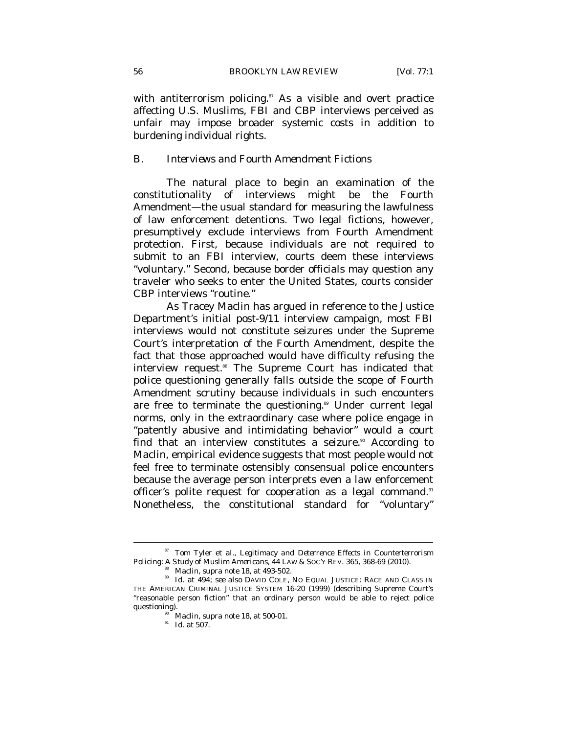with antiterrorism policing. $87$  As a visible and overt practice affecting U.S. Muslims, FBI and CBP interviews perceived as unfair may impose broader systemic costs in addition to burdening individual rights.

## *B. Interviews and Fourth Amendment Fictions*

The natural place to begin an examination of the constitutionality of interviews might be the Fourth Amendment—the usual standard for measuring the lawfulness of law enforcement detentions. Two legal fictions, however, presumptively exclude interviews from Fourth Amendment protection. First, because individuals are not required to submit to an FBI interview, courts deem these interviews "voluntary." Second, because border officials may question any traveler who seeks to enter the United States, courts consider CBP interviews "routine."

As Tracey Maclin has argued in reference to the Justice Department's initial post-9/11 interview campaign, most FBI interviews would not constitute seizures under the Supreme Court's interpretation of the Fourth Amendment, despite the fact that those approached would have difficulty refusing the interview request.<sup>88</sup> The Supreme Court has indicated that police questioning generally falls outside the scope of Fourth Amendment scrutiny because individuals in such encounters are free to terminate the questioning.<sup>89</sup> Under current legal norms, only in the extraordinary case where police engage in "patently abusive and intimidating behavior" would a court find that an interview constitutes a seizure.<sup>90</sup> According to Maclin, empirical evidence suggests that most people would not feel free to terminate ostensibly consensual police encounters because the average person interprets even a law enforcement officer's polite request for cooperation as a legal command.<sup>91</sup> Nonetheless, the constitutional standard for "voluntary"

<sup>&</sup>lt;sup>87</sup> Tom Tyler et al., *Legitimacy and Deterrence Effects in Counterterrorism Policing: A Study of Muslim Americans, 44 LAW & SOC'Y REV. 365, 368-69 (2010).* 

<sup>&</sup>lt;sup>88</sup> Maclin, *supra* note 18, at 493-502.<br><sup>89</sup> Id. at 494; *see also* DAVID COLE, NO EQUAL JUSTICE: RACE AND CLASS IN THE AMERICAN CRIMINAL JUSTICE SYSTEM 16-20 (1999) (describing Supreme Court's "reasonable person fiction" that an ordinary person would be able to reject police questioning).<br><sup>90</sup> Maclin, *supra* note 18, at 500-01.<br>*Id.* at 507.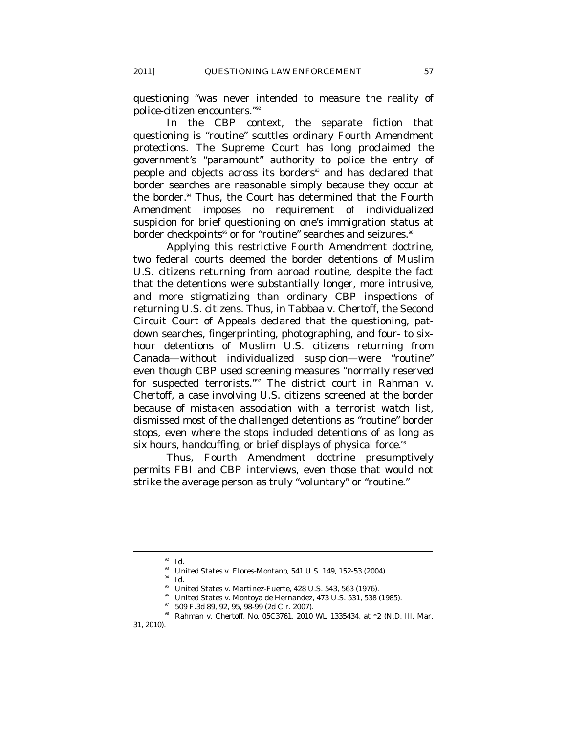questioning "was never intended to measure the reality of police-citizen encounters."92

In the CBP context, the separate fiction that questioning is "routine" scuttles ordinary Fourth Amendment protections. The Supreme Court has long proclaimed the government's "paramount" authority to police the entry of people and objects across its borders<sup>33</sup> and has declared that border searches are reasonable simply because they occur at the border.<sup>94</sup> Thus, the Court has determined that the Fourth Amendment imposes no requirement of individualized suspicion for brief questioning on one's immigration status at border checkpoints<sup>95</sup> or for "routine" searches and seizures.<sup>96</sup>

Applying this restrictive Fourth Amendment doctrine, two federal courts deemed the border detentions of Muslim U.S. citizens returning from abroad routine, despite the fact that the detentions were substantially longer, more intrusive, and more stigmatizing than ordinary CBP inspections of returning U.S. citizens. Thus, in *Tabbaa v. Chertoff*, the Second Circuit Court of Appeals declared that the questioning, patdown searches, fingerprinting, photographing, and four- to sixhour detentions of Muslim U.S. citizens returning from Canada—without individualized suspicion—were "routine" even though CBP used screening measures "normally reserved for suspected terrorists."97 The district court in *Rahman v. Chertoff*, a case involving U.S. citizens screened at the border because of mistaken association with a terrorist watch list, dismissed most of the challenged detentions as "routine" border stops, even where the stops included detentions of as long as six hours, handcuffing, or brief displays of physical force.<sup>98</sup>

Thus, Fourth Amendment doctrine presumptively permits FBI and CBP interviews, even those that would not strike the average person as truly "voluntary" or "routine."

<sup>92</sup> *Id.*

<sup>&</sup>lt;sup>93</sup> United States v. Flores-Montano, 541 U.S. 149, 152-53 (2004).

<sup>94</sup> *Id.*

 $^{95}$  United States v. Martinez-Fuerte, 428 U.S. 543, 563 (1976).

United States v. Montoya de Hernandez, 473 U.S. 531, 538 (1985).

 $^{97}$  509 F.3d 89, 92, 95, 98-99 (2d Cir. 2007).

<sup>98</sup> Rahman v. Chertoff, No. 05C3761, 2010 WL 1335434, at \*2 (N.D. Ill. Mar.

<sup>31, 2010).</sup>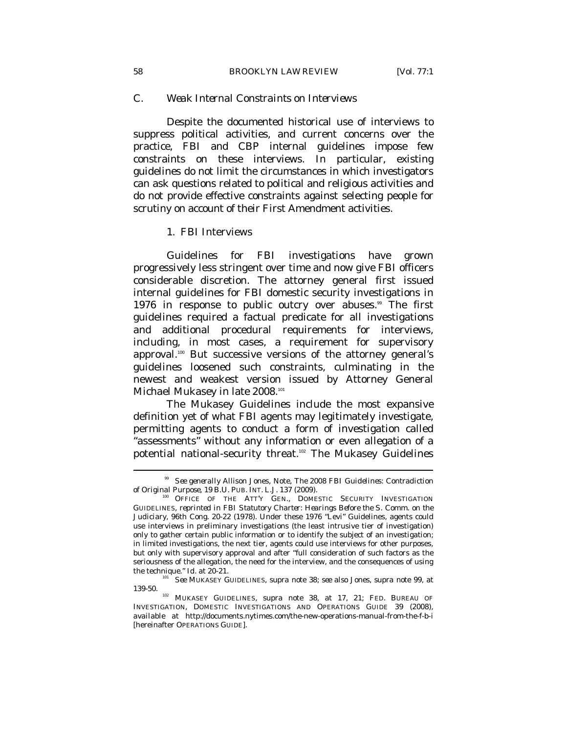# *C. Weak Internal Constraints on Interviews*

Despite the documented historical use of interviews to suppress political activities, and current concerns over the practice, FBI and CBP internal guidelines impose few constraints on these interviews. In particular, existing guidelines do not limit the circumstances in which investigators can ask questions related to political and religious activities and do not provide effective constraints against selecting people for scrutiny on account of their First Amendment activities.

#### 1. FBI Interviews

Guidelines for FBI investigations have grown progressively less stringent over time and now give FBI officers considerable discretion. The attorney general first issued internal guidelines for FBI domestic security investigations in 1976 in response to public outcry over abuses.<sup>99</sup> The first guidelines required a factual predicate for all investigations and additional procedural requirements for interviews, including, in most cases, a requirement for supervisory approval.100 But successive versions of the attorney general's guidelines loosened such constraints, culminating in the newest and weakest version issued by Attorney General Michael Mukasey in late 2008.<sup>101</sup>

The Mukasey Guidelines include the most expansive definition yet of what FBI agents may legitimately investigate, permitting agents to conduct a form of investigation called "assessments" without any information or even allegation of a potential national-security threat.<sup>102</sup> The Mukasey Guidelines

<sup>99</sup> *See generally* Allison Jones, Note, *The 2008 FBI Guidelines: Contradiction of Original Purpose*, 19 B.U. PUB. INT. L.J. 137 (2009).<br><sup>100</sup> OFFICE OF THE ATT'Y GEN., DOMESTIC SECURITY INVESTIGATION

GUIDELINES, *reprinted in FBI Statutory Charter: Hearings Before the S. Comm. on the Judiciary*, 96th Cong. 20-22 (1978). Under these 1976 "Levi" Guidelines, agents could use interviews in preliminary investigations (the least intrusive tier of investigation) only to gather certain public information or to identify the subject of an investigation; in limited investigations, the next tier, agents could use interviews for other purposes, but only with supervisory approval and after "full consideration of such factors as the seriousness of the allegation, the need for the interview, and the consequences of using the technique."  $Id$  at 20-21.

the technique." *Id.* at 20-21. 101 *See* MUKASEY GUIDELINES, *supra* note 38; *see also* Jones, *supra* note 99, at

<sup>139-50. 102</sup> MUKASEY GUIDELINES, *supra* note 38, at 17, 21; FED. BUREAU OF INVESTIGATION, DOMESTIC INVESTIGATIONS AND OPERATIONS GUIDE 39 (2008), *available at* http://documents.nytimes.com/the-new-operations-manual-from-the-f-b-i [hereinafter OPERATIONS GUIDE].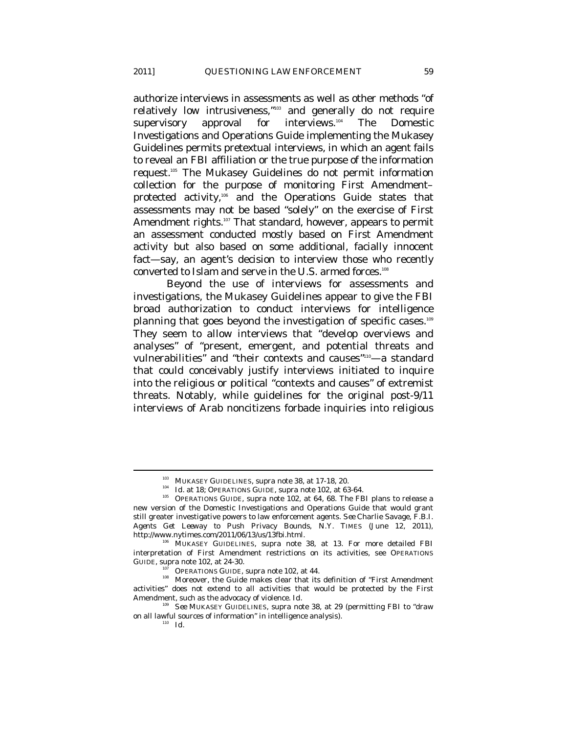authorize interviews in assessments as well as other methods "of relatively low intrusiveness,"103 and generally do not require supervisory approval for interviews.<sup>104</sup> The Domestic Investigations and Operations Guide implementing the Mukasey Guidelines permits pretextual interviews, in which an agent fails to reveal an FBI affiliation or the true purpose of the information request.105 The Mukasey Guidelines do not permit information collection for the purpose of monitoring First Amendment– protected activity,<sup>106</sup> and the Operations Guide states that assessments may not be based "solely" on the exercise of First Amendment rights.<sup>107</sup> That standard, however, appears to permit an assessment conducted mostly based on First Amendment activity but also based on some additional, facially innocent fact—say, an agent's decision to interview those who recently converted to Islam *and* serve in the U.S. armed forces.<sup>108</sup>

Beyond the use of interviews for assessments and investigations, the Mukasey Guidelines appear to give the FBI broad authorization to conduct interviews for intelligence planning that goes beyond the investigation of specific cases.<sup>109</sup> They seem to allow interviews that "develop overviews and analyses" of "present, emergent, and potential threats and vulnerabilities" and "their contexts and causes"<sup>110</sup>-a standard that could conceivably justify interviews initiated to inquire into the religious or political "contexts and causes" of extremist threats. Notably, while guidelines for the original post-9/11 interviews of Arab noncitizens forbade inquiries into religious

<sup>&</sup>lt;sup>103</sup> MUKASEY GUIDELINES, *supra* note 38, at 17-18, 20.<br><sup>104</sup> *Id.* at 18; OPERATIONS GUIDE, *supra* note 102, at 64, 68. The FBI plans to release a<br><sup>105</sup> OPERATIONS GUIDE, *supra* note 102, at 64, 68. The FBI plans to re new version of the Domestic Investigations and Operations Guide that would grant still greater investigative powers to law enforcement agents. *See* Charlie Savage, *F.B.I. Agents Get Leeway to Push Privacy Bounds*, N.Y. TIMES (June 12, 2011),

<sup>&</sup>lt;sup>106</sup> MUKASEY GUIDELINES, *supra* note 38, at 13. For more detailed FBI interpretation of First Amendment restrictions on its activities, see OPERATIONS GUIDE, *supra* note 102, at 24-30.

<sup>&</sup>lt;sup>107</sup> OPERATIONS GUIDE, *supra* note 102, at 44.<br><sup>108</sup> Moreover, the Guide makes clear that its definition of "First Amendment activities" does not extend to all activities that would be protected by the First Amendment, such as the advocacy of violence. *Id.*

<sup>109</sup> *See* MUKASEY GUIDELINES, *supra* note 38, at 29 (permitting FBI to "draw on all lawful sources of information" in intelligence analysis).  $\frac{1}{10}$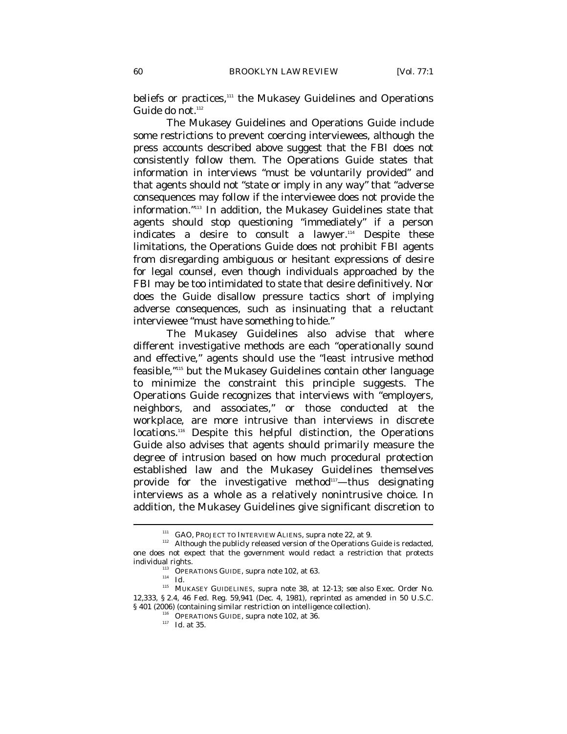beliefs or practices,<sup>111</sup> the Mukasey Guidelines and Operations Guide do not.<sup>112</sup>

The Mukasey Guidelines and Operations Guide include some restrictions to prevent coercing interviewees, although the press accounts described above suggest that the FBI does not consistently follow them. The Operations Guide states that information in interviews "must be voluntarily provided" and that agents should not "state or imply in any way" that "adverse consequences may follow if the interviewee does not provide the information."113 In addition, the Mukasey Guidelines state that agents should stop questioning "immediately" if a person indicates a desire to consult a lawyer.<sup>114</sup> Despite these limitations, the Operations Guide does not prohibit FBI agents from disregarding ambiguous or hesitant expressions of desire for legal counsel, even though individuals approached by the FBI may be too intimidated to state that desire definitively. Nor does the Guide disallow pressure tactics short of implying adverse consequences, such as insinuating that a reluctant interviewee "must have something to hide."

The Mukasey Guidelines also advise that where different investigative methods are each "operationally sound and effective," agents should use the "least intrusive method feasible,"115 but the Mukasey Guidelines contain other language to minimize the constraint this principle suggests. The Operations Guide recognizes that interviews with "employers, neighbors, and associates," or those conducted at the workplace, are more intrusive than interviews in discrete locations.<sup>116</sup> Despite this helpful distinction, the Operations Guide also advises that agents should primarily measure the degree of intrusion based on how much procedural protection established law and the Mukasey Guidelines themselves provide for the investigative method<sup>117</sup>—thus designating interviews as a whole as a relatively nonintrusive choice. In addition, the Mukasey Guidelines give significant discretion to

<sup>&</sup>lt;sup>111</sup> GAO, PROJECT TO INTERVIEW ALIENS, *supra* note 22, at 9.<br><sup>112</sup> Although the publicly released version of the Operations Guide is redacted, one does not expect that the government would redact a restriction that protects individual rights.<br><sup>113</sup> OPERATIONS GUIDE, *supra* note 102, at 63.<br>*114 Id.* 

<sup>115</sup> MUKASEY GUIDELINES, *supra* note 38, at 12-13; *see also* Exec. Order No. 12,333, § 2.4, 46 Fed. Reg. 59,941 (Dec. 4, 1981), *reprinted as amended in* 50 U.S.C. § 401 (2006) (containing similar restriction on intelligence collection).<br><sup>116</sup> OPERATIONS GUIDE, *supra* note 102, at 36.<br><sup>117</sup> *Id.* at 35.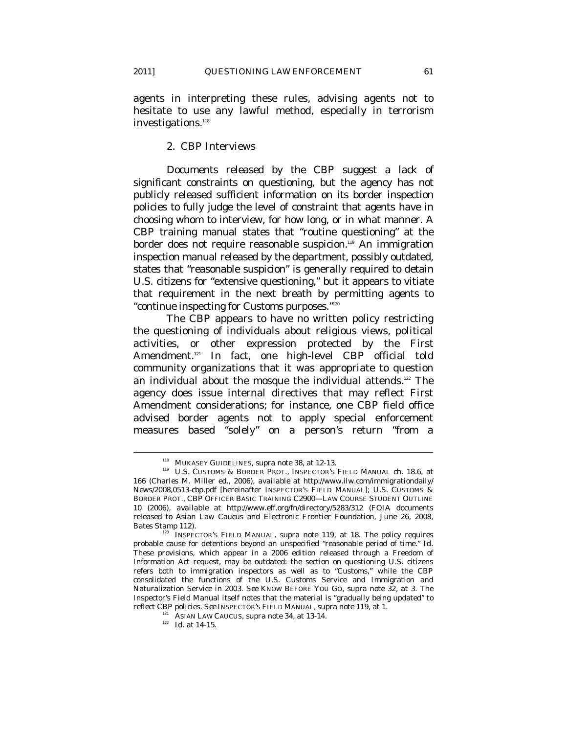agents in interpreting these rules, advising agents not to hesitate to use any lawful method, especially in terrorism investigations.<sup>118</sup>

#### 2. CBP Interviews

Documents released by the CBP suggest a lack of significant constraints on questioning, but the agency has not publicly released sufficient information on its border inspection policies to fully judge the level of constraint that agents have in choosing whom to interview, for how long, or in what manner. A CBP training manual states that "routine questioning" at the border does not require reasonable suspicion.<sup>119</sup> An immigration inspection manual released by the department, possibly outdated, states that "reasonable suspicion" is generally required to detain U.S. citizens for "extensive questioning," but it appears to vitiate that requirement in the next breath by permitting agents to "continue inspecting for Customs purposes."120

The CBP appears to have no written policy restricting the questioning of individuals about religious views, political activities, or other expression protected by the First Amendment.<sup>121</sup> In fact, one high-level CBP official told community organizations that it was appropriate to question an individual about the mosque the individual attends.<sup>122</sup> The agency does issue internal directives that may reflect First Amendment considerations; for instance, one CBP field office advised border agents not to apply special enforcement measures based "solely" on a person's return "from a

<sup>&</sup>lt;sup>118</sup> MUKASEY GUIDELINES, *supra* note 38, at 12-13.<br><sup>119</sup> U.S. CUSTOMS & BORDER PROT., INSPECTOR'S FIELD MANUAL ch. 18.6, at 166 (Charles M. Miller ed., 2006), *available at* http://www.ilw.com/immigrationdaily/ News/2008,0513-cbp.pdf [hereinafter INSPECTOR'S FIELD MANUAL]; U.S. CUSTOMS & BORDER PROT., CBP OFFICER BASIC TRAINING C2900—LAW COURSE STUDENT OUTLINE 10 (2006), *available at* http://www.eff.org/fn/directory/5283/312 (FOIA documents released to Asian Law Caucus and Electronic Frontier Foundation, June 26, 2008,

Bates Stamp 112).<br><sup>120</sup> INSPECTOR'S FIELD MANUAL, *supra* note 119, at 18. The policy requires probable cause for detentions beyond an unspecified "reasonable period of time." *Id.* These provisions, which appear in a 2006 edition released through a Freedom of Information Act request, may be outdated: the section on questioning U.S. citizens refers both to immigration inspectors as well as to "Customs," while the CBP consolidated the functions of the U.S. Customs Service and Immigration and Naturalization Service in 2003. *See* KNOW BEFORE YOU GO, *supra* note 32, at 3. The Inspector's Field Manual itself notes that the material is "gradually being updated" to reflect CBP policies. See INSPECTOR'S FIELD MANUAL, supra note 119, at 1.

<sup>&</sup>lt;sup>121</sup> ASIAN LAW CAUCUS, *supra* note 34, at 13-14.<br><sup>122</sup> *Id.* at 14-15.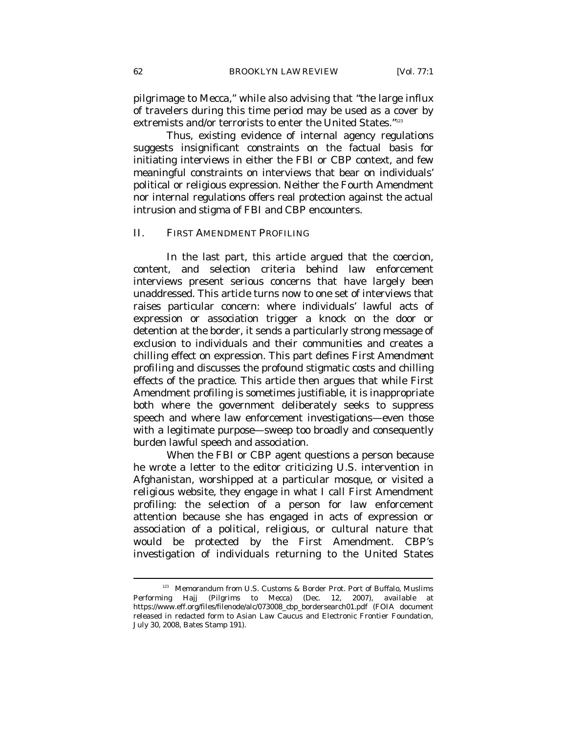pilgrimage to Mecca," while also advising that "the large influx of travelers during this time period may be used as a cover by extremists and/or terrorists to enter the United States."123

Thus, existing evidence of internal agency regulations suggests insignificant constraints on the factual basis for initiating interviews in either the FBI or CBP context, and few meaningful constraints on interviews that bear on individuals' political or religious expression. Neither the Fourth Amendment nor internal regulations offers real protection against the actual intrusion and stigma of FBI and CBP encounters.

#### II. FIRST AMENDMENT PROFILING

In the last part, this article argued that the coercion, content, and selection criteria behind law enforcement interviews present serious concerns that have largely been unaddressed. This article turns now to one set of interviews that raises particular concern: where individuals' lawful acts of expression or association trigger a knock on the door or detention at the border, it sends a particularly strong message of exclusion to individuals and their communities and creates a chilling effect on expression. This part defines *First Amendment profiling* and discusses the profound stigmatic costs and chilling effects of the practice. This article then argues that while First Amendment profiling is sometimes justifiable, it is inappropriate both where the government deliberately seeks to suppress speech and where law enforcement investigations—even those with a legitimate purpose—sweep too broadly and consequently burden lawful speech and association.

When the FBI or CBP agent questions a person because he wrote a letter to the editor criticizing U.S. intervention in Afghanistan, worshipped at a particular mosque, or visited a religious website, they engage in what I call First Amendment profiling: the selection of a person for law enforcement attention because she has engaged in acts of expression or association of a political, religious, or cultural nature that would be protected by the First Amendment. CBP's investigation of individuals returning to the United States

<sup>&</sup>lt;sup>123</sup> Memorandum from U.S. Customs & Border Prot. Port of Buffalo, Muslims Performing Hajj (Pilgrims to Mecca) (Dec. 12, 2007), *available at* https://www.eff.org/files/filenode/alc/073008\_cbp\_bordersearch01.pdf (FOIA document released in redacted form to Asian Law Caucus and Electronic Frontier Foundation, July 30, 2008, Bates Stamp 191).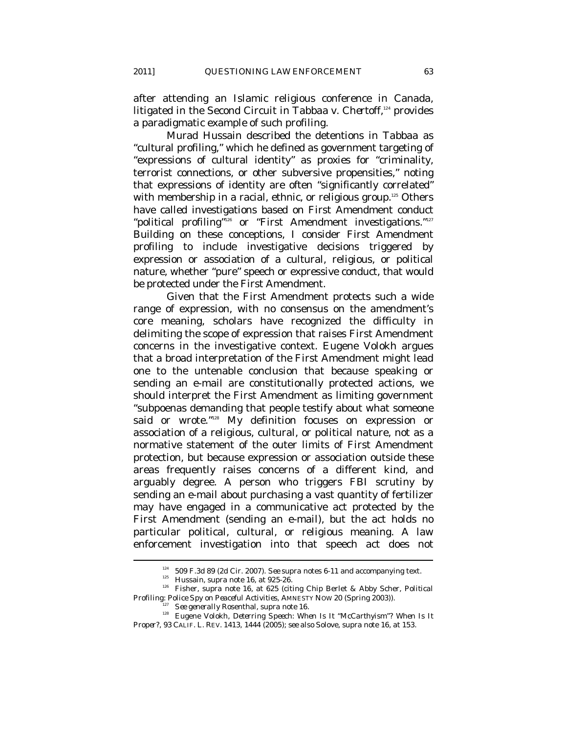after attending an Islamic religious conference in Canada, litigated in the Second Circuit in *Tabbaa v. Chertoff*, 124 provides a paradigmatic example of such profiling.

Murad Hussain described the detentions in *Tabbaa* as "cultural profiling," which he defined as government targeting of "expressions of cultural identity" as proxies for "criminality, terrorist connections, or other subversive propensities," noting that expressions of identity are often "significantly correlated" with membership in a racial, ethnic, or religious group.<sup>125</sup> Others have called investigations based on First Amendment conduct "political profiling"<sup>126</sup> or "First Amendment investigations."<sup>127</sup> Building on these conceptions, I consider First Amendment profiling to include investigative decisions triggered by expression or association of a cultural, religious, or political nature, whether "pure" speech or expressive conduct, that would be protected under the First Amendment.

Given that the First Amendment protects such a wide range of expression, with no consensus on the amendment's core meaning, scholars have recognized the difficulty in delimiting the scope of expression that raises First Amendment concerns in the investigative context. Eugene Volokh argues that a broad interpretation of the First Amendment might lead one to the untenable conclusion that because speaking or sending an e-mail are constitutionally protected actions, we should interpret the First Amendment as limiting government "subpoenas demanding that people testify about what someone said or wrote."<sup>128</sup> My definition focuses on expression or association of a religious, cultural, or political nature, not as a normative statement of the outer limits of First Amendment protection, but because expression or association outside these areas frequently raises concerns of a different kind, and arguably degree. A person who triggers FBI scrutiny by sending an e-mail about purchasing a vast quantity of fertilizer may have engaged in a communicative act protected by the First Amendment (sending an e-mail), but the act holds no particular political, cultural, or religious meaning. A law enforcement investigation into that speech act does not

<sup>&</sup>lt;sup>124</sup> 509 F.3d 89 (2d Cir. 2007). *See supra* notes 6-11 and accompanying text.<br><sup>125</sup> Hussain, *supra* note 16, at 925-26.<br><sup>126</sup> Fisher, *supra* note 16, at 625 (citing Chip Berlet & Abby Scher, *Political Profiling: Polic* 

<sup>&</sup>lt;sup>127</sup> See generally Rosenthal, *supra* note 16.<br><sup>128</sup> Eugene Volokh, *Deterring Speech: When Is It "McCarthyism"? When Is It Proper*?, 93 CALIF. L. REV. 1413, 1444 (2005); *see also* Solove, *supra* note 16, at 153.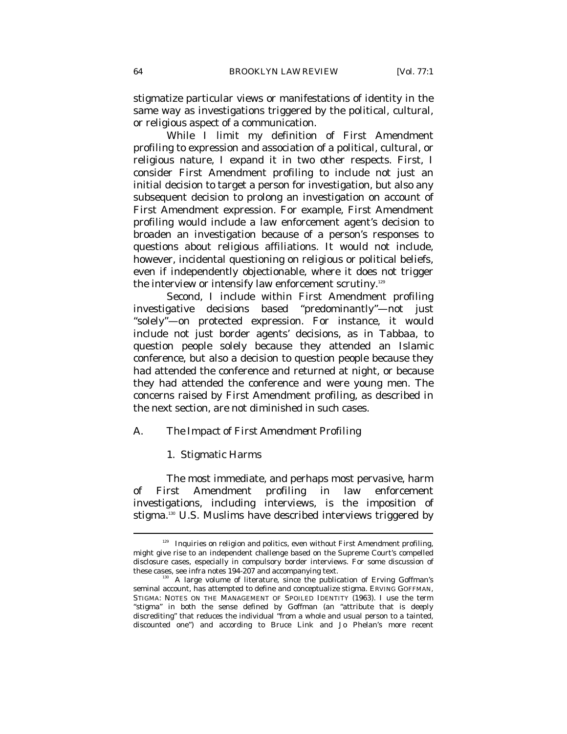stigmatize particular views or manifestations of identity in the same way as investigations triggered by the political, cultural, or religious aspect of a communication.

While I limit my definition of First Amendment profiling to expression and association of a political, cultural, or religious nature, I expand it in two other respects. First, I consider First Amendment profiling to include not just an initial decision to target a person for investigation, but also any subsequent decision to prolong an investigation on account of First Amendment expression. For example, First Amendment profiling would include a law enforcement agent's decision to broaden an investigation because of a person's responses to questions about religious affiliations. It would not include, however, incidental questioning on religious or political beliefs, even if independently objectionable, where it does not trigger the interview or intensify law enforcement scrutiny.<sup>129</sup>

Second, I include within First Amendment profiling investigative decisions based "predominantly"—not just "solely"—on protected expression. For instance, it would include not just border agents' decisions, as in *Tabbaa*, to question people solely because they attended an Islamic conference, but also a decision to question people because they had attended the conference *and* returned at night, or because they had attended the conference *and* were young men. The concerns raised by First Amendment profiling, as described in the next section, are not diminished in such cases.

#### *A. The Impact of First Amendment Profiling*

#### 1. Stigmatic Harms

 $\overline{a}$ 

The most immediate, and perhaps most pervasive, harm of First Amendment profiling in law enforcement investigations, including interviews, is the imposition of stigma.<sup>130</sup> U.S. Muslims have described interviews triggered by

 $129$  Inquiries on religion and politics, even without First Amendment profiling, might give rise to an independent challenge based on the Supreme Court's compelled disclosure cases, especially in compulsory border interviews. For some discussion of these cases, see *infra* notes 194-207 and accompanying text.

<sup>&</sup>lt;sup>130</sup> A large volume of literature, since the publication of Erving Goffman's seminal account, has attempted to define and conceptualize stigma. ERVING GOFFMAN, STIGMA: NOTES ON THE MANAGEMENT OF SPOILED IDENTITY (1963). I use the term "stigma" in both the sense defined by Goffman (an "attribute that is deeply discrediting" that reduces the individual "from a whole and usual person to a tainted, discounted one") and according to Bruce Link and Jo Phelan's more recent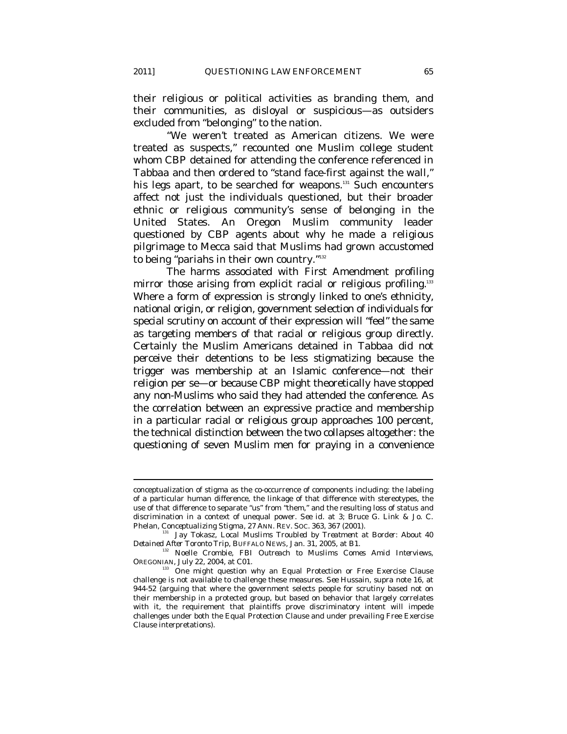their religious or political activities as branding them, and their communities, as disloyal or suspicious—as outsiders excluded from "belonging" to the nation.

"We weren't treated as American citizens. We were treated as suspects," recounted one Muslim college student whom CBP detained for attending the conference referenced in *Tabbaa* and then ordered to "stand face-first against the wall," his legs apart, to be searched for weapons.<sup>131</sup> Such encounters affect not just the individuals questioned, but their broader ethnic or religious community's sense of belonging in the United States. An Oregon Muslim community leader questioned by CBP agents about why he made a religious pilgrimage to Mecca said that Muslims had grown accustomed to being "pariahs in their own country."<sup>132</sup>

The harms associated with First Amendment profiling mirror those arising from explicit racial or religious profiling.<sup>133</sup> Where a form of expression is strongly linked to one's ethnicity, national origin, or religion, government selection of individuals for special scrutiny on account of their expression will "feel" the same as targeting members of that racial or religious group directly. Certainly the Muslim Americans detained in *Tabbaa* did not perceive their detentions to be less stigmatizing because the trigger was membership at an Islamic conference—not their religion per se—or because CBP might theoretically have stopped any non-Muslims who said they had attended the conference. As the correlation between an expressive practice and membership in a particular racial or religious group approaches 100 percent, the technical distinction between the two collapses altogether: the questioning of seven Muslim men for praying in a convenience

conceptualization of stigma as the co-occurrence of components including: the labeling of a particular human difference, the linkage of that difference with stereotypes, the use of that difference to separate "us" from "them," and the resulting loss of status and discrimination in a context of unequal power. *See id.* at 3; Bruce G. Link & Jo. C.

Phelan, *Conceptualizing Stigma*, 27 ANN. REV. Soc. 363, 367 (2001).<br><sup>131</sup> Jay Tokasz, *Local Muslims Troubled by Treatment at Border: About 40*<br>*Detained After Toronto Trip*, BUFFALO NEWS, Jan. 31, 2005, at B1.

<sup>&</sup>lt;sup>132</sup> Noelle Crombie, *FBI Outreach to Muslims Comes Amid Interviews*, OREGONIAN, July 22, 2004, at C01.<br><sup>133</sup> One might question why an Equal Protection or Free Exercise Clause

challenge is not available to challenge these measures. *See* Hussain, *supra* note 16, at 944-52 (arguing that where the government selects people for scrutiny based not on their membership in a protected group, but based on behavior that largely correlates with it, the requirement that plaintiffs prove discriminatory intent will impede challenges under both the Equal Protection Clause and under prevailing Free Exercise Clause interpretations).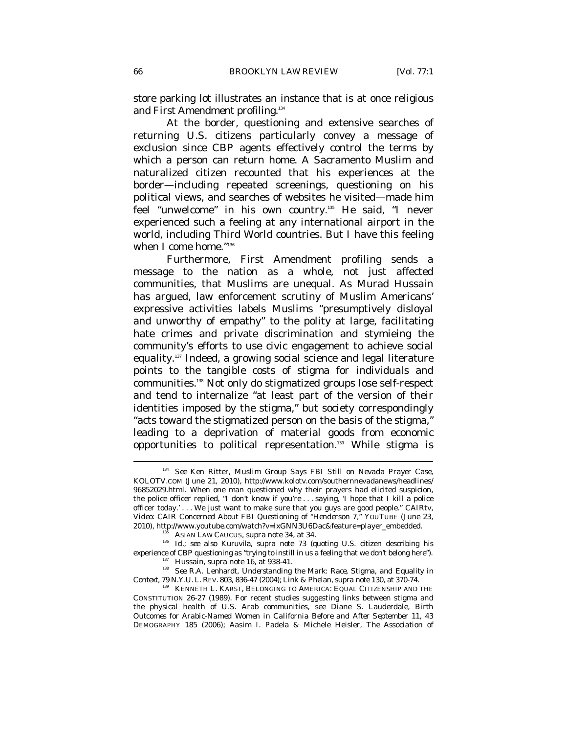store parking lot illustrates an instance that is at once religious and First Amendment profiling.<sup>134</sup>

At the border, questioning and extensive searches of returning U.S. citizens particularly convey a message of exclusion since CBP agents effectively control the terms by which a person can return home. A Sacramento Muslim and naturalized citizen recounted that his experiences at the border—including repeated screenings, questioning on his political views, and searches of websites he visited—made him feel "unwelcome" in his own country.<sup>135</sup> He said, "I never experienced such a feeling at any international airport in the world, including Third World countries. But I have this feeling when I come home."<sup>136</sup>

Furthermore, First Amendment profiling sends a message to the nation as a whole, not just affected communities, that Muslims are unequal. As Murad Hussain has argued, law enforcement scrutiny of Muslim Americans' expressive activities labels Muslims "presumptively disloyal and unworthy of empathy" to the polity at large, facilitating hate crimes and private discrimination and stymieing the community's efforts to use civic engagement to achieve social equality.137 Indeed, a growing social science and legal literature points to the tangible costs of stigma for individuals and communities.138 Not only do stigmatized groups lose self-respect and tend to internalize "at least part of the version of their identities imposed by the stigma," but society correspondingly "acts toward the stigmatized person on the basis of the stigma," leading to a deprivation of material goods from economic opportunities to political representation.<sup>139</sup> While stigma is

<sup>134</sup> *See* Ken Ritter, *Muslim Group Says FBI Still on Nevada Prayer Case*, KOLOTV.COM (June 21, 2010), http://www.kolotv.com/southernnevadanews/headlines/ 96852029.html. When one man questioned why their prayers had elicited suspicion, the police officer replied, "I don't know if you're . . . saying, 'I hope that I kill a police officer today.' . . . We just want to make sure that you guys are good people." CAIRtv, *Video: CAIR Concerned About FBI Questioning of "Henderson 7," YOUTUBE (June 23, 2010), http://www.youtube.com/watch?v=lxGNN3U6Dac&feature=player\_embedded.* 

<sup>&</sup>lt;sup>135</sup> ASIAN LAW CAUCUS, *supra* note 34, at 34.<br><sup>136</sup> *Id.*; *see also* Kuruvila, *supra* note 73 (quoting U.S. citizen describing his experience of CBP questioning as "trying to instill in us a feeling that we don't belong here").<br>
<sup>137</sup> Hussain, *supra* note 16, at 938-41.<br>
<sup>138</sup> *See* R.A. Lenhardt, *Understanding the Mark: Race, Stigma, and Equality i* 

<sup>&</sup>lt;sup>39</sup> KENNETH L. KARST, BELONGING TO AMERICA: EQUAL CITIZENSHIP AND THE CONSTITUTION 26-27 (1989). For recent studies suggesting links between stigma and the physical health of U.S. Arab communities, see Diane S. Lauderdale, *Birth Outcomes for Arabic-Named Women in California Before and After September 11*, 43 DEMOGRAPHY 185 (2006); Aasim I. Padela & Michele Heisler, *The Association of*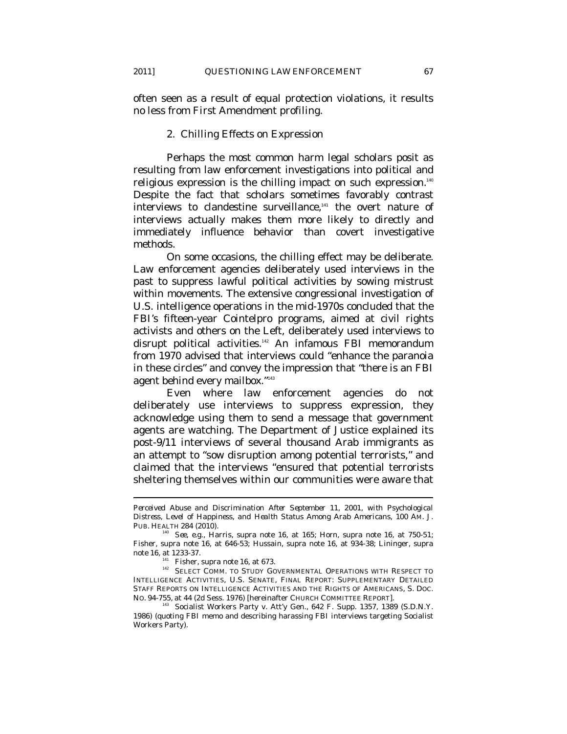often seen as a result of equal protection violations, it results no less from First Amendment profiling.

#### 2. Chilling Effects on Expression

Perhaps the most common harm legal scholars posit as resulting from law enforcement investigations into political and religious expression is the chilling impact on such expression.<sup>140</sup> Despite the fact that scholars sometimes favorably contrast interviews to clandestine surveillance,<sup>141</sup> the overt nature of interviews actually makes them more likely to directly and immediately influence behavior than covert investigative methods.

On some occasions, the chilling effect may be deliberate. Law enforcement agencies deliberately used interviews in the past to suppress lawful political activities by sowing mistrust within movements. The extensive congressional investigation of U.S. intelligence operations in the mid-1970s concluded that the FBI's fifteen-year Cointelpro programs, aimed at civil rights activists and others on the Left, deliberately used interviews to disrupt political activities.<sup>142</sup> An infamous FBI memorandum from 1970 advised that interviews could "enhance the paranoia in these circles" and convey the impression that "there is an FBI agent behind every mailbox."143

Even where law enforcement agencies do not deliberately use interviews to suppress expression, they acknowledge using them to send a message that government agents are watching. The Department of Justice explained its post-9/11 interviews of several thousand Arab immigrants as an attempt to "sow disruption among potential terrorists," and claimed that the interviews "ensured that potential terrorists sheltering themselves within our communities were aware that

*Perceived Abuse and Discrimination After September 11, 2001, with Psychological Distress, Level of Happiness, and Health Status Among Arab Americans*, 100 AM. J.

PUB. HEALTH 284 (2010). 140 *See, e.g.*, Harris, *supra* note 16, at 165; Horn, *supra* note 16, at 750-51; Fisher, *supra* note 16, at 646-53; Hussain, *supra* note 16, at 934-38; Lininger, *supra* note 16, at 1233-37.<br><sup>141</sup> Fisher, *supra* note 16, at 673.<br><sup>142</sup> SELECT COMM. TO STUDY GOVERNMENTAL OPERATIONS WITH RESPECT TO

INTELLIGENCE ACTIVITIES, U.S. SENATE, FINAL REPORT: SUPPLEMENTARY DETAILED STAFF REPORTS ON INTELLIGENCE ACTIVITIES AND THE RIGHTS OF AMERICANS, S. DOC. NO. 94-755, at 44 (2d Sess. 1976) [hereinafter CHURCH COMMITTEE REPORT].

<sup>&</sup>lt;sup>143</sup> Socialist Workers Party v. Att'y Gen., 642 F. Supp. 1357, 1389 (S.D.N.Y. 1986) (quoting FBI memo and describing harassing FBI interviews targeting Socialist Workers Party).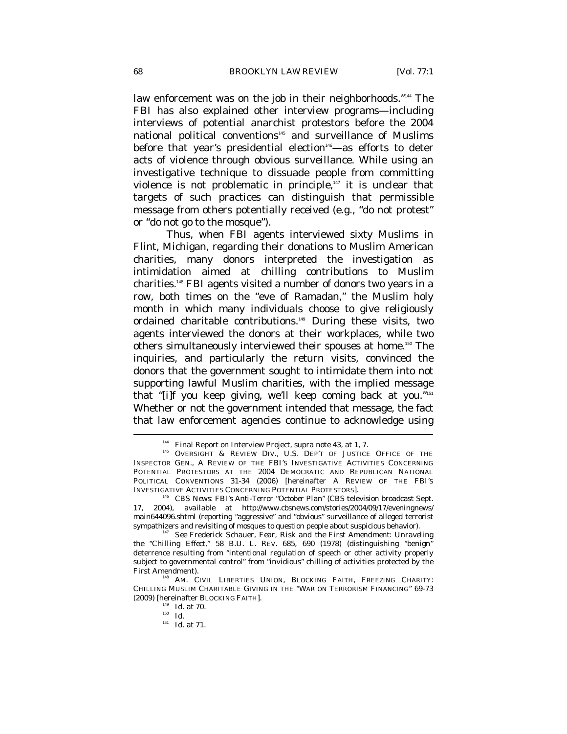law enforcement was on the job in their neighborhoods."<sup>144</sup> The FBI has also explained other interview programs—including interviews of potential anarchist protestors before the 2004 national political conventions<sup>145</sup> and surveillance of Muslims before that year's presidential election<sup>146</sup>—as efforts to deter acts of violence through obvious surveillance. While using an investigative technique to dissuade people from committing violence is not problematic in principle, $147$  it is unclear that targets of such practices can distinguish that permissible message from others potentially received (e.g., "do not protest" or "do not go to the mosque").

Thus, when FBI agents interviewed sixty Muslims in Flint, Michigan, regarding their donations to Muslim American charities, many donors interpreted the investigation as intimidation aimed at chilling contributions to Muslim charities.148 FBI agents visited a number of donors two years in a row, both times on the "eve of Ramadan," the Muslim holy month in which many individuals choose to give religiously ordained charitable contributions.<sup>149</sup> During these visits, two agents interviewed the donors at their workplaces, while two others simultaneously interviewed their spouses at home.<sup>150</sup> The inquiries, and particularly the return visits, convinced the donors that the government sought to intimidate them into not supporting lawful Muslim charities, with the implied message that "[i]f you keep giving, we'll keep coming back at you."151 Whether or not the government intended that message, the fact that law enforcement agencies continue to acknowledge using  $\overline{a}$ 

<sup>&</sup>lt;sup>144</sup> Final Report on Interview Project, *supra* note 43, at 1, 7.<br><sup>145</sup> OVERSIGHT & REVIEW DIV., U.S. DEP'T OF JUSTICE OFFICE OF THE INSPECTOR GEN., A REVIEW OF THE FBI'S INVESTIGATIVE ACTIVITIES CONCERNING POTENTIAL PROTESTORS AT THE 2004 DEMOCRATIC AND REPUBLICAN NATIONAL POLITICAL CONVENTIONS 31-34 (2006) [hereinafter A REVIEW OF THE FBI'S INVESTIGATIVE ACTIVITIES CONCERNING POTENTIAL PROTESTORS]. 146 *CBS News: FBI's Anti-Terror "October Plan"* (CBS television broadcast Sept.

<sup>17, 2004),</sup> *available at* http://www.cbsnews.com/stories/2004/09/17/eveningnews/ main644096.shtml (reporting "aggressive" and "obvious" surveillance of alleged terrorist sympathizers and revisiting of mosques to question people about suspicious behavior). 147 *See* Frederick Schauer, *Fear, Risk and the First Amendment: Unraveling* 

*the "Chilling Effect,"* 58 B.U. L. REV. 685, 690 (1978) (distinguishing "benign" deterrence resulting from "intentional regulation of speech or other activity properly subject to governmental control" from "invidious" chilling of activities protected by the

<sup>&</sup>lt;sup>148</sup> AM. CIVIL LIBERTIES UNION, BLOCKING FAITH, FREEZING CHARITY: CHILLING MUSLIM CHARITABLE GIVING IN THE "WAR ON TERRORISM FINANCING" 69-73 (2009) [hereinafter BLOCKING FAITH].

 $\int_{149}^{149}$  *Id.* at 70.

<sup>151</sup> *Id.* at 71.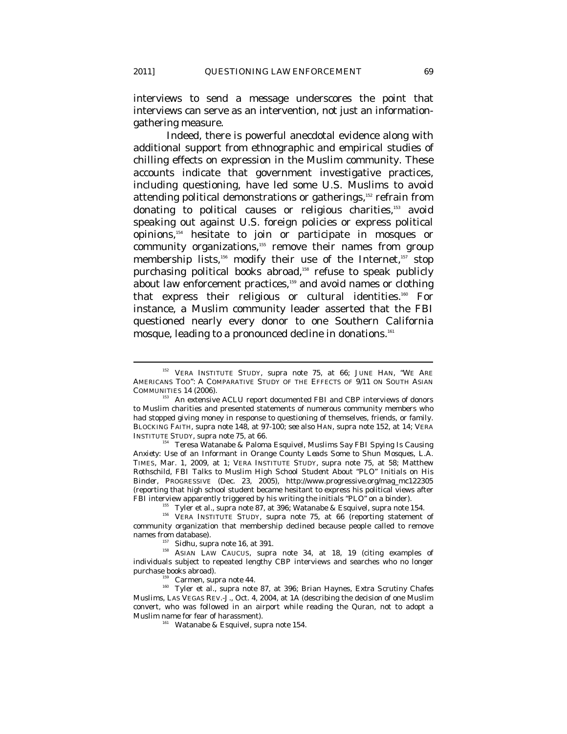interviews to send a message underscores the point that interviews can serve as an intervention, not just an informationgathering measure.

Indeed, there is powerful anecdotal evidence along with additional support from ethnographic and empirical studies of chilling effects on expression in the Muslim community. These accounts indicate that government investigative practices, including questioning, have led some U.S. Muslims to avoid attending political demonstrations or gatherings,<sup>152</sup> refrain from donating to political causes or religious charities,<sup>153</sup> avoid speaking out against U.S. foreign policies or express political opinions,154 hesitate to join or participate in mosques or community organizations,<sup>155</sup> remove their names from group membership lists,<sup>156</sup> modify their use of the Internet,<sup>157</sup> stop purchasing political books abroad,<sup>158</sup> refuse to speak publicly about law enforcement practices,<sup>159</sup> and avoid names or clothing that express their religious or cultural identities.160 For instance, a Muslim community leader asserted that the FBI questioned nearly every donor to one Southern California mosque, leading to a pronounced decline in donations.<sup>161</sup>

*Anxiety: Use of an Informant in Orange County Leads Some to Shun Mosques*, L.A. TIMES, Mar. 1, 2009, at 1; VERA INSTITUTE STUDY, *supra* note 75, at 58; Matthew Rothschild, *FBI Talks to Muslim High School Student About "PLO" Initials on His Binder*, PROGRESSIVE (Dec. 23, 2005), http://www.progressive.org/mag\_mc122305 (reporting that high school student became hesitant to express his political views after

FBI interview apparently triggered by his writing the initials "PLO" on a binder).<br>
<sup>155</sup> Tyler et al., *supra* note 87, at 396; Watanabe & Esquivel, *supra* note 154.<br>
<sup>156</sup> VERA INSTITUTE STUDY, *supra* note 75, at 66 ( community organization that membership declined because people called to remove

names from database).<br><sup>157</sup> Sidhu, *supra* note 16, at 391.<br><sup>158</sup> ASIAN LAW CAUCUS, *supra* note 34, at 18, 19 (citing examples of individuals subject to repeated lengthy CBP interviews and searches who no longer

 $\overline{a}$ 

<sup>159</sup> Carmen, *supra* note 44.<br><sup>160</sup> Tyler et al., *supra* note 87, at 396; Brian Haynes, *Extra Scrutiny Chafes Muslims*, LAS VEGAS REV.-J., Oct. 4, 2004, at 1A (describing the decision of one Muslim convert, who was followed in an airport while reading the Quran, not to adopt a Muslim name for fear of harassment). 161 Watanabe & Esquivel, *supra* note 154.

<sup>152</sup> VERA INSTITUTE STUDY, *supra* note 75, at 66; JUNE HAN, "WE ARE AMERICANS TOO": A COMPARATIVE STUDY OF THE EFFECTS OF 9/11 ON SOUTH ASIAN COMMUNITIES 14 (2006). 153 An extensive ACLU report documented FBI and CBP interviews of donors

to Muslim charities and presented statements of numerous community members who had stopped giving money in response to questioning of themselves, friends, or family. BLOCKING FAITH, *supra* note 148, at 97-100; *see also* HAN, *supra* note 152, at 14; VERA INSTITUTE STUDY, *supra* note 75, at 66. 154 Teresa Watanabe & Paloma Esquivel, *Muslims Say FBI Spying Is Causing*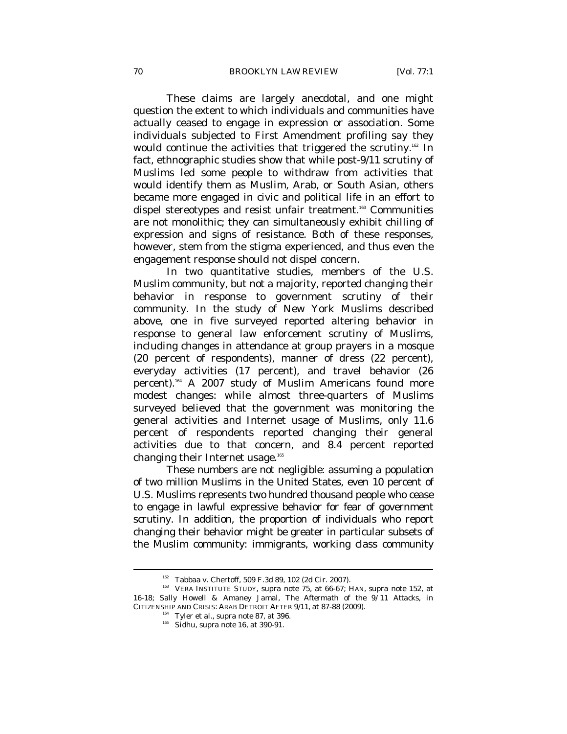These claims are largely anecdotal, and one might question the extent to which individuals and communities have actually ceased to engage in expression or association. Some individuals subjected to First Amendment profiling say they would continue the activities that triggered the scrutiny.<sup>162</sup> In fact, ethnographic studies show that while post-9/11 scrutiny of Muslims led some people to withdraw from activities that would identify them as Muslim, Arab, or South Asian, others became more engaged in civic and political life in an effort to dispel stereotypes and resist unfair treatment.<sup>163</sup> Communities are not monolithic; they can simultaneously exhibit chilling of expression and signs of resistance. Both of these responses, however, stem from the stigma experienced, and thus even the engagement response should not dispel concern.

In two quantitative studies, members of the U.S. Muslim community, but not a majority, reported changing their behavior in response to government scrutiny of their community. In the study of New York Muslims described above, one in five surveyed reported altering behavior in response to general law enforcement scrutiny of Muslims, including changes in attendance at group prayers in a mosque (20 percent of respondents), manner of dress (22 percent), everyday activities (17 percent), and travel behavior (26 percent).<sup>164</sup> A 2007 study of Muslim Americans found more modest changes: while almost three-quarters of Muslims surveyed believed that the government was monitoring the general activities and Internet usage of Muslims, only 11.6 percent of respondents reported changing their general activities due to that concern, and 8.4 percent reported changing their Internet usage.<sup>165</sup>

These numbers are not negligible: assuming a population of two million Muslims in the United States, even 10 percent of U.S. Muslims represents two hundred thousand people who cease to engage in lawful expressive behavior for fear of government scrutiny. In addition, the proportion of individuals who report changing their behavior might be greater in particular subsets of the Muslim community: immigrants, working class community

<sup>&</sup>lt;sup>162</sup> Tabbaa v. Chertoff, 509 F.3d 89, 102 (2d Cir. 2007).<br><sup>163</sup> VERA INSTITUTE STUDY, *supra* note 75, at 66-67; HAN, *supra* note 152, at 16-18; Sally Howell & Amaney Jamal, *The Aftermath of the 9/11 Attacks*, *in* CITIZENSHIP AND CRISIS: ARAB DETROIT AFTER 9/11, at 87-88 (2009).<br><sup>164</sup> Tyler et al., *supra* note 87, at 396.<br><sup>165</sup> Sidhu, *supra* note 16, at 390-91.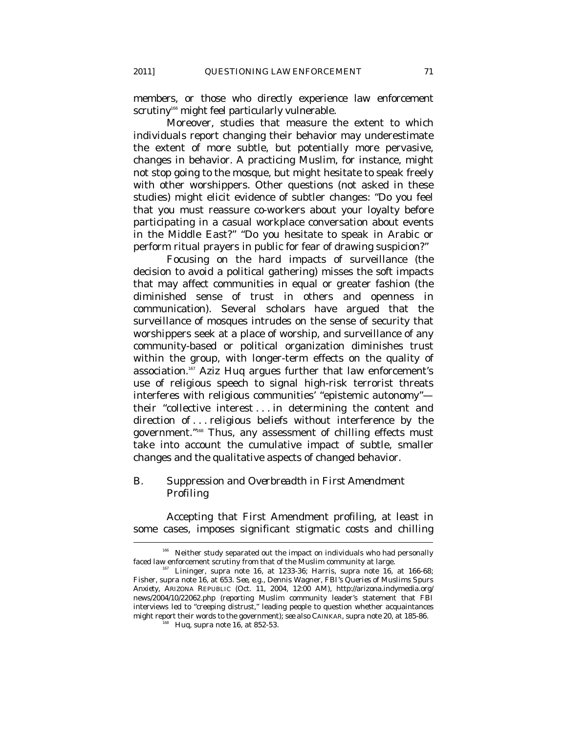members, or those who directly experience law enforcement scrutiny<sup>166</sup> might feel particularly vulnerable.

Moreover, studies that measure the extent to which individuals report changing their behavior may underestimate the extent of more subtle, but potentially more pervasive, changes in behavior. A practicing Muslim, for instance, might not stop going to the mosque, but might hesitate to speak freely with other worshippers. Other questions (not asked in these studies) might elicit evidence of subtler changes: "Do you feel that you must reassure co-workers about your loyalty before participating in a casual workplace conversation about events in the Middle East?" "Do you hesitate to speak in Arabic or perform ritual prayers in public for fear of drawing suspicion?"

Focusing on the *hard* impacts of surveillance (the decision to avoid a political gathering) misses the *soft* impacts that may affect communities in equal or greater fashion (the diminished sense of trust in others and openness in communication). Several scholars have argued that the surveillance of mosques intrudes on the sense of security that worshippers seek at a place of worship, and surveillance of any community-based or political organization diminishes trust within the group, with longer-term effects on the quality of association.<sup>167</sup> Aziz Huq argues further that law enforcement's use of religious speech to signal high-risk terrorist threats interferes with religious communities' "epistemic autonomy" their "collective interest . . . in determining the content and direction of . . . religious beliefs without interference by the government."168 Thus, any assessment of chilling effects must take into account the cumulative impact of subtle, smaller changes and the qualitative aspects of changed behavior.

# *B. Suppression and Overbreadth in First Amendment Profiling*

Accepting that First Amendment profiling, at least in some cases, imposes significant stigmatic costs and chilling l

 $166$  Neither study separated out the impact on individuals who had personally faced law enforcement scrutiny from that of the Muslim community at large. 167 Lininger, *supra* note 16, at 1233-36; Harris, *supra* note 16, at 166-68;

Fisher, *supra* note 16, at 653. *See, e.g.*, Dennis Wagner, *FBI's Queries of Muslims Spurs Anxiety*, ARIZONA REPUBLIC (Oct. 11, 2004, 12:00 AM), http://arizona.indymedia.org/ news/2004/10/22062.php (reporting Muslim community leader's statement that FBI interviews led to "creeping distrust," leading people to question whether acquaintances might report their words to the government); *see also* CAINKAR, *supra* note 20, at 185-86. 168 Huq, *supra* note 16, at 852-53.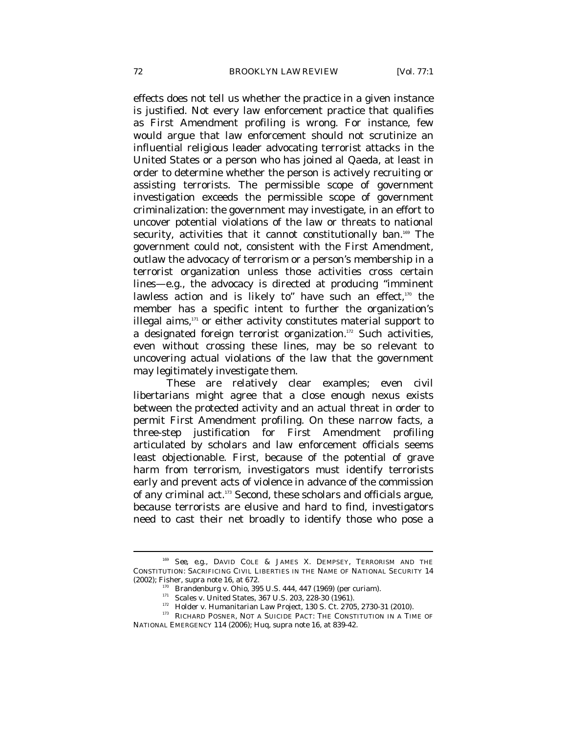effects does not tell us whether the practice in a given instance is justified. Not every law enforcement practice that qualifies as First Amendment profiling is wrong. For instance, few would argue that law enforcement should not scrutinize an influential religious leader advocating terrorist attacks in the United States or a person who has joined al Qaeda, at least in order to determine whether the person is actively recruiting or assisting terrorists. The permissible scope of government investigation exceeds the permissible scope of government criminalization: the government may investigate, in an effort to uncover potential violations of the law or threats to national security, activities that it cannot constitutionally ban.<sup>169</sup> The government could not, consistent with the First Amendment, outlaw the advocacy of terrorism or a person's membership in a terrorist organization unless those activities cross certain lines—e.g., the advocacy is directed at producing "imminent lawless action and is likely to" have such an effect, $170$  the member has a specific intent to further the organization's illegal aims, $171$  or either activity constitutes material support to a designated foreign terrorist organization.<sup>172</sup> Such activities, even without crossing these lines, may be so relevant to uncovering actual violations of the law that the government may legitimately investigate them.

These are relatively clear examples; even civil libertarians might agree that a close enough nexus exists between the protected activity and an actual threat in order to permit First Amendment profiling. On these narrow facts, a three-step justification for First Amendment profiling articulated by scholars and law enforcement officials seems least objectionable. First, because of the potential of grave harm from terrorism, investigators must identify terrorists early and prevent acts of violence in advance of the commission of any criminal act.173 Second, these scholars and officials argue, because terrorists are elusive and hard to find, investigators need to cast their net broadly to identify those who pose a

<sup>169</sup> *See, e.g*., DAVID COLE & JAMES X. DEMPSEY, TERRORISM AND THE CONSTITUTION: SACRIFICING CIVIL LIBERTIES IN THE NAME OF NATIONAL SECURITY 14 (2002); Fisher, *supra* note 16, at 672.

<sup>&</sup>lt;sup>170</sup> Brandenburg v. Ohio, 395 U.S. 444, 447 (1969) (per curiam).<br><sup>171</sup> Scales v. United States, 367 U.S. 203, 228-30 (1961).<br><sup>172</sup> Holder v. Humanitarian Law Project, 130 S. Ct. 2705, 2730-31 (2010).<br><sup>173</sup> RICHARD POSNER NATIONAL EMERGENCY 114 (2006); Huq, *supra* note 16, at 839-42.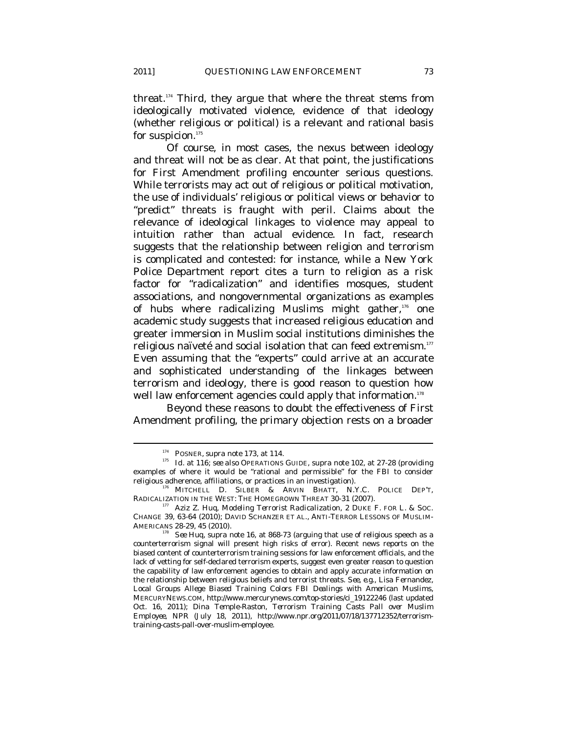threat.174 Third, they argue that where the threat stems from

ideologically motivated violence, evidence of that ideology (whether religious or political) is a relevant and rational basis for suspicion.<sup>175</sup>

Of course, in most cases, the nexus between ideology and threat will not be as clear. At that point, the justifications for First Amendment profiling encounter serious questions. While terrorists may act out of religious or political motivation, the use of individuals' religious or political views or behavior to "predict" threats is fraught with peril. Claims about the relevance of ideological linkages to violence may appeal to intuition rather than actual evidence. In fact, research suggests that the relationship between religion and terrorism is complicated and contested: for instance, while a New York Police Department report cites a turn to religion as a risk factor for "radicalization" and identifies mosques, student associations, and nongovernmental organizations as examples of hubs where radicalizing Muslims might gather, $176$  one academic study suggests that increased religious education and greater immersion in Muslim social institutions diminishes the religious naïveté and social isolation that can feed extremism.<sup>177</sup> Even assuming that the "experts" could arrive at an accurate and sophisticated understanding of the linkages between terrorism and ideology, there is good reason to question how well law enforcement agencies could apply that information.<sup>178</sup>

Beyond these reasons to doubt the effectiveness of First Amendment profiling, the primary objection rests on a broader

<sup>174</sup> POSNER, *supra* note 173, at 114. 175 *Id.* at 116; *see also* OPERATIONS GUIDE, *supra* note 102, at 27-28 (providing examples of where it would be "rational and permissible" for the FBI to consider religious adherence, affiliations, or practices in an investigation). 176 MITCHELL D. SILBER & ARVIN BHATT, N.Y.C. POLICE DEP'T,

RADICALIZATION IN THE WEST: THE HOMEGROWN THREAT 30-31 (2007). 177 Aziz Z. Huq, *Modeling Terrorist Radicalization*, 2 DUKE F. FOR L. & SOC.

CHANGE 39, 63-64 (2010); DAVID SCHANZER ET AL., ANTI-TERROR LESSONS OF MUSLIM-

AMERICANS 28-29, 45 (2010).<br><sup>178</sup> See Huq, *supra* note 16, at 868-73 (arguing that use of religious speech as a counterterrorism signal will present high risks of error). Recent news reports on the biased content of counterterrorism training sessions for law enforcement officials, and the lack of vetting for self-declared terrorism experts, suggest even greater reason to question the capability of law enforcement agencies to obtain and apply accurate information on the relationship between religious beliefs and terrorist threats. *See, e.g.*, Lisa Fernandez, *Local Groups Allege Biased Training Colors FBI Dealings with American Muslims*, MERCURYNEWS.COM, http://www.mercurynews.com/top-stories/ci\_19122246 (last updated Oct. 16, 2011); Dina Temple-Raston, *Terrorism Training Casts Pall over Muslim Employee*, NPR (July 18, 2011), http://www.npr.org/2011/07/18/137712352/terrorismtraining-casts-pall-over-muslim-employee.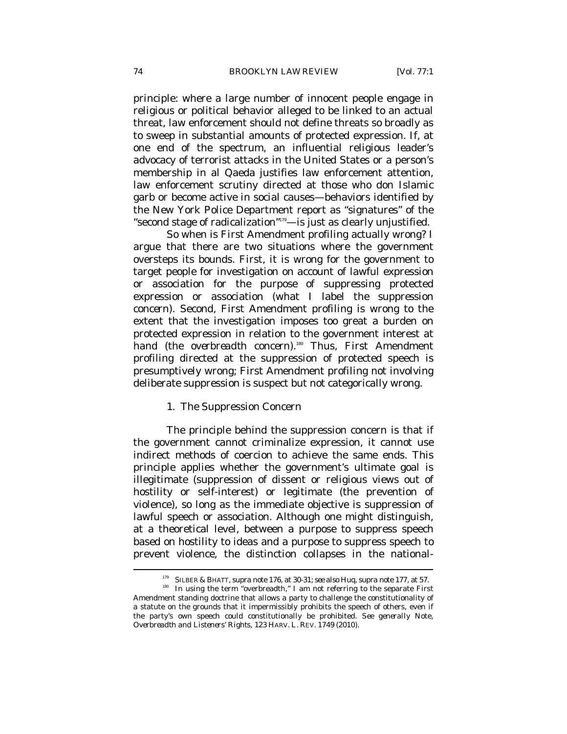principle: where a large number of innocent people engage in religious or political behavior alleged to be linked to an actual threat, law enforcement should not define threats so broadly as to sweep in substantial amounts of protected expression. If, at one end of the spectrum, an influential religious leader's advocacy of terrorist attacks in the United States or a person's membership in al Qaeda justifies law enforcement attention, law enforcement scrutiny directed at those who don Islamic garb or become active in social causes—behaviors identified by the New York Police Department report as "signatures" of the "second stage of radicalization"179—is just as clearly unjustified.

So when is First Amendment profiling actually wrong? I argue that there are two situations where the government oversteps its bounds. First, it is wrong for the government to target people for investigation on account of lawful expression or association for the *purpose* of suppressing protected expression or association (what I label the *suppression concern*). Second, First Amendment profiling is wrong to the extent that the investigation imposes too great a burden on protected expression in relation to the government interest at hand (the *overbreadth concern*).<sup>180</sup> Thus, First Amendment profiling directed at the suppression of protected speech is presumptively wrong; First Amendment profiling not involving deliberate suppression is suspect but not categorically wrong.

## 1. The Suppression Concern

The principle behind the suppression concern is that if the government cannot criminalize expression, it cannot use indirect methods of coercion to achieve the same ends. This principle applies whether the government's ultimate goal is illegitimate (suppression of dissent or religious views out of hostility or self-interest) or legitimate (the prevention of violence), so long as the immediate objective is suppression of lawful speech or association. Although one might distinguish, at a theoretical level, between a purpose to suppress speech based on hostility to ideas and a purpose to suppress speech to prevent violence, the distinction collapses in the national-

l

<sup>&</sup>lt;sup>179</sup> SILBER & BHATT, *supra* note 176, at 30-31; *see also* Huq, *supra* note 177, at 57.<br><sup>180</sup> In using the term "overbreadth," I am not referring to the separate First Amendment standing doctrine that allows a party to challenge the constitutionality of a statute on the grounds that it impermissibly prohibits the speech of others, even if the party's own speech could constitutionally be prohibited. *See generally* Note, *Overbreadth and Listeners' Rights*, 123 HARV. L. REV. 1749 (2010).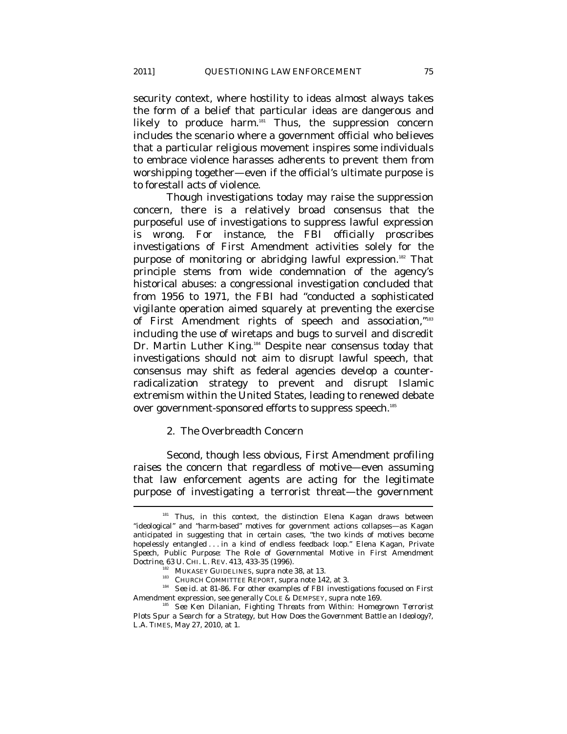security context, where hostility to ideas almost always takes the form of a belief that particular ideas are dangerous and likely to produce harm. ${}^{181}$  Thus, the suppression concern includes the scenario where a government official who believes that a particular religious movement inspires some individuals to embrace violence harasses adherents to prevent them from worshipping together—even if the official's ultimate purpose is to forestall acts of violence.

Though investigations today may raise the suppression concern, there is a relatively broad consensus that the purposeful use of investigations to suppress lawful expression is wrong. For instance, the FBI officially proscribes investigations of First Amendment activities solely for the purpose of monitoring or abridging lawful expression.<sup>182</sup> That principle stems from wide condemnation of the agency's historical abuses: a congressional investigation concluded that from 1956 to 1971, the FBI had "conducted a sophisticated vigilante operation aimed squarely at preventing the exercise of First Amendment rights of speech and association,"183 including the use of wiretaps and bugs to surveil and discredit Dr. Martin Luther King.<sup>184</sup> Despite near consensus today that investigations should not aim to disrupt lawful speech, that consensus may shift as federal agencies develop a counterradicalization strategy to prevent and disrupt Islamic extremism within the United States, leading to renewed debate over government-sponsored efforts to suppress speech.<sup>185</sup>

# 2. The Overbreadth Concern

Second, though less obvious, First Amendment profiling raises the concern that regardless of motive—even assuming that law enforcement agents are acting for the legitimate purpose of investigating a terrorist threat—the government

 $\overline{\phantom{a}}$ 

Thus, in this context, the distinction Elena Kagan draws between "ideological" and "harm-based" motives for government actions collapses—as Kagan anticipated in suggesting that in certain cases, "the two kinds of motives become hopelessly entangled . . . in a kind of endless feedback loop." Elena Kagan, *Private Speech, Public Purpose: The Role of Governmental Motive in First Amendment* 

<sup>&</sup>lt;sup>182</sup> MUKASEY GUIDELINES, *supra* note 38, at 13.<br><sup>183</sup> CHURCH COMMITTEE REPORT, *supra* note 142, at 3.<br><sup>184</sup> *See id.* at 81-86. For other examples of FBI investigations focused on First<br>Amendment expression, see gener

**See Ken Dilanian, Fighting Threats from Within: Homegrown Terrorist** *Plots Spur a Search for a Strategy, but How Does the Government Battle an Ideology?*, L.A. TIMES, May 27, 2010, at 1.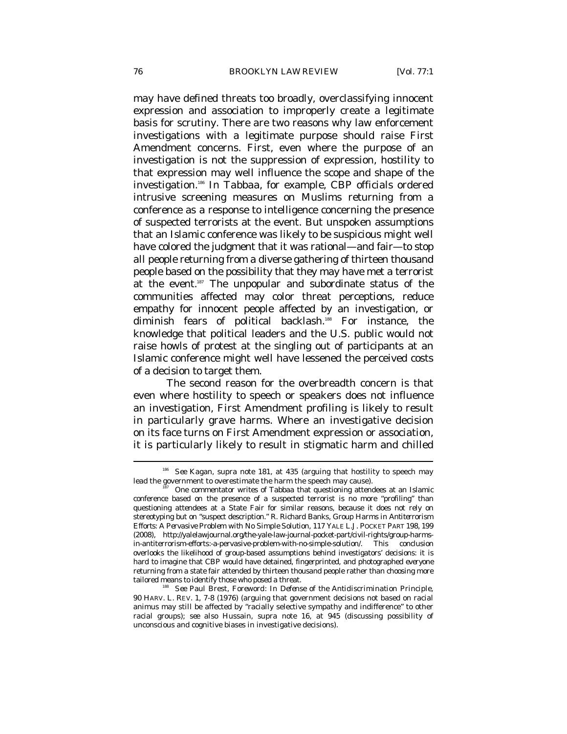may have defined threats too broadly, overclassifying innocent expression and association to improperly create a legitimate basis for scrutiny. There are two reasons why law enforcement investigations with a legitimate purpose should raise First Amendment concerns. First, even where the purpose of an investigation is not the suppression of expression, hostility to that expression may well influence the scope and shape of the investigation.186 In *Tabbaa*, for example, CBP officials ordered intrusive screening measures on Muslims returning from a conference as a response to intelligence concerning the presence of suspected terrorists at the event. But unspoken assumptions that an *Islamic* conference was likely to be suspicious might well have colored the judgment that it was rational—and fair—to stop *all* people returning from a diverse gathering of thirteen thousand people based on the possibility that they may have met a terrorist at the event.187 The unpopular and subordinate status of the communities affected may color threat perceptions, reduce empathy for innocent people affected by an investigation, or diminish fears of political backlash.<sup>188</sup> For instance, the knowledge that political leaders and the U.S. public would not raise howls of protest at the singling out of participants at an Islamic conference might well have lessened the perceived costs of a decision to target them.

The second reason for the overbreadth concern is that even where hostility to speech or speakers does not influence an investigation, First Amendment profiling is likely to result in particularly grave harms. Where an investigative decision on its face turns on First Amendment expression or association, it is particularly likely to result in stigmatic harm and chilled  $\overline{a}$ 

<sup>186</sup> *See* Kagan, *supra* note 181, at 435 (arguing that hostility to speech may lead the government to overestimate the harm the speech may cause). 187 One commentator writes of *Tabbaa* that questioning attendees at an Islamic

conference based on the presence of a suspected terrorist is no more "profiling" than questioning attendees at a State Fair for similar reasons, because it does not rely on stereotyping but on "suspect description." R. Richard Banks, *Group Harms in Antiterrorism Efforts: A Pervasive Problem with No Simple Solution*, 117 YALE L.J. POCKET PART 198, 199 (2008), http://yalelawjournal.org/the-yale-law-journal-pocket-part/civil-rights/group-harmsin-antiterrorism-efforts:-a-pervasive-problem-with-no-simple-solution/. This conclusion overlooks the likelihood of group-based assumptions behind investigators' decisions: it is hard to imagine that CBP would have detained, fingerprinted, and photographed *everyone* returning from a state fair attended by thirteen thousand people rather than choosing more

<sup>&</sup>lt;sup>188</sup> See Paul Brest, *Foreword: In Defense of the Antidiscrimination Principle*, 90 HARV. L. REV. 1, 7-8 (1976) (arguing that government decisions not based on racial animus may still be affected by "racially selective sympathy and indifference" to other racial groups); *see also* Hussain, *supra* note 16, at 945 (discussing possibility of unconscious and cognitive biases in investigative decisions).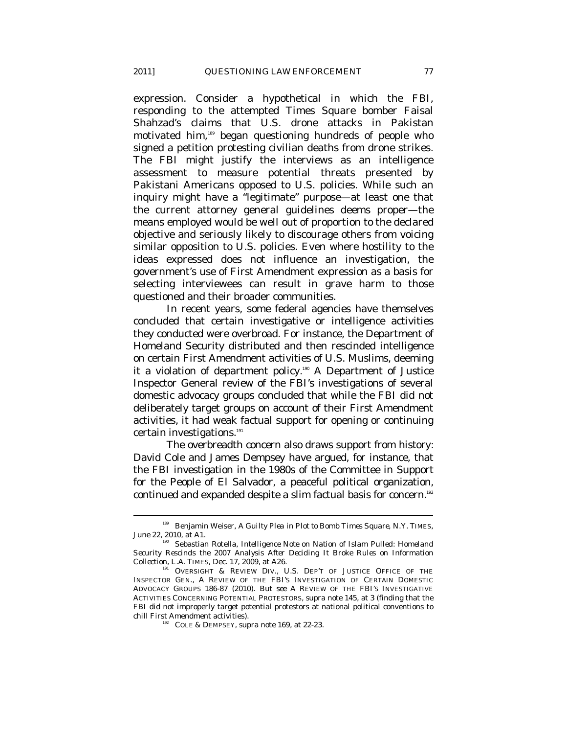expression. Consider a hypothetical in which the FBI, responding to the attempted Times Square bomber Faisal Shahzad's claims that U.S. drone attacks in Pakistan motivated him,189 began questioning hundreds of people who signed a petition protesting civilian deaths from drone strikes. The FBI might justify the interviews as an intelligence assessment to measure potential threats presented by Pakistani Americans opposed to U.S. policies. While such an inquiry might have a "legitimate" purpose—at least one that the current attorney general guidelines deems proper—the means employed would be well out of proportion to the declared objective and seriously likely to discourage others from voicing similar opposition to U.S. policies. Even where hostility to the ideas expressed does not influence an investigation, the government's use of First Amendment expression as a basis for selecting interviewees can result in grave harm to those questioned and their broader communities.

In recent years, some federal agencies have themselves concluded that certain investigative or intelligence activities they conducted were overbroad. For instance, the Department of Homeland Security distributed and then rescinded intelligence on certain First Amendment activities of U.S. Muslims, deeming it a violation of department policy.<sup>190</sup> A Department of Justice Inspector General review of the FBI's investigations of several domestic advocacy groups concluded that while the FBI did not deliberately target groups on account of their First Amendment activities, it had weak factual support for opening or continuing certain investigations.<sup>191</sup>

The overbreadth concern also draws support from history: David Cole and James Dempsey have argued, for instance, that the FBI investigation in the 1980s of the Committee in Support for the People of El Salvador, a peaceful political organization, continued and expanded despite a slim factual basis for concern.<sup>192</sup>

<sup>&</sup>lt;sup>189</sup> Benjamin Weiser, *A Guilty Plea in Plot to Bomb Times Square*, N.Y. TIMES, June 22, 2010, at A1.<br><sup>190</sup> Sebastian Rotella, *Intelligence Note on Nation of Islam Pulled: Homeland* 

*Security Rescinds the 2007 Analysis After Deciding It Broke Rules on Information Collection*, L.A. TIMES, Dec. 17, 2009, at A26. 191 OVERSIGHT & REVIEW DIV., U.S. DEP'T OF JUSTICE OFFICE OF THE

INSPECTOR GEN., A REVIEW OF THE FBI'S INVESTIGATION OF CERTAIN DOMESTIC ADVOCACY GROUPS 186-87 (2010). *But see* A REVIEW OF THE FBI'S INVESTIGATIVE ACTIVITIES CONCERNING POTENTIAL PROTESTORS, *supra* note 145, at 3 (finding that the FBI did not improperly target potential protestors at national political conventions to chill First Amendment activities). 192 COLE & DEMPSEY, *supra* note 169, at 22-23.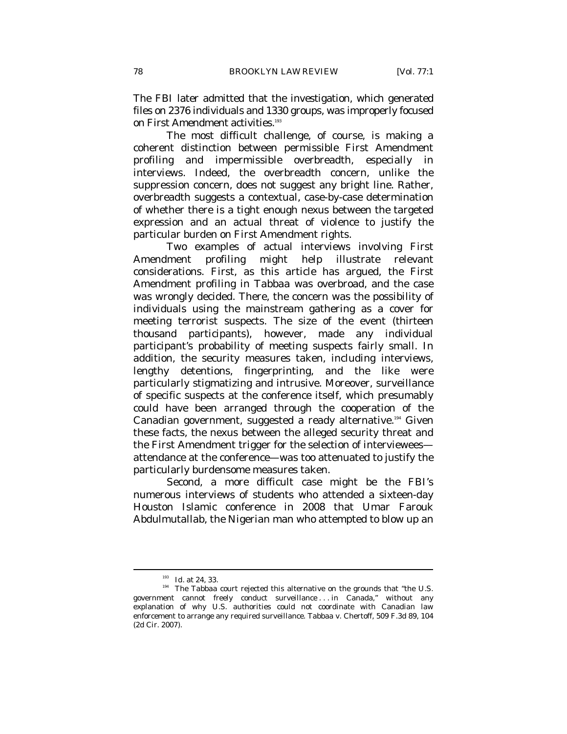The FBI later admitted that the investigation, which generated files on 2376 individuals and 1330 groups, was improperly focused on First Amendment activities.<sup>193</sup>

The most difficult challenge, of course, is making a coherent distinction between permissible First Amendment profiling and impermissible overbreadth, especially in interviews. Indeed, the overbreadth concern, unlike the suppression concern, does not suggest any bright line. Rather, overbreadth suggests a contextual, case-by-case determination of whether there is a tight enough nexus between the targeted expression and an actual threat of violence to justify the particular burden on First Amendment rights.

Two examples of actual interviews involving First Amendment profiling might help illustrate relevant considerations. First, as this article has argued, the First Amendment profiling in *Tabbaa* was overbroad, and the case was wrongly decided. There, the concern was the possibility of individuals using the mainstream gathering as a cover for meeting terrorist suspects. The size of the event (thirteen thousand participants), however, made any individual participant's probability of meeting suspects fairly small. In addition, the security measures taken, including interviews, lengthy detentions, fingerprinting, and the like were particularly stigmatizing and intrusive. Moreover, surveillance of specific suspects at the conference itself, which presumably could have been arranged through the cooperation of the Canadian government, suggested a ready alternative.194 Given these facts, the nexus between the alleged security threat and the First Amendment trigger for the selection of interviewees attendance at the conference—was too attenuated to justify the particularly burdensome measures taken.

Second, a more difficult case might be the FBI's numerous interviews of students who attended a sixteen-day Houston Islamic conference in 2008 that Umar Farouk Abdulmutallab, the Nigerian man who attempted to blow up an

<sup>&</sup>lt;sup>193</sup> *Id.* at 24, 33.<br><sup>194</sup> The *Tabbaa* court rejected this alternative on the grounds that "the U.S. government cannot freely conduct surveillance . . . in Canada," without any explanation of why U.S. authorities could not coordinate with Canadian law enforcement to arrange any required surveillance. Tabbaa v. Chertoff, 509 F.3d 89, 104 (2d Cir. 2007).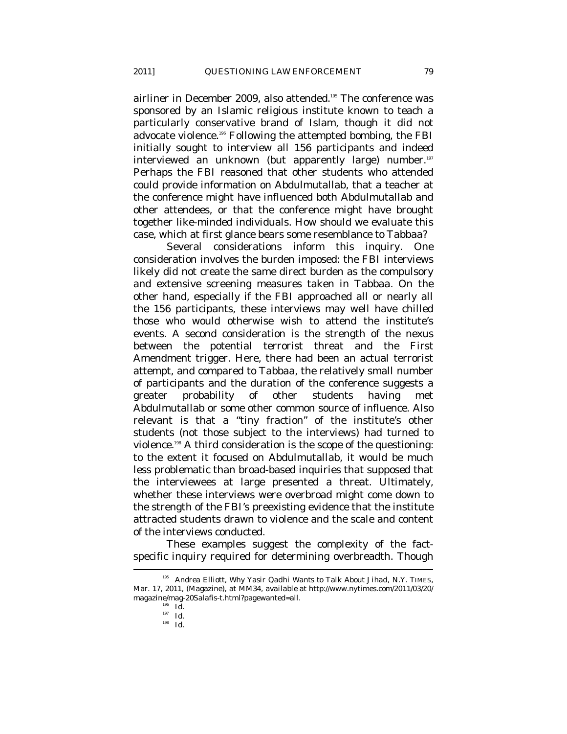airliner in December 2009, also attended.<sup>195</sup> The conference was sponsored by an Islamic religious institute known to teach a particularly conservative brand of Islam, though it did not advocate violence.196 Following the attempted bombing, the FBI initially sought to interview all 156 participants and indeed interviewed an unknown (but apparently large) number.<sup>197</sup> Perhaps the FBI reasoned that other students who attended could provide information on Abdulmutallab, that a teacher at the conference might have influenced both Abdulmutallab and other attendees, or that the conference might have brought together like-minded individuals. How should we evaluate this case, which at first glance bears some resemblance to *Tabbaa*?

Several considerations inform this inquiry. One consideration involves the burden imposed: the FBI interviews likely did not create the same direct burden as the compulsory and extensive screening measures taken in *Tabbaa*. On the other hand, especially if the FBI approached all or nearly all the 156 participants, these interviews may well have chilled those who would otherwise wish to attend the institute's events. A second consideration is the strength of the nexus between the potential terrorist threat and the First Amendment trigger. Here, there had been an actual terrorist attempt, and compared to *Tabbaa*, the relatively small number of participants and the duration of the conference suggests a greater probability of other students having met Abdulmutallab or some other common source of influence. Also relevant is that a "tiny fraction" of the institute's other students (not those subject to the interviews) had turned to violence.198 A third consideration is the scope of the questioning: to the extent it focused on Abdulmutallab, it would be much less problematic than broad-based inquiries that supposed that the interviewees at large presented a threat. Ultimately, whether these interviews were overbroad might come down to the strength of the FBI's preexisting evidence that the institute attracted students drawn to violence and the scale and content of the interviews conducted.

These examples suggest the complexity of the factspecific inquiry required for determining overbreadth. Though  $\overline{\phantom{a}}$ 

<sup>195</sup> Andrea Elliott, *Why Yasir Qadhi Wants to Talk About Jihad*, N.Y. TIMES, Mar. 17, 2011, (Magazine), at MM34, *available at* http://www.nytimes.com/2011/03/20/ magazine/mag-20Salafis-t.html?pagewanted=all. 196 *Id*. 197 *Id.*

<sup>198</sup> *Id.*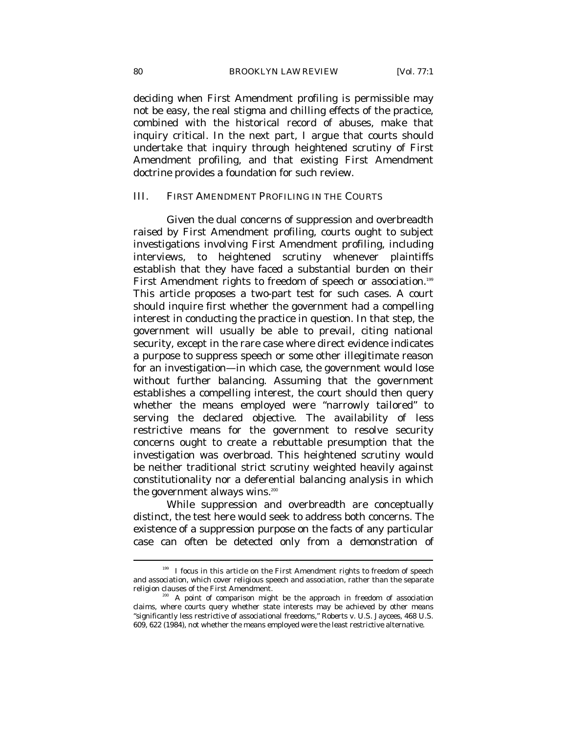deciding when First Amendment profiling is permissible may not be easy, the real stigma and chilling effects of the practice, combined with the historical record of abuses, make that inquiry critical. In the next part, I argue that courts should undertake that inquiry through heightened scrutiny of First Amendment profiling, and that existing First Amendment doctrine provides a foundation for such review.

# III. FIRST AMENDMENT PROFILING IN THE COURTS

Given the dual concerns of suppression and overbreadth raised by First Amendment profiling, courts ought to subject investigations involving First Amendment profiling, including interviews, to heightened scrutiny whenever plaintiffs establish that they have faced a substantial burden on their First Amendment rights to freedom of speech or association.<sup>199</sup> This article proposes a two-part test for such cases. A court should inquire first whether the government had a compelling interest in conducting the practice in question. In that step, the government will usually be able to prevail, citing national security, except in the rare case where direct evidence indicates a purpose to suppress speech or some other illegitimate reason for an investigation—in which case, the government would lose without further balancing. Assuming that the government establishes a compelling interest, the court should then query whether the means employed were "narrowly tailored" to serving the declared objective. The availability of less restrictive means for the government to resolve security concerns ought to create a rebuttable presumption that the investigation was overbroad. This heightened scrutiny would be neither traditional strict scrutiny weighted heavily against constitutionality nor a deferential balancing analysis in which the government always wins.<sup>200</sup>

While suppression and overbreadth are conceptually distinct, the test here would seek to address both concerns. The existence of a suppression purpose on the facts of any particular case can often be detected only from a demonstration of

<sup>&</sup>lt;sup>199</sup> I focus in this article on the First Amendment rights to freedom of speech and association, which cover religious speech and association, rather than the separate

religion clauses of the First Amendment.<br><sup>200</sup> A point of comparison might be the approach in freedom of association claims, where courts query whether state interests may be achieved by other means "significantly less restrictive of associational freedoms," Roberts v. U.S. Jaycees, 468 U.S. 609, 622 (1984), not whether the means employed were the least restrictive alternative.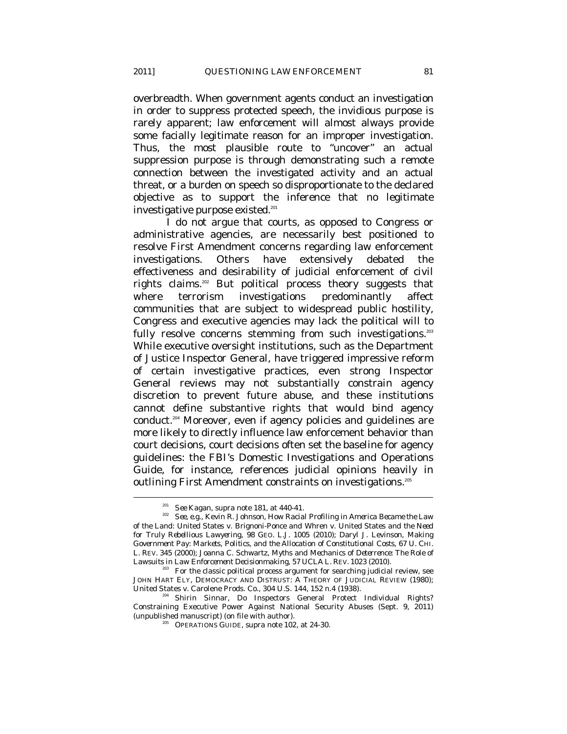overbreadth. When government agents conduct an investigation in order to suppress protected speech, the invidious purpose is rarely apparent; law enforcement will almost always provide some facially legitimate reason for an improper investigation. Thus, the most plausible route to "uncover" an actual suppression purpose is through demonstrating such a remote connection between the investigated activity and an actual threat, or a burden on speech so disproportionate to the declared objective as to support the inference that no legitimate investigative purpose existed.<sup>201</sup>

I do not argue that courts, as opposed to Congress or administrative agencies, are necessarily best positioned to resolve First Amendment concerns regarding law enforcement investigations. Others have extensively debated the effectiveness and desirability of judicial enforcement of civil rights claims.202 But political process theory suggests that where terrorism investigations predominantly affect communities that are subject to widespread public hostility, Congress and executive agencies may lack the political will to fully resolve concerns stemming from such investigations.<sup>203</sup> While executive oversight institutions, such as the Department of Justice Inspector General, have triggered impressive reform of certain investigative practices, even strong Inspector General reviews may not substantially constrain agency discretion to prevent future abuse, and these institutions cannot define substantive rights that would bind agency conduct.<sup>204</sup> Moreover, even if agency policies and guidelines are more likely to directly influence law enforcement behavior than court decisions, court decisions often set the baseline for agency guidelines: the FBI's Domestic Investigations and Operations Guide, for instance, references judicial opinions heavily in outlining First Amendment constraints on investigations.<sup>205</sup>

<sup>&</sup>lt;sup>201</sup> *See* Kagan, *supra* note 181, at 440-41.<br><sup>202</sup> *See, e.g.*, Kevin R. Johnson, *How Racial Profiling in America Became the Law of the Land:* United States v. Brignoni-Ponce *and* Whren v. United States *and the Need for Truly Rebellious Lawyering*, 98 GEO. L.J. 1005 (2010); Daryl J. Levinson, *Making Government Pay: Markets, Politics, and the Allocation of Constitutional Costs*, 67 U. CHI. L. REV. 345 (2000); Joanna C. Schwartz, *Myths and Mechanics of Deterrence: The Role of* 

<sup>&</sup>lt;sup>203</sup> For the classic political process argument for searching judicial review, see JOHN HART ELY, DEMOCRACY AND DISTRUST: A THEORY OF JUDICIAL REVIEW (1980); United States v. Carolene Prods. Co., 304 U.S. 144, 152 n.4 (1938).<br><sup>204</sup> Shirin Sinnar, Do Inspectors General Protect Individual Rights?

Constraining Executive Power Against National Security Abuses (Sept. 9, 2011) (unpublished manuscript) (on file with author). 205 OPERATIONS GUIDE, *supra* note 102, at 24-30.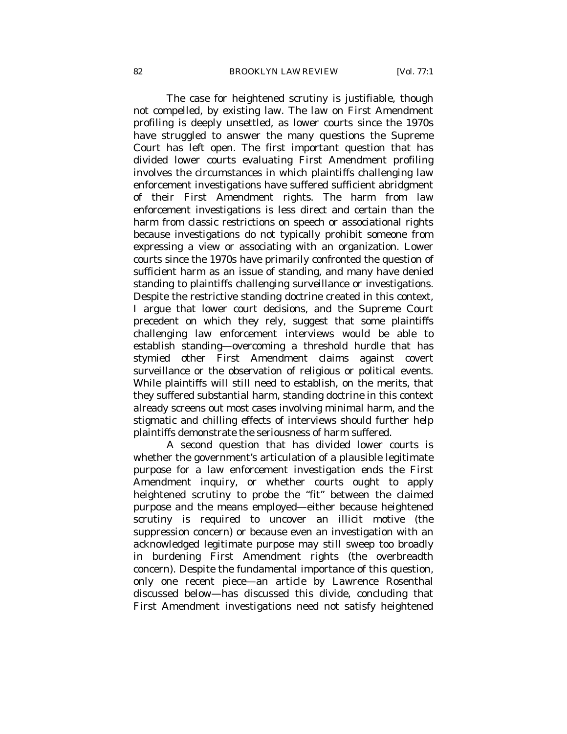The case for heightened scrutiny is justifiable, though not compelled, by existing law. The law on First Amendment profiling is deeply unsettled, as lower courts since the 1970s have struggled to answer the many questions the Supreme Court has left open. The first important question that has divided lower courts evaluating First Amendment profiling involves the circumstances in which plaintiffs challenging law enforcement investigations have suffered sufficient abridgment of their First Amendment rights. The harm from law enforcement investigations is less direct and certain than the harm from classic restrictions on speech or associational rights because investigations do not typically prohibit someone from expressing a view or associating with an organization. Lower courts since the 1970s have primarily confronted the question of sufficient harm as an issue of standing, and many have denied standing to plaintiffs challenging surveillance or investigations. Despite the restrictive standing doctrine created in this context, I argue that lower court decisions, and the Supreme Court precedent on which they rely, suggest that some plaintiffs challenging law enforcement interviews would be able to establish standing—overcoming a threshold hurdle that has stymied other First Amendment claims against covert surveillance or the observation of religious or political events. While plaintiffs will still need to establish, on the merits, that they suffered substantial harm, standing doctrine in this context already screens out most cases involving minimal harm, and the stigmatic and chilling effects of interviews should further help plaintiffs demonstrate the seriousness of harm suffered.

A second question that has divided lower courts is whether the government's articulation of a plausible legitimate purpose for a law enforcement investigation ends the First Amendment inquiry, or whether courts ought to apply heightened scrutiny to probe the "fit" between the claimed purpose and the means employed—either because heightened scrutiny is required to uncover an illicit motive (the suppression concern) or because even an investigation with an acknowledged legitimate purpose may still sweep too broadly in burdening First Amendment rights (the overbreadth concern). Despite the fundamental importance of this question, only one recent piece—an article by Lawrence Rosenthal discussed below—has discussed this divide, concluding that First Amendment investigations need not satisfy heightened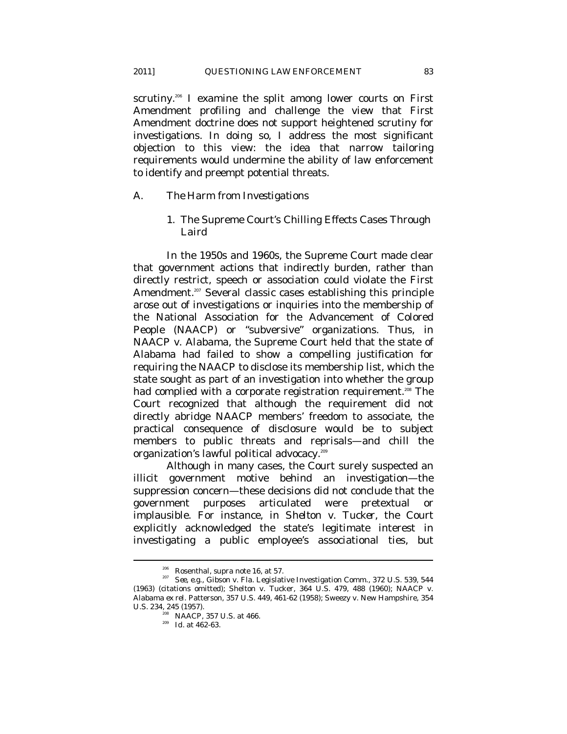scrutiny.<sup>206</sup> I examine the split among lower courts on First Amendment profiling and challenge the view that First Amendment doctrine does not support heightened scrutiny for investigations. In doing so, I address the most significant objection to this view: the idea that narrow tailoring requirements would undermine the ability of law enforcement to identify and preempt potential threats.

#### *A. The Harm from Investigations*

1. The Supreme Court's Chilling Effects Cases Through *Laird*

In the 1950s and 1960s, the Supreme Court made clear that government actions that indirectly burden, rather than directly restrict, speech or association could violate the First Amendment.<sup>207</sup> Several classic cases establishing this principle arose out of investigations or inquiries into the membership of the National Association for the Advancement of Colored People (NAACP) or "subversive" organizations. Thus, in *NAACP v. Alabama*, the Supreme Court held that the state of Alabama had failed to show a compelling justification for requiring the NAACP to disclose its membership list, which the state sought as part of an investigation into whether the group had complied with a corporate registration requirement.<sup>208</sup> The Court recognized that although the requirement did not directly abridge NAACP members' freedom to associate, the practical consequence of disclosure would be to subject members to public threats and reprisals—and chill the organization's lawful political advocacy.209

Although in many cases, the Court surely suspected an illicit government motive behind an investigation—the suppression concern—these decisions did not conclude that the government purposes articulated were pretextual or implausible. For instance, in *Shelton v. Tucker*, the Court explicitly acknowledged the state's legitimate interest in investigating a public employee's associational ties, but

<sup>&</sup>lt;sup>206</sup> Rosenthal, *supra* note 16, at 57.<br><sup>207</sup> *See, e.g.*, Gibson v. Fla. Legislative Investigation Comm., 372 U.S. 539, 544 (1963) (citations omitted); Shelton v. Tucker, 364 U.S. 479, 488 (1960); NAACP v. Alabama *ex rel.* Patterson, 357 U.S. 449, 461-62 (1958); Sweezy v. New Hampshire, 354 U.S. 234, 245 (1957). 208 *NAACP*, 357 U.S. at 466. 209 *Id.* at 462-63.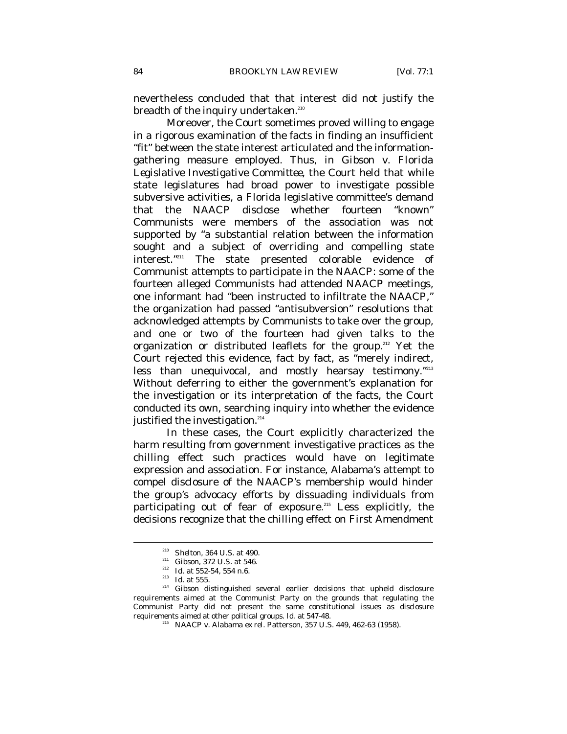nevertheless concluded that that interest did not justify the breadth of the inquiry undertaken.<sup>210</sup>

Moreover, the Court sometimes proved willing to engage in a rigorous examination of the facts in finding an insufficient "fit" between the state interest articulated and the informationgathering measure employed. Thus, in *Gibson v. Florida Legislative Investigative Committee*, the Court held that while state legislatures had broad power to investigate possible subversive activities, a Florida legislative committee's demand that the NAACP disclose whether fourteen "known" Communists were members of the association was not supported by "a substantial relation between the information sought and a subject of overriding and compelling state interest."211 The state presented colorable evidence of Communist attempts to participate in the NAACP: some of the fourteen alleged Communists had attended NAACP meetings, one informant had "been instructed to infiltrate the NAACP," the organization had passed "antisubversion" resolutions that acknowledged attempts by Communists to take over the group, and one or two of the fourteen had given talks to the organization or distributed leaflets for the group.<sup>212</sup> Yet the Court rejected this evidence, fact by fact, as "merely indirect, less than unequivocal, and mostly hearsay testimony."<sup>213</sup> Without deferring to either the government's explanation for the investigation or its interpretation of the facts, the Court conducted its own, searching inquiry into whether the evidence justified the investigation.<sup>214</sup>

In these cases, the Court explicitly characterized the harm resulting from government investigative practices as the chilling effect such practices would have on legitimate expression and association. For instance, Alabama's attempt to compel disclosure of the NAACP's membership would hinder the group's advocacy efforts by dissuading individuals from participating out of fear of exposure.<sup>215</sup> Less explicitly, the decisions recognize that the chilling effect on First Amendment

<sup>&</sup>lt;sup>210</sup> *Shelton*, 364 U.S. at 490.<br><sup>211</sup> *Gibson*, 372 U.S. at 546.<br><sup>212</sup> *Id.* at 552-54, 554 n.6.<br><sup>213</sup> *Id.* at 555.<br><sup>214</sup> *Gibson* distinguished several earlier decisions that upheld disclosure requirements aimed at the Communist Party on the grounds that regulating the Communist Party did not present the same constitutional issues as disclosure requirements aimed at other political groups. *Id.* at 547-48. 215 NAACP v. Alabama *ex rel.* Patterson, 357 U.S. 449, 462-63 (1958).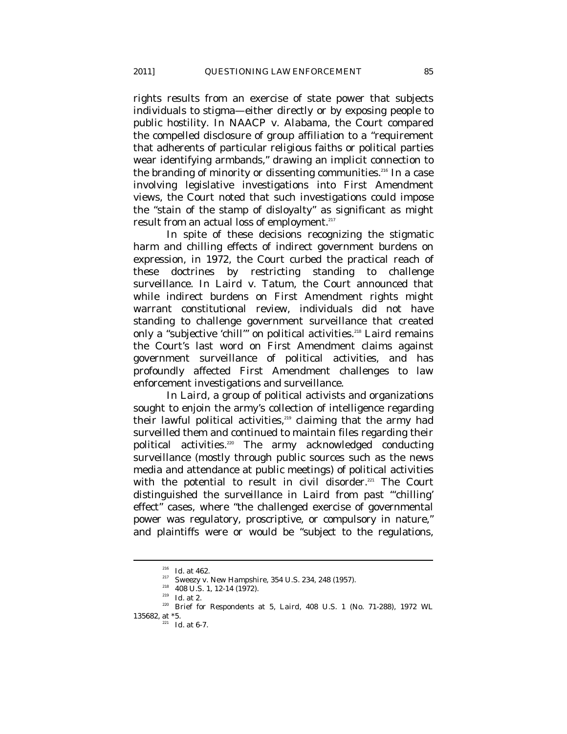rights results from an exercise of state power that subjects individuals to stigma—either directly or by exposing people to public hostility. In *NAACP v. Alabama*, the Court compared the compelled disclosure of group affiliation to a "requirement that adherents of particular religious faiths or political parties wear identifying armbands," drawing an implicit connection to the branding of minority or dissenting communities.<sup>216</sup> In a case involving legislative investigations into First Amendment views, the Court noted that such investigations could impose the "stain of the stamp of disloyalty" as significant as might result from an actual loss of employment.<sup>217</sup>

In spite of these decisions recognizing the stigmatic harm and chilling effects of indirect government burdens on expression, in 1972, the Court curbed the practical reach of these doctrines by restricting standing to challenge surveillance. In *Laird v. Tatum*, the Court announced that while indirect burdens on First Amendment rights might warrant constitutional review, individuals did not have standing to challenge government surveillance that created only a "subjective 'chill'" on political activities.<sup>218</sup> *Laird* remains the Court's last word on First Amendment claims against government surveillance of political activities, and has profoundly affected First Amendment challenges to law enforcement investigations and surveillance.

In *Laird*, a group of political activists and organizations sought to enjoin the army's collection of intelligence regarding their lawful political activities,<sup>219</sup> claiming that the army had surveilled them and continued to maintain files regarding their political activities.<sup>220</sup> The army acknowledged conducting surveillance (mostly through public sources such as the news media and attendance at public meetings) of political activities with the potential to result in civil disorder.<sup>221</sup> The Court distinguished the surveillance in *Laird* from past "'chilling' effect" cases, where "the challenged exercise of governmental power was regulatory, proscriptive, or compulsory in nature," and plaintiffs were or would be "subject to the regulations,

<sup>&</sup>lt;sup>216</sup> *Id.* at 462.<br><sup>217</sup> Sweezy v. New Hampshire, 354 U.S. 234, 248 (1957).<br><sup>218</sup> 408 U.S. 1, 12-14 (1972).<br><sup>219</sup> *Id.* at 2.<br><sup>220</sup> Brief for Respondents at 5, *Laird*, 408 U.S. 1 (No. 71-288), 1972 WL 135682, at  $*5$ .<br> $\frac{221}{221}$  *Id.* at 6-7.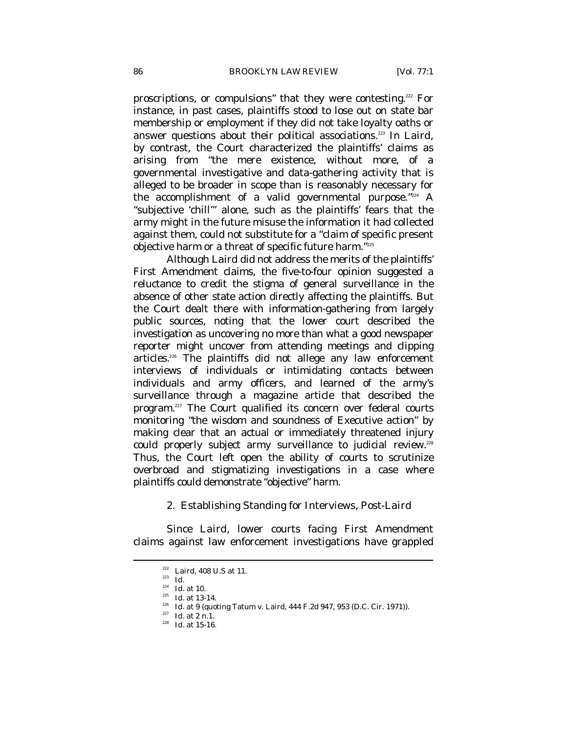proscriptions, or compulsions" that they were contesting.222 For instance, in past cases, plaintiffs stood to lose out on state bar membership or employment if they did not take loyalty oaths or answer questions about their political associations.223 In *Laird*, by contrast, the Court characterized the plaintiffs' claims as arising from "the mere existence, without more, of a governmental investigative and data-gathering activity that is alleged to be broader in scope than is reasonably necessary for the accomplishment of a valid governmental purpose. $\frac{m_{224}}{4}$  A "subjective 'chill'" alone, such as the plaintiffs' fears that the army might in the future misuse the information it had collected against them, could not substitute for a "claim of specific present objective harm or a threat of specific future harm."225

Although *Laird* did not address the merits of the plaintiffs' First Amendment claims, the five-to-four opinion suggested a reluctance to credit the stigma of general surveillance in the absence of other state action directly affecting the plaintiffs. But the Court dealt there with information-gathering from largely public sources, noting that the lower court described the investigation as uncovering no more than what a good newspaper reporter might uncover from attending meetings and clipping articles.226 The plaintiffs did not allege any law enforcement interviews of individuals or intimidating contacts between individuals and army officers, and learned of the army's surveillance through a magazine article that described the program.<sup>227</sup> The Court qualified its concern over federal courts monitoring "the wisdom and soundness of Executive action" by making clear that an actual or immediately threatened injury could properly subject army surveillance to judicial review.<sup>228</sup> Thus, the Court left open the ability of courts to scrutinize overbroad and stigmatizing investigations in a case where plaintiffs could demonstrate "objective" harm.

2. Establishing Standing for Interviews, Post-*Laird*

Since *Laird*, lower courts facing First Amendment claims against law enforcement investigations have grappled

<sup>&</sup>lt;sup>222</sup> *Laird*, 408 U.S at 11.<br><sup>223</sup> *Id.*<br><sup>224</sup> *Id.* at 10.

<sup>&</sup>lt;sup>225</sup> *Id.* at 13-14.<br><sup>226</sup> *Id.* at 9 (quoting Tatum v. Laird, 444 F.2d 947, 953 (D.C. Cir. 1971)).<br><sup>227</sup> *Id.* at 2 n.1.<br>*<sup>228</sup> Id.* at 15-16.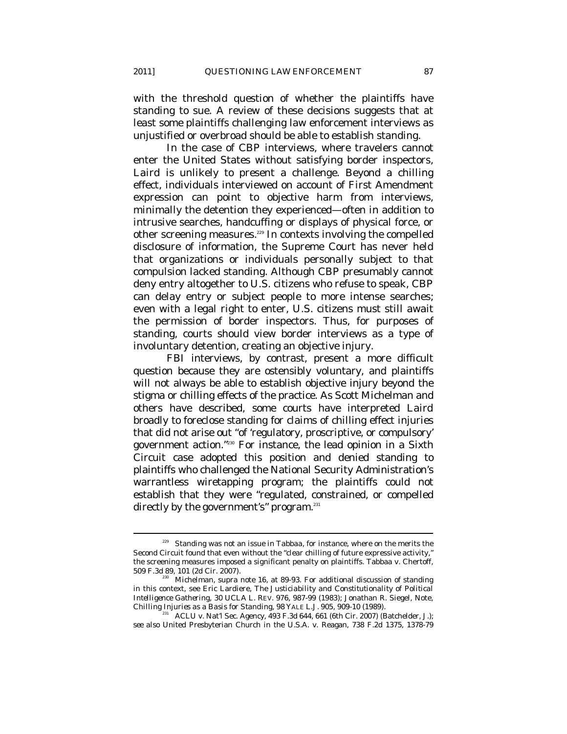with the threshold question of whether the plaintiffs have standing to sue. A review of these decisions suggests that at least some plaintiffs challenging law enforcement interviews as unjustified or overbroad should be able to establish standing.

In the case of CBP interviews, where travelers cannot enter the United States without satisfying border inspectors, *Laird* is unlikely to present a challenge. Beyond a chilling effect, individuals interviewed on account of First Amendment expression can point to objective harm from interviews, minimally the detention they experienced—often in addition to intrusive searches, handcuffing or displays of physical force, or other screening measures.<sup>229</sup> In contexts involving the compelled disclosure of information, the Supreme Court has never held that organizations or individuals personally subject to that compulsion lacked standing. Although CBP presumably cannot deny entry altogether to U.S. citizens who refuse to speak, CBP can delay entry or subject people to more intense searches; even with a legal right to enter, U.S. citizens must still await the permission of border inspectors. Thus, for purposes of standing, courts should view border interviews as a type of involuntary detention, creating an objective injury.

FBI interviews, by contrast, present a more difficult question because they are ostensibly voluntary, and plaintiffs will not always be able to establish objective injury beyond the stigma or chilling effects of the practice. As Scott Michelman and others have described, some courts have interpreted *Laird* broadly to foreclose standing for claims of chilling effect injuries that did not arise out "of 'regulatory, proscriptive, or compulsory' government action."230 For instance, the lead opinion in a Sixth Circuit case adopted this position and denied standing to plaintiffs who challenged the National Security Administration's warrantless wiretapping program; the plaintiffs could not establish that they were "regulated, constrained, or compelled directly by the government's" program.<sup>231</sup>

<sup>229</sup> Standing was not an issue in *Tabbaa*, for instance, where on the merits the Second Circuit found that even without the "clear chilling of future expressive activity," the screening measures imposed a significant penalty on plaintiffs. Tabbaa v. Chertoff, 509 F.3d 89, 101 (2d Cir. 2007).

<sup>&</sup>lt;sup>230</sup> Michelman, *supra* note 16, at 89-93. For additional discussion of standing in this context, see Eric Lardiere, *The Justiciability and Constitutionality of Political Intelligence Gathering*, 30 UCLA L. REV. 976, 987-99 (1983); Jonathan R. Siegel, Note,

ACLU v. Nat'l Sec. Agency, 493 F.3d 644, 661 (6th Cir. 2007) (Batchelder, J.); *see also* United Presbyterian Church in the U.S.A. v. Reagan, 738 F.2d 1375, 1378-79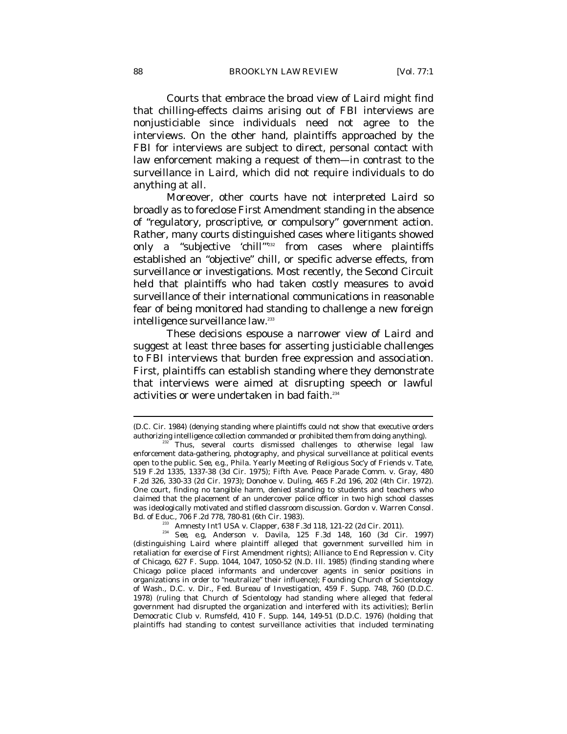Courts that embrace the broad view of *Laird* might find that chilling-effects claims arising out of FBI interviews are nonjusticiable since individuals need not agree to the interviews. On the other hand, plaintiffs approached by the FBI for interviews are subject to direct, personal contact with law enforcement making a request of them—in contrast to the surveillance in *Laird*, which did not require individuals to do anything at all.

Moreover, other courts have not interpreted *Laird* so broadly as to foreclose First Amendment standing in the absence of "regulatory, proscriptive, or compulsory" government action. Rather, many courts distinguished cases where litigants showed only a "subjective 'chill<sup>'"232</sup> from cases where plaintiffs established an "objective" chill, or specific adverse effects, from surveillance or investigations. Most recently, the Second Circuit held that plaintiffs who had taken costly measures to avoid surveillance of their international communications in reasonable fear of being monitored had standing to challenge a new foreign intelligence surveillance law.<sup>233</sup>

These decisions espouse a narrower view of *Laird* and suggest at least three bases for asserting justiciable challenges to FBI interviews that burden free expression and association. First, plaintiffs can establish standing where they demonstrate that interviews were aimed at disrupting speech or lawful activities or were undertaken in bad faith.<sup>234</sup>

<sup>(</sup>D.C. Cir. 1984) (denying standing where plaintiffs could not show that executive orders authorizing intelligence collection commanded or prohibited them from doing anything).<br><sup>232</sup> Thus, several courts dismissed challenges to otherwise legal law

enforcement data-gathering, photography, and physical surveillance at political events open to the public. *See, e.g.*, Phila. Yearly Meeting of Religious Soc'y of Friends v. Tate, 519 F.2d 1335, 1337-38 (3d Cir. 1975); Fifth Ave. Peace Parade Comm. v. Gray, 480 F.2d 326, 330-33 (2d Cir. 1973); Donohoe v. Duling, 465 F.2d 196, 202 (4th Cir. 1972). One court, finding no tangible harm, denied standing to students and teachers who claimed that the placement of an undercover police officer in two high school classes was ideologically motivated and stifled classroom discussion. Gordon v. Warren Consol.

Bd. of Educ., 706 F.2d 778, 780-81 (6th Cir. 1983). 233 Amnesty Int'l USA v. Clapper, 638 F.3d 118, 121-22 (2d Cir. 2011). 234 *See, e.g*, Anderson v. Davila, 125 F.3d 148, 160 (3d Cir. 1997) (distinguishing *Laird* where plaintiff alleged that government surveilled him in retaliation for exercise of First Amendment rights); Alliance to End Repression v. City of Chicago, 627 F. Supp. 1044, 1047, 1050-52 (N.D. Ill. 1985) (finding standing where Chicago police placed informants and undercover agents in senior positions in organizations in order to "neutralize" their influence); Founding Church of Scientology of Wash., D.C. v. Dir., Fed. Bureau of Investigation, 459 F. Supp. 748, 760 (D.D.C. 1978) (ruling that Church of Scientology had standing where alleged that federal government had disrupted the organization and interfered with its activities); Berlin Democratic Club v. Rumsfeld, 410 F. Supp. 144, 149-51 (D.D.C. 1976) (holding that plaintiffs had standing to contest surveillance activities that included terminating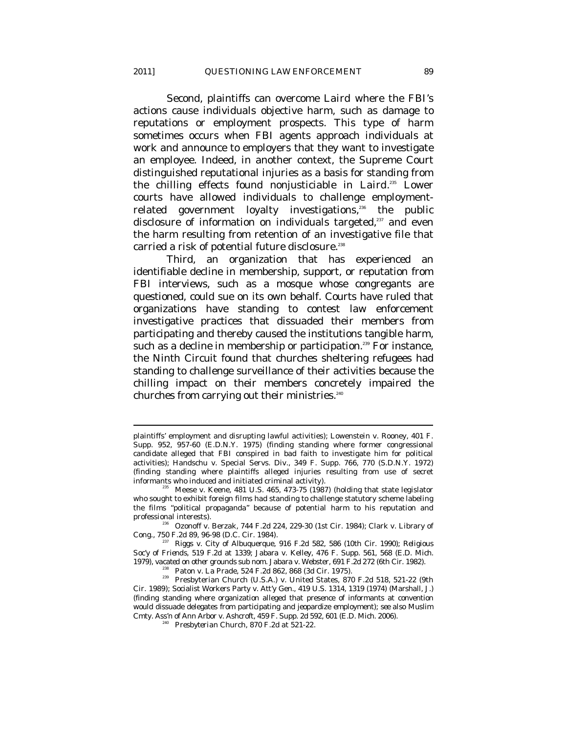Second, plaintiffs can overcome *Laird* where the FBI's actions cause individuals objective harm, such as damage to reputations or employment prospects. This type of harm sometimes occurs when FBI agents approach individuals at work and announce to employers that they want to investigate an employee. Indeed, in another context, the Supreme Court distinguished reputational injuries as a basis for standing from the chilling effects found nonjusticiable in *Laird*. 235 Lower courts have allowed individuals to challenge employmentrelated government loyalty investigations,<sup>236</sup> the public disclosure of information on individuals targeted,<sup>237</sup> and even the harm resulting from retention of an investigative file that carried a risk of potential future disclosure.<sup>238</sup>

Third, an organization that has experienced an identifiable decline in membership, support, or reputation from FBI interviews, such as a mosque whose congregants are questioned, could sue on its own behalf. Courts have ruled that organizations have standing to contest law enforcement investigative practices that dissuaded their members from participating and thereby caused the institutions tangible harm, such as a decline in membership or participation.<sup>239</sup> For instance, the Ninth Circuit found that churches sheltering refugees had standing to challenge surveillance of their activities because the chilling impact on their members concretely impaired the churches from carrying out their ministries.<sup>240</sup>

plaintiffs' employment and disrupting lawful activities); Lowenstein v. Rooney, 401 F. Supp. 952, 957-60 (E.D.N.Y. 1975) (finding standing where former congressional candidate alleged that FBI conspired in bad faith to investigate him for political activities); Handschu v. Special Servs. Div., 349 F. Supp. 766, 770 (S.D.N.Y. 1972) (finding standing where plaintiffs alleged injuries resulting from use of secret informants who induced and initiated criminal activity).<br><sup>235</sup> Meese v. Keene, 481 U.S. 465, 473-75 (1987) (holding that state legislator

who sought to exhibit foreign films had standing to challenge statutory scheme labeling the films "political propaganda" because of potential harm to his reputation and

professional interests).<br><sup>236</sup> Ozonoff v. Berzak, 744 F.2d 224, 229-30 (1st Cir. 1984); Clark v. Library of Cong., 750 F.2d 89, 96-98 (D.C. Cir. 1984).

<sup>&</sup>lt;sup>237</sup> Riggs v. City of Albuquerque, 916 F.2d 582, 586 (10th Cir. 1990); *Religious Soc'y of Friends*, 519 F.2d at 1339; Jabara v. Kelley, 476 F. Supp. 561, 568 (E.D. Mich.

<sup>1979),</sup> *vacated on other grounds sub nom.* Jabara v. Webster, 691 F.2d 272 (6th Cir. 1982).<br><sup>238</sup> Paton v. La Prade, 524 F.2d 862, 868 (3d Cir. 1975).<br><sup>239</sup> Presbyterian Church (U.S.A.) v. United States, 870 F.2d 518, 521 Cir. 1989); Socialist Workers Party v. Att'y Gen., 419 U.S. 1314, 1319 (1974) (Marshall, J.) (finding standing where organization alleged that presence of informants at convention would dissuade delegates from participating and jeopardize employment); *see also* Muslim Cmty. Ass'n of Ann Arbor v. Ashcroft, 459 F. Supp. 2d 592, 601 (E.D. Mich. 2006). 240 *Presbyterian Church*, 870 F.2d at 521-22.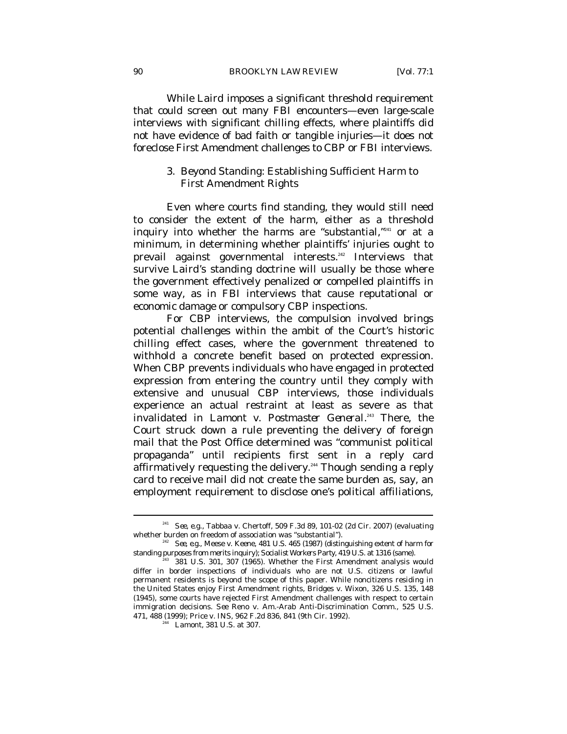While *Laird* imposes a significant threshold requirement that could screen out many FBI encounters—even large-scale interviews with significant chilling effects, where plaintiffs did not have evidence of bad faith or tangible injuries—it does not foreclose First Amendment challenges to CBP or FBI interviews.

# 3. Beyond Standing: Establishing Sufficient Harm to First Amendment Rights

Even where courts find standing, they would still need to consider the extent of the harm, either as a threshold inquiry into whether the harms are "substantial,"241 or at a minimum, in determining whether plaintiffs' injuries ought to prevail against governmental interests.<sup>242</sup> Interviews that survive *Laird*'s standing doctrine will usually be those where the government effectively penalized or compelled plaintiffs in some way, as in FBI interviews that cause reputational or economic damage or compulsory CBP inspections.

For CBP interviews, the compulsion involved brings potential challenges within the ambit of the Court's historic chilling effect cases, where the government threatened to withhold a concrete benefit based on protected expression. When CBP prevents individuals who have engaged in protected expression from entering the country until they comply with extensive and unusual CBP interviews, those individuals experience an actual restraint at least as severe as that invalidated in *Lamont v. Postmaster General*. 243 There, the Court struck down a rule preventing the delivery of foreign mail that the Post Office determined was "communist political propaganda" until recipients first sent in a reply card affirmatively requesting the delivery.<sup>244</sup> Though sending a reply card to receive mail did not create the same burden as, say, an employment requirement to disclose one's political affiliations,

<sup>&</sup>lt;sup>241</sup> See, e.g., Tabbaa v. Chertoff, 509 F.3d 89, 101-02 (2d Cir. 2007) (evaluating whether burden on freedom of association was "substantial").

<sup>&</sup>lt;sup>242</sup> See, e.g., Meese v. Keene, 481 U.S. 465 (1987) (distinguishing extent of harm for standing purposes from merits inquiry); Socialist Workers Party, 419 U.S. at 1316 (same).

<sup>&</sup>lt;sup>243</sup> 381 U.S. 301, 307 (1965). Whether the First Amendment analysis would differ in border inspections of individuals who are not U.S. citizens or lawful permanent residents is beyond the scope of this paper. While noncitizens residing in the United States enjoy First Amendment rights, Bridges v. Wixon, 326 U.S. 135, 148 (1945), some courts have rejected First Amendment challenges with respect to certain immigration decisions. *See* Reno v. Am.-Arab Anti-Discrimination Comm., 525 U.S. 471, 488 (1999); Price v. INS, 962 F.2d 836, 841 (9th Cir. 1992). 244 *Lamont*, 381 U.S. at 307.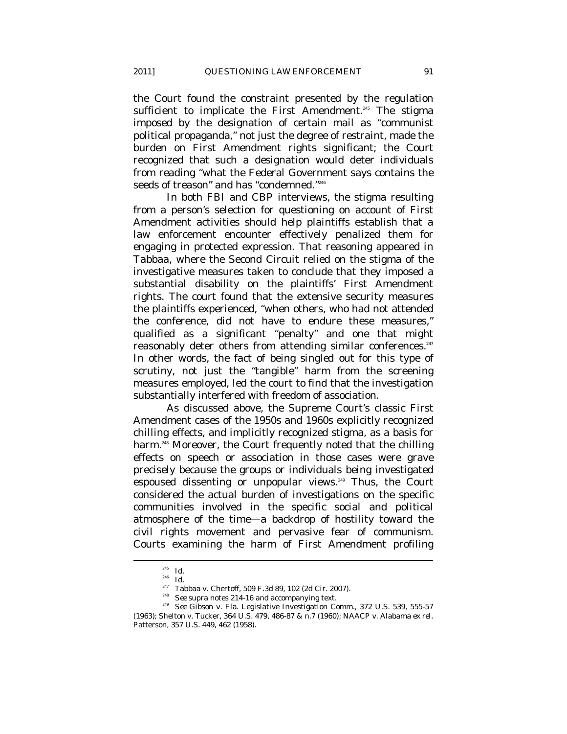the Court found the constraint presented by the regulation sufficient to implicate the First Amendment.<sup>245</sup> The stigma imposed by the designation of certain mail as "communist political propaganda," not just the degree of restraint, made the burden on First Amendment rights significant; the Court recognized that such a designation would deter individuals from reading "what the Federal Government says contains the seeds of treason" and has "condemned."<sup>246</sup>

In both FBI and CBP interviews, the stigma resulting from a person's selection for questioning on account of First Amendment activities should help plaintiffs establish that a law enforcement encounter effectively penalized them for engaging in protected expression. That reasoning appeared in *Tabbaa*, where the Second Circuit relied on the stigma of the investigative measures taken to conclude that they imposed a substantial disability on the plaintiffs' First Amendment rights. The court found that the extensive security measures the plaintiffs experienced, "when others, who had not attended the conference, did not have to endure these measures," qualified as a significant "penalty" and one that might reasonably deter others from attending similar conferences.<sup>247</sup> In other words, the fact of being *singled out* for this type of scrutiny, not just the "tangible" harm from the screening measures employed, led the court to find that the investigation substantially interfered with freedom of association.

As discussed above, the Supreme Court's classic First Amendment cases of the 1950s and 1960s explicitly recognized chilling effects, and implicitly recognized stigma, as a basis for harm.<sup>248</sup> Moreover, the Court frequently noted that the chilling effects on speech or association in those cases were grave precisely because the groups or individuals being investigated espoused dissenting or unpopular views.<sup>249</sup> Thus, the Court considered the actual burden of investigations on the specific communities involved in the specific social and political atmosphere of the time—a backdrop of hostility toward the civil rights movement and pervasive fear of communism. Courts examining the harm of First Amendment profiling

<sup>&</sup>lt;sup>245</sup> *Id.*<br><sup>246</sup> *Id.*<br><sup>247</sup> Tabbaa v. Chertoff, 509 F.3d 89, 102 (2d Cir. 2007).

<sup>&</sup>lt;sup>248</sup> *See supra* notes 214-16 and accompanying text. <br><sup>249</sup> *See* Gibson v. Fla. Legislative Investigation Comm., 372 U.S. 539, 555-57

<sup>(1963);</sup> Shelton v. Tucker, 364 U.S. 479, 486-87 & n.7 (1960); NAACP v. Alabama *ex rel.* Patterson, 357 U.S. 449, 462 (1958).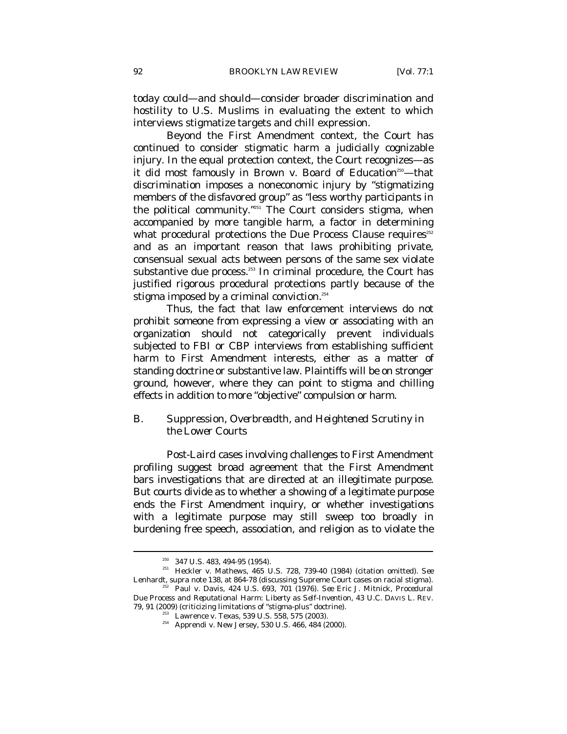today could—and should—consider broader discrimination and hostility to U.S. Muslims in evaluating the extent to which interviews stigmatize targets and chill expression.

Beyond the First Amendment context, the Court has continued to consider stigmatic harm a judicially cognizable injury. In the equal protection context, the Court recognizes—as it did most famously in *Brown v. Board of Education*<sup>250</sup>—that discrimination imposes a noneconomic injury by "stigmatizing members of the disfavored group" as "less worthy participants in the political community."<sup>251</sup> The Court considers stigma, when accompanied by more tangible harm, a factor in determining what procedural protections the Due Process Clause requires<sup>252</sup> and as an important reason that laws prohibiting private, consensual sexual acts between persons of the same sex violate substantive due process.<sup>253</sup> In criminal procedure, the Court has justified rigorous procedural protections partly because of the stigma imposed by a criminal conviction. $254$ 

Thus, the fact that law enforcement interviews do not prohibit someone from expressing a view or associating with an organization should not categorically prevent individuals subjected to FBI or CBP interviews from establishing sufficient harm to First Amendment interests, either as a matter of standing doctrine or substantive law. Plaintiffs will be on stronger ground, however, where they can point to stigma and chilling effects in addition to more "objective" compulsion or harm.

# *B. Suppression, Overbreadth, and Heightened Scrutiny in the Lower Courts*

Post-*Laird* cases involving challenges to First Amendment profiling suggest broad agreement that the First Amendment bars investigations that are directed at an illegitimate purpose. But courts divide as to whether a showing of a legitimate purpose ends the First Amendment inquiry, or whether investigations with a legitimate purpose may still sweep too broadly in burdening free speech, association, and religion as to violate the

<sup>&</sup>lt;sup>250</sup> 347 U.S. 483, 494-95 (1954).<br><sup>251</sup> Heckler v. Mathews, 465 U.S. 728, 739-40 (1984) (citation omitted). *See*<br>Lenhardt, *supra* note 138, at 864-78 (discussing Supreme Court cases on racial stigma).

<sup>&</sup>lt;sup>52</sup> Paul v. Davis, 424 U.S. 693, 701 (1976). *See* Eric J. Mitnick, *Procedural Due Process and Reputational Harm: Liberty as Self-Invention*, 43 U.C. DAVIS L. REV.

<sup>&</sup>lt;sup>233</sup> Lawrence v. Texas, 539 U.S. 558, 575 (2003).<br><sup>254</sup> Apprendi v. New Jersey, 530 U.S. 466, 484 (2000).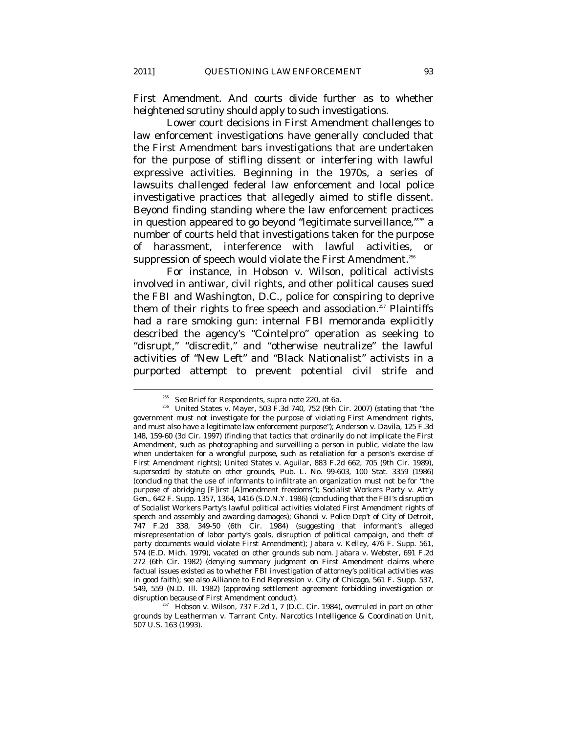First Amendment. And courts divide further as to whether heightened scrutiny should apply to such investigations.

Lower court decisions in First Amendment challenges to law enforcement investigations have generally concluded that the First Amendment bars investigations that are undertaken for the purpose of stifling dissent or interfering with lawful expressive activities. Beginning in the 1970s, a series of lawsuits challenged federal law enforcement and local police investigative practices that allegedly aimed to stifle dissent. Beyond finding standing where the law enforcement practices in question appeared to go beyond "legitimate surveillance,"255 a number of courts held that investigations taken for the purpose of harassment, interference with lawful activities, suppression of speech would violate the First Amendment.<sup>256</sup>

For instance, in *Hobson v. Wilson*, political activists involved in antiwar, civil rights, and other political causes sued the FBI and Washington, D.C., police for conspiring to deprive them of their rights to free speech and association.<sup>257</sup> Plaintiffs had a rare smoking gun: internal FBI memoranda explicitly described the agency's "Cointelpro" operation as seeking to "disrupt," "discredit," and "otherwise neutralize" the lawful activities of "New Left" and "Black Nationalist" activists in a purported attempt to prevent potential civil strife and

<sup>&</sup>lt;sup>255</sup> See Brief for Respondents, *supra* note 220, at 6a.<br><sup>256</sup> United States v. Mayer, 503 F.3d 740, 752 (9th Cir. 2007) (stating that "the government must not investigate for the purpose of violating First Amendment rights, and must also have a legitimate law enforcement purpose"); Anderson v. Davila, 125 F.3d 148, 159-60 (3d Cir. 1997) (finding that tactics that ordinarily do not implicate the First Amendment, such as photographing and surveilling a person in public, violate the law when undertaken for a wrongful purpose, such as retaliation for a person's exercise of First Amendment rights); United States v. Aguilar, 883 F.2d 662, 705 (9th Cir. 1989), *superseded by statute on other grounds*, Pub. L. No. 99-603, 100 Stat. 3359 (1986) (concluding that the use of informants to infiltrate an organization must not be for "the purpose of abridging [F]irst [A]mendment freedoms"); Socialist Workers Party v. Att'y Gen., 642 F. Supp. 1357, 1364, 1416 (S.D.N.Y. 1986) (concluding that the FBI's disruption of Socialist Workers Party's lawful political activities violated First Amendment rights of speech and assembly and awarding damages); Ghandi v. Police Dep't of City of Detroit, 747 F.2d 338, 349-50 (6th Cir. 1984) (suggesting that informant's alleged misrepresentation of labor party's goals, disruption of political campaign, and theft of party documents would violate First Amendment); Jabara v. Kelley, 476 F. Supp. 561, 574 (E.D. Mich. 1979), *vacated on other grounds sub nom.* Jabara v. Webster, 691 F.2d 272 (6th Cir. 1982) (denying summary judgment on First Amendment claims where factual issues existed as to whether FBI investigation of attorney's political activities was in good faith); *see also* Alliance to End Repression v. City of Chicago, 561 F. Supp. 537, 549, 559 (N.D. Ill. 1982) (approving settlement agreement forbidding investigation or disruption because of First Amendment conduct). 257 Hobson v. Wilson, 737 F.2d 1, 7 (D.C. Cir. 1984), *overruled in part on other* 

*grounds by* Leatherman v. Tarrant Cnty. Narcotics Intelligence & Coordination Unit, 507 U.S. 163 (1993).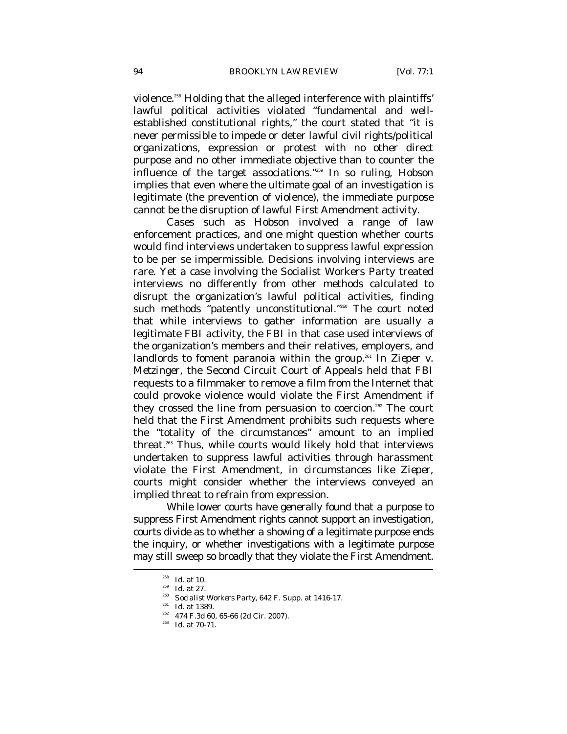violence.<sup>258</sup> Holding that the alleged interference with plaintiffs' lawful political activities violated "fundamental and wellestablished constitutional rights," the court stated that "it is *never* permissible to impede or deter lawful civil rights/political organizations, expression or protest with no other direct purpose and no other immediate objective than to counter the influence of the target associations."259 In so ruling, *Hobson* implies that even where the ultimate goal of an investigation is legitimate (the prevention of violence), the immediate purpose cannot be the disruption of lawful First Amendment activity.

Cases such as *Hobson* involved a range of law enforcement practices, and one might question whether courts would find *interviews* undertaken to suppress lawful expression to be per se impermissible. Decisions involving interviews are rare. Yet a case involving the Socialist Workers Party treated interviews no differently from other methods calculated to disrupt the organization's lawful political activities, finding such methods "patently unconstitutional."<sup>260</sup> The court noted that while interviews to gather information are usually a legitimate FBI activity, the FBI in that case used interviews of the organization's members and their relatives, employers, and landlords to foment paranoia within the group.<sup>261</sup> In *Zieper v. Metzinger*, the Second Circuit Court of Appeals held that FBI requests to a filmmaker to remove a film from the Internet that could provoke violence would violate the First Amendment if they crossed the line from persuasion to coercion.<sup>262</sup> The court held that the First Amendment prohibits such requests where the "totality of the circumstances" amount to an implied threat.<sup>263</sup> Thus, while courts would likely hold that interviews undertaken to suppress lawful activities through harassment violate the First Amendment, in circumstances like *Zieper*, courts might consider whether the interviews conveyed an implied threat to refrain from expression.

While lower courts have generally found that a purpose to suppress First Amendment rights cannot support an investigation, courts divide as to whether a showing of a legitimate purpose ends the inquiry, or whether investigations with a legitimate purpose may still sweep so broadly that they violate the First Amendment.

<sup>&</sup>lt;sup>258</sup> *Id.* at 27.<br><sup>259</sup> *Id.* at 27.<br><sup>260</sup> *Socialist Workers Party*, 642 F. Supp. at 1416-17.<br><sup>261</sup> *Id.* at 1389.<br><sup>262</sup> 474 F.3d 60, 65-66 (2d Cir. 2007).<br>*Id.* at 70-71.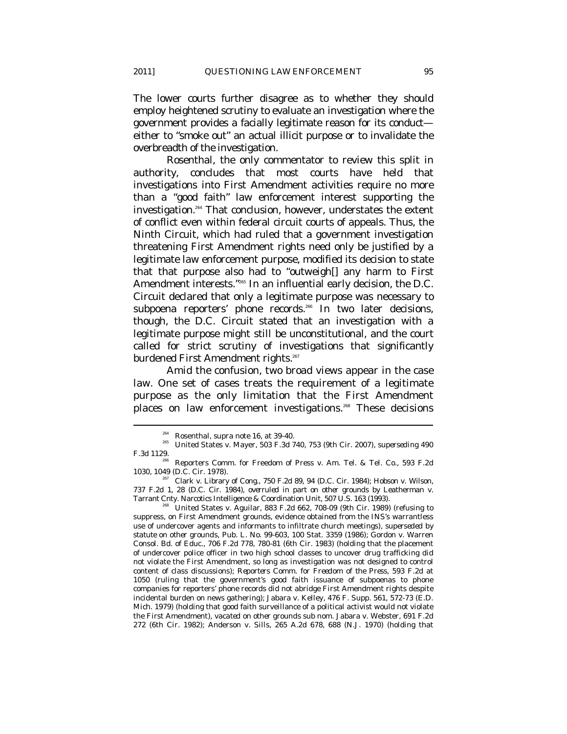The lower courts further disagree as to whether they should employ heightened scrutiny to evaluate an investigation where the government provides a facially legitimate reason for its conduct either to "smoke out" an actual illicit purpose or to invalidate the overbreadth of the investigation.

Rosenthal, the only commentator to review this split in authority, concludes that most courts have held that investigations into First Amendment activities require no more than a "good faith" law enforcement interest supporting the investigation.<sup>264</sup> That conclusion, however, understates the extent of conflict even within federal circuit courts of appeals. Thus, the Ninth Circuit, which had ruled that a government investigation threatening First Amendment rights need only be justified by a legitimate law enforcement purpose, modified its decision to state that that purpose also had to "outweigh[] any harm to First Amendment interests."<sup>265</sup> In an influential early decision, the D.C. Circuit declared that only a legitimate purpose was necessary to subpoena reporters' phone records.<sup>266</sup> In two later decisions, though, the D.C. Circuit stated that an investigation with a legitimate purpose might still be unconstitutional, and the court called for strict scrutiny of investigations that significantly burdened First Amendment rights.<sup>267</sup>

Amid the confusion, two broad views appear in the case law. One set of cases treats the requirement of a legitimate purpose as the only limitation that the First Amendment places on law enforcement investigations.<sup>268</sup> These decisions

737 F.2d 1, 28 (D.C. Cir. 1984), *overruled in part on other grounds by* Leatherman v. Tarrant Cnty. Narcotics Intelligence & Coordination Unit, 507 U.S. 163 (1993). 268 United States v. Aguilar, 883 F.2d 662, 708-09 (9th Cir. 1989) (refusing to

suppress, on First Amendment grounds, evidence obtained from the INS's warrantless use of undercover agents and informants to infiltrate church meetings), *superseded by statute on other grounds*, Pub. L. No. 99-603, 100 Stat. 3359 (1986); Gordon v. Warren Consol. Bd. of Educ., 706 F.2d 778, 780-81 (6th Cir. 1983) (holding that the placement of undercover police officer in two high school classes to uncover drug trafficking did not violate the First Amendment, so long as investigation was not designed to control content of class discussions); *Reporters Comm. for Freedom of the Press*, 593 F.2d at 1050 (ruling that the government's good faith issuance of subpoenas to phone companies for reporters' phone records did not abridge First Amendment rights despite incidental burden on news gathering); Jabara v. Kelley, 476 F. Supp. 561, 572-73 (E.D. Mich. 1979) (holding that good faith surveillance of a political activist would not violate the First Amendment), *vacated on other grounds sub nom*. Jabara v. Webster, 691 F.2d 272 (6th Cir. 1982); Anderson v. Sills, 265 A.2d 678, 688 (N.J. 1970) (holding that

<sup>&</sup>lt;sup>264</sup> Rosenthal, *supra* note 16, at 39-40.<br>United States v. Mayer, 503 F.3d 740, 753 (9th Cir. 2007), *superseding* 490<br>F.3d 1129.

Reporters Comm. for Freedom of Press v. Am. Tel. & Tel. Co., 593 F.2d 1030, 1049 (D.C. Cir. 1978). 267 Clark v. Library of Cong., 750 F.2d 89, 94 (D.C. Cir. 1984); Hobson v. Wilson,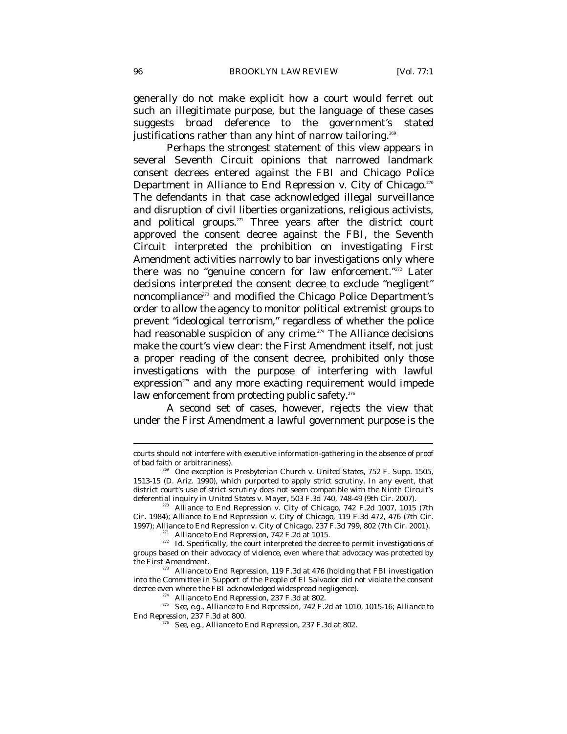generally do not make explicit how a court would ferret out such an illegitimate purpose, but the language of these cases suggests broad deference to the government's stated justifications rather than any hint of narrow tailoring.<sup>269</sup>

Perhaps the strongest statement of this view appears in several Seventh Circuit opinions that narrowed landmark consent decrees entered against the FBI and Chicago Police Department in *Alliance to End Repression v. City of Chicago*.<sup>270</sup> The defendants in that case acknowledged illegal surveillance and disruption of civil liberties organizations, religious activists, and political groups.<sup>271</sup> Three years after the district court approved the consent decree against the FBI, the Seventh Circuit interpreted the prohibition on investigating First Amendment activities narrowly to bar investigations only where there was no "genuine concern for law enforcement."272 Later decisions interpreted the consent decree to exclude "negligent" noncompliance<sup>273</sup> and modified the Chicago Police Department's order to allow the agency to monitor political extremist groups to prevent "ideological terrorism," regardless of whether the police had reasonable suspicion of any crime.274 The *Alliance* decisions make the court's view clear: the First Amendment itself, not just a proper reading of the consent decree, prohibited only those investigations with the purpose of interfering with lawful expression<sup>275</sup> and any more exacting requirement would impede law enforcement from protecting public safety.<sup>276</sup>

A second set of cases, however, rejects the view that under the First Amendment a lawful government purpose is the

courts should not interfere with executive information-gathering in the absence of proof of bad faith or arbitrariness). 269 One exception is *Presbyterian Church v. United States*, 752 F. Supp. 1505,

<sup>1513-15 (</sup>D. Ariz. 1990), which purported to apply strict scrutiny. In any event, that district court's use of strict scrutiny does not seem compatible with the Ninth Circuit's deferential inquiry in *United States v. Mayer*, 503 F.3d 740, 748-49 (9th Cir. 2007).<br><sup>270</sup> Alliance to End Repression v. City of Chicago, 742 F.2d 1007, 1015 (7th

Cir. 1984); Alliance to End Repression v. City of Chicago, 119 F.3d 472, 476 (7th Cir. 1997); Alliance to End Repression v. City of Chicago, 237 F.3d 799, 802 (7th Cir. 2001).<br><sup>271</sup> Alliance to End Repression, 742 F.2d at 1015.<br><sup>272</sup> Id. Specifically, the court interpreted the decree to permit investigation

groups based on their advocacy of violence, even where that advocacy was protected by the First Amendment. 273 *Alliance to End Repression*, 119 F.3d at 476 (holding that FBI investigation

into the Committee in Support of the People of El Salvador did not violate the consent

decree even where the FBI acknowledged widespread negligence).<br><sup>274</sup> *Alliance to End Repression*, 237 F.3d at 802.<br><sup>275</sup> *See, e.g., Alliance to End Repression*, 742 F.2d at 1010, 1015-16; *Alliance to End Repression*, 237 F.3d at 800. 276 *See, e.g.*, *Alliance to End Repression*, 237 F.3d at 802.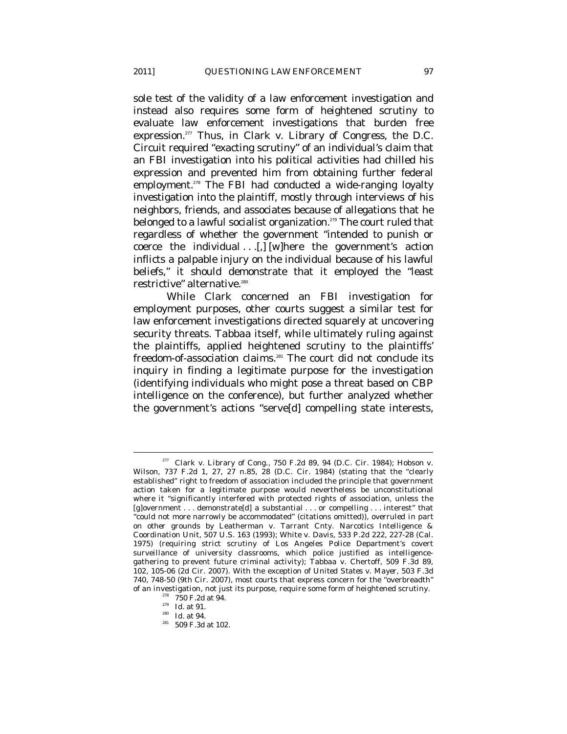sole test of the validity of a law enforcement investigation and instead also requires some form of heightened scrutiny to evaluate law enforcement investigations that burden free expression.277 Thus, in *Clark v. Library of Congress*, the D.C. Circuit required "exacting scrutiny" of an individual's claim that an FBI investigation into his political activities had chilled his expression and prevented him from obtaining further federal employment.<sup>278</sup> The FBI had conducted a wide-ranging loyalty investigation into the plaintiff, mostly through interviews of his neighbors, friends, and associates because of allegations that he belonged to a lawful socialist organization.<sup>279</sup> The court ruled that regardless of whether the government "intended to punish or coerce the individual  $\ldots$  [,] [w] here the government's action inflicts a palpable injury on the individual because of his lawful beliefs," it should demonstrate that it employed the "least restrictive" alternative.<sup>280</sup>

While *Clark* concerned an FBI investigation for employment purposes, other courts suggest a similar test for law enforcement investigations directed squarely at uncovering security threats. *Tabbaa* itself, while ultimately ruling against the plaintiffs, applied heightened scrutiny to the plaintiffs' freedom-of-association claims.<sup>281</sup> The court did not conclude its inquiry in finding a legitimate purpose for the investigation (identifying individuals who might pose a threat based on CBP intelligence on the conference), but further analyzed whether the government's actions "serve[d] compelling state interests,

 $277$  Clark v. Library of Cong., 750 F.2d 89, 94 (D.C. Cir. 1984); Hobson v. Wilson, 737 F.2d 1, 27, 27 n.85, 28 (D.C. Cir. 1984) (stating that the "clearly established" right to freedom of association included the principle that government action taken for a legitimate purpose would nevertheless be unconstitutional where it "significantly interfered with protected rights of association, unless the [g]overnment . . . demonstrate[d] a substantial . . . or compelling . . . interest" that "could not more narrowly be accommodated" (citations omitted)), *overruled in part on other grounds by* Leatherman v. Tarrant Cnty. Narcotics Intelligence & Coordination Unit, 507 U.S. 163 (1993); White v. Davis, 533 P.2d 222, 227-28 (Cal. 1975) (requiring strict scrutiny of Los Angeles Police Department's covert surveillance of university classrooms, which police justified as intelligencegathering to prevent future criminal activity); Tabbaa v. Chertoff, 509 F.3d 89, 102, 105-06 (2d Cir. 2007). With the exception of *United States v. Mayer*, 503 F.3d 740, 748-50 (9th Cir. 2007), most courts that express concern for the "overbreadth" of an investigation, not just its purpose, require some form of heightened scrutiny.<br><sup>278</sup> 750 F.2d at 94.<br><sup>279</sup> *Id.* at 91.<br><sup>280</sup> *Id.* at 94.<br><sup>281</sup> 509 F.3d at 102.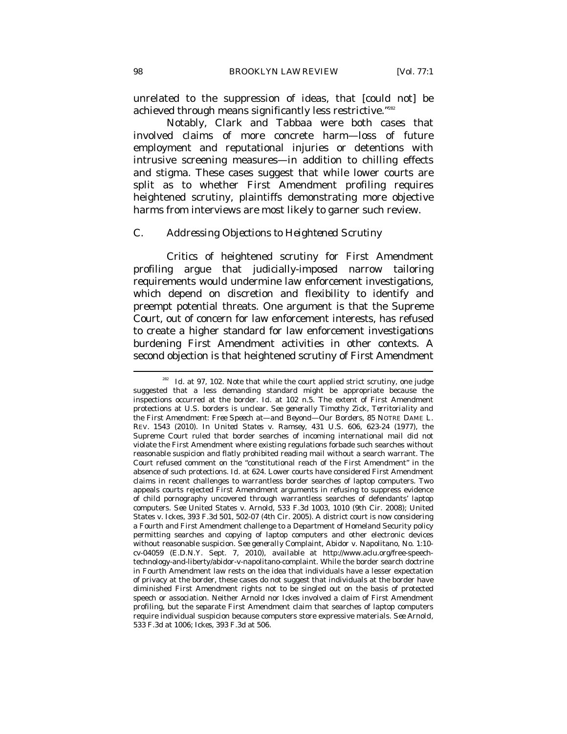unrelated to the suppression of ideas, that [could not] be achieved through means significantly less restrictive."<sup>282</sup>

Notably, *Clark* and *Tabbaa* were both cases that involved claims of more concrete harm—loss of future employment and reputational injuries or detentions with intrusive screening measures—in addition to chilling effects and stigma. These cases suggest that while lower courts are split as to whether First Amendment profiling requires heightened scrutiny, plaintiffs demonstrating more objective harms from interviews are most likely to garner such review.

#### *C. Addressing Objections to Heightened Scrutiny*

Critics of heightened scrutiny for First Amendment profiling argue that judicially-imposed narrow tailoring requirements would undermine law enforcement investigations, which depend on discretion and flexibility to identify and preempt potential threats. One argument is that the Supreme Court, out of concern for law enforcement interests, has refused to create a higher standard for law enforcement investigations burdening First Amendment activities in other contexts. A second objection is that heightened scrutiny of First Amendment  $\overline{a}$ 

<sup>&</sup>lt;sup>282</sup> Id. at 97, 102. Note that while the court applied strict scrutiny, one judge suggested that a less demanding standard might be appropriate because the inspections occurred at the border. *Id.* at 102 n.5. The extent of First Amendment protections at U.S. borders is unclear. *See generally* Timothy Zick, *Territoriality and the First Amendment: Free Speech at—and Beyond—Our Borders*, 85 NOTRE DAME L. REV. 1543 (2010). In *United States v. Ramsey*, 431 U.S. 606, 623-24 (1977), the Supreme Court ruled that border searches of incoming international mail did not violate the First Amendment where existing regulations forbade such searches without reasonable suspicion and flatly prohibited reading mail without a search warrant. The Court refused comment on the "constitutional reach of the First Amendment" in the absence of such protections. *Id.* at 624. Lower courts have considered First Amendment claims in recent challenges to warrantless border searches of laptop computers. Two appeals courts rejected First Amendment arguments in refusing to suppress evidence of child pornography uncovered through warrantless searches of defendants' laptop computers. *See* United States v. Arnold, 533 F.3d 1003, 1010 (9th Cir. 2008); United States v. Ickes, 393 F.3d 501, 502-07 (4th Cir. 2005). A district court is now considering a Fourth and First Amendment challenge to a Department of Homeland Security policy permitting searches and copying of laptop computers and other electronic devices without reasonable suspicion. *See generally* Complaint, Abidor v. Napolitano, No. 1:10 cv-04059 (E.D.N.Y. Sept. 7, 2010), *available at* http://www.aclu.org/free-speechtechnology-and-liberty/abidor-v-napolitano-complaint. While the border search doctrine in Fourth Amendment law rests on the idea that individuals have a lesser expectation of privacy at the border, these cases do not suggest that individuals at the border have diminished First Amendment rights not to be singled out on the basis of protected speech or association. Neither *Arnold* nor *Ickes* involved a claim of First Amendment profiling, but the separate First Amendment claim that searches of laptop computers require individual suspicion because computers store expressive materials. *See Arnold*, 533 F.3d at 1006; *Ickes*, 393 F.3d at 506.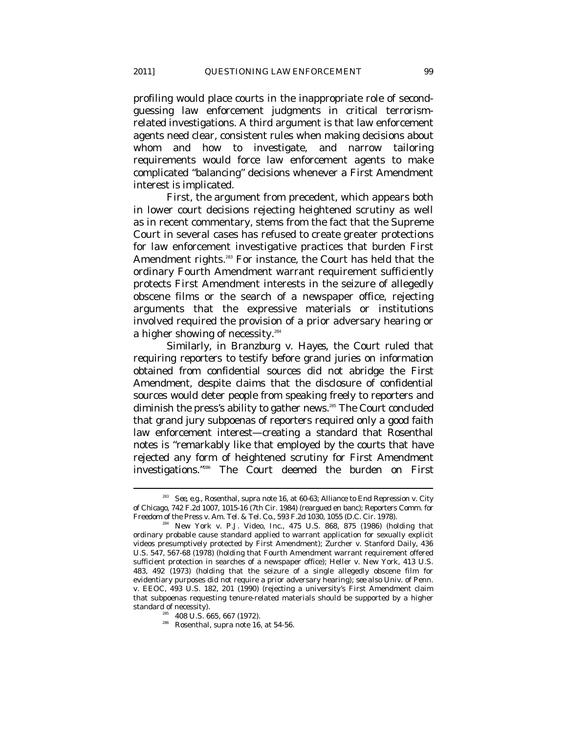profiling would place courts in the inappropriate role of secondguessing law enforcement judgments in critical terrorismrelated investigations. A third argument is that law enforcement agents need clear, consistent rules when making decisions about whom and how to investigate, and narrow tailoring requirements would force law enforcement agents to make complicated "balancing" decisions whenever a First Amendment interest is implicated.

First, the argument from precedent, which appears both in lower court decisions rejecting heightened scrutiny as well as in recent commentary, stems from the fact that the Supreme Court in several cases has refused to create greater protections for law enforcement investigative practices that burden First Amendment rights.<sup>283</sup> For instance, the Court has held that the ordinary Fourth Amendment warrant requirement sufficiently protects First Amendment interests in the seizure of allegedly obscene films or the search of a newspaper office, rejecting arguments that the expressive materials or institutions involved required the provision of a prior adversary hearing or a higher showing of necessity.<sup>284</sup>

Similarly, in *Branzburg v. Hayes*, the Court ruled that requiring reporters to testify before grand juries on information obtained from confidential sources did not abridge the First Amendment, despite claims that the disclosure of confidential sources would deter people from speaking freely to reporters and diminish the press's ability to gather news.<sup>285</sup> The Court concluded that grand jury subpoenas of reporters required only a good faith law enforcement interest—creating a standard that Rosenthal notes is "remarkably like that employed by the courts that have rejected any form of heightened scrutiny for First Amendment investigations."286 The Court deemed the burden on First

<sup>283</sup> *See, e.g.*, Rosenthal, *supra* note 16, at 60-63; Alliance to End Repression v. City of Chicago, 742 F.2d 1007, 1015-16 (7th Cir. 1984) (reargued en banc); Reporters Comm. for

 $F<sup>284</sup>$  New York v. P.J. Video, Inc., 475 U.S. 868, 875 (1986) (holding that ordinary probable cause standard applied to warrant application for sexually explicit videos presumptively protected by First Amendment); Zurcher v. Stanford Daily, 436 U.S. 547, 567-68 (1978) (holding that Fourth Amendment warrant requirement offered sufficient protection in searches of a newspaper office); Heller v. New York, 413 U.S. 483, 492 (1973) (holding that the seizure of a single allegedly obscene film for evidentiary purposes did not require a prior adversary hearing); *see also* Univ. of Penn. v. EEOC, 493 U.S. 182, 201 (1990) (rejecting a university's First Amendment claim that subpoenas requesting tenure-related materials should be supported by a higher

<sup>&</sup>lt;sup>285</sup> 408 U.S. 665, 667 (1972).<br><sup>286</sup> Rosenthal, *supra* note 16, at 54-56.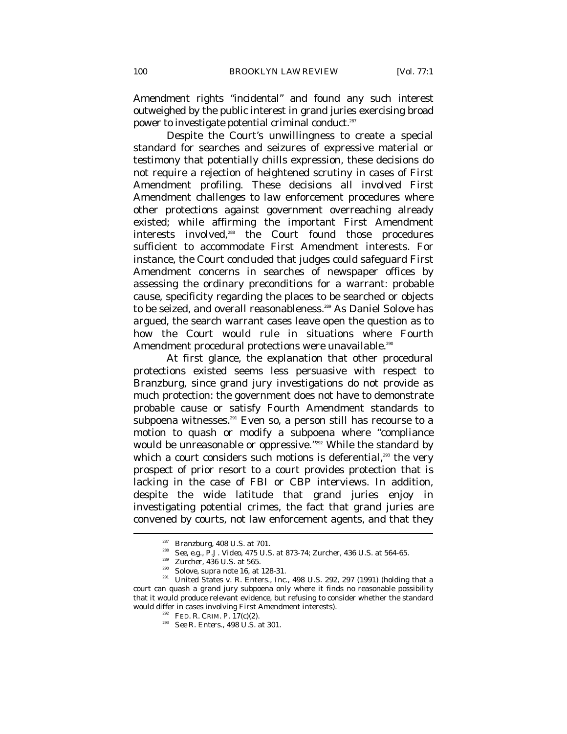Amendment rights "incidental" and found any such interest outweighed by the public interest in grand juries exercising broad power to investigate potential criminal conduct.<sup>287</sup>

Despite the Court's unwillingness to create a special standard for searches and seizures of expressive material or testimony that potentially chills expression, these decisions do not require a rejection of heightened scrutiny in cases of First Amendment profiling. These decisions all involved First Amendment challenges to law enforcement procedures where other protections against government overreaching already existed; while affirming the important First Amendment interests involved,<sup>288</sup> the Court found those procedures sufficient to accommodate First Amendment interests. For instance, the Court concluded that judges could safeguard First Amendment concerns in searches of newspaper offices by assessing the ordinary preconditions for a warrant: probable cause, specificity regarding the places to be searched or objects to be seized, and overall reasonableness.<sup>289</sup> As Daniel Solove has argued, the search warrant cases leave open the question as to how the Court would rule in situations where Fourth Amendment procedural protections were unavailable.<sup>290</sup>

At first glance, the explanation that other procedural protections existed seems less persuasive with respect to *Branzburg*, since grand jury investigations do not provide as much protection: the government does not have to demonstrate probable cause or satisfy Fourth Amendment standards to subpoena witnesses.<sup>291</sup> Even so, a person still has recourse to a motion to quash or modify a subpoena where "compliance would be unreasonable or oppressive."<sup>292</sup> While the standard by which a court considers such motions is deferential, $293$  the very prospect of prior resort to a court provides protection that is lacking in the case of FBI or CBP interviews. In addition, despite the wide latitude that grand juries enjoy in investigating potential crimes, the fact that grand juries are convened by courts, not law enforcement agents, and that they

<sup>&</sup>lt;sup>287</sup> Branzburg, 408 U.S. at 701.<br><sup>288</sup> *See, e.g., P.J. Video*, 475 U.S. at 873-74; *Zurcher*, 436 U.S. at 564-65.<br><sup>289</sup> *Zurcher*, 436 U.S. at 565.<br><sup>290</sup> Solove, *supra* note 16, at 128-31.<br><sup>291</sup> United States v. R. Ent court can quash a grand jury subpoena only where it finds no reasonable possibility that it would produce relevant evidence, but refusing to consider whether the standard would differ in cases involving First Amendment interests).<br><sup>292</sup> FED. R. CRIM. P. 17(c)(2).<br><sup>293</sup> *See R. Enters.*, 498 U.S. at 301.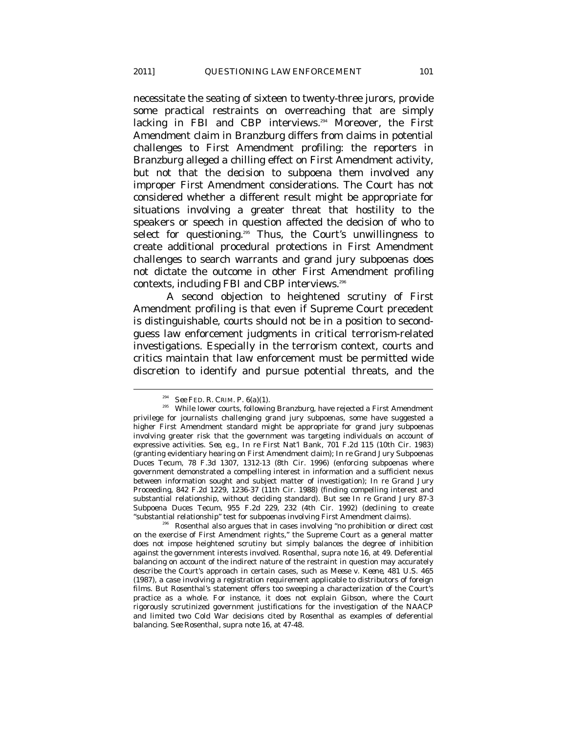necessitate the seating of sixteen to twenty-three jurors, provide some practical restraints on overreaching that are simply lacking in FBI and CBP interviews.<sup>294</sup> Moreover, the First Amendment claim in *Branzburg* differs from claims in potential challenges to First Amendment profiling: the reporters in *Branzburg* alleged a chilling effect on First Amendment activity, but not that the *decision* to subpoena them involved any improper First Amendment considerations. The Court has not considered whether a different result might be appropriate for situations involving a greater threat that hostility to the speakers or speech in question affected the decision of who to select for questioning.<sup>295</sup> Thus, the Court's unwillingness to create additional procedural protections in First Amendment challenges to search warrants and grand jury subpoenas does not dictate the outcome in other First Amendment profiling contexts, including FBI and CBP interviews.<sup>296</sup>

A second objection to heightened scrutiny of First Amendment profiling is that even if Supreme Court precedent is distinguishable, courts should not be in a position to secondguess law enforcement judgments in critical terrorism-related investigations. Especially in the terrorism context, courts and critics maintain that law enforcement must be permitted wide discretion to identify and pursue potential threats, and the

<sup>&</sup>lt;sup>294</sup> *See* FED. R. CRIM. P. 6(a)(1). *295* While lower courts, following *Branzburg*, have rejected a First Amendment privilege for journalists challenging grand jury subpoenas, some have suggested a higher First Amendment standard might be appropriate for grand jury subpoenas involving greater risk that the government was targeting individuals on account of expressive activities. *See, e.g.*, *In re* First Nat'l Bank, 701 F.2d 115 (10th Cir. 1983) (granting evidentiary hearing on First Amendment claim); *In re* Grand Jury Subpoenas Duces Tecum, 78 F.3d 1307, 1312-13 (8th Cir. 1996) (enforcing subpoenas where government demonstrated a compelling interest in information and a sufficient nexus between information sought and subject matter of investigation); *In re* Grand Jury Proceeding, 842 F.2d 1229, 1236-37 (11th Cir. 1988) (finding compelling interest and substantial relationship, without deciding standard). *But see In re* Grand Jury 87-3 Subpoena Duces Tecum, 955 F.2d 229, 232 (4th Cir. 1992) (declining to create "substantial relationship" test for subpoenas involving First Amendment claims). 296 Rosenthal also argues that in cases involving "no prohibition or direct cost

on the exercise of First Amendment rights," the Supreme Court as a general matter does not impose heightened scrutiny but simply balances the degree of inhibition against the government interests involved. Rosenthal, *supra* note 16, at 49. Deferential balancing on account of the indirect nature of the restraint in question may accurately describe the Court's approach in certain cases, such as *Meese v. Keene*, 481 U.S. 465 (1987), a case involving a registration requirement applicable to distributors of foreign films. But Rosenthal's statement offers too sweeping a characterization of the Court's practice as a whole. For instance, it does not explain *Gibson*, where the Court rigorously scrutinized government justifications for the investigation of the NAACP and limited two Cold War decisions cited by Rosenthal as examples of deferential balancing. *See* Rosenthal, *supra* note 16, at 47-48.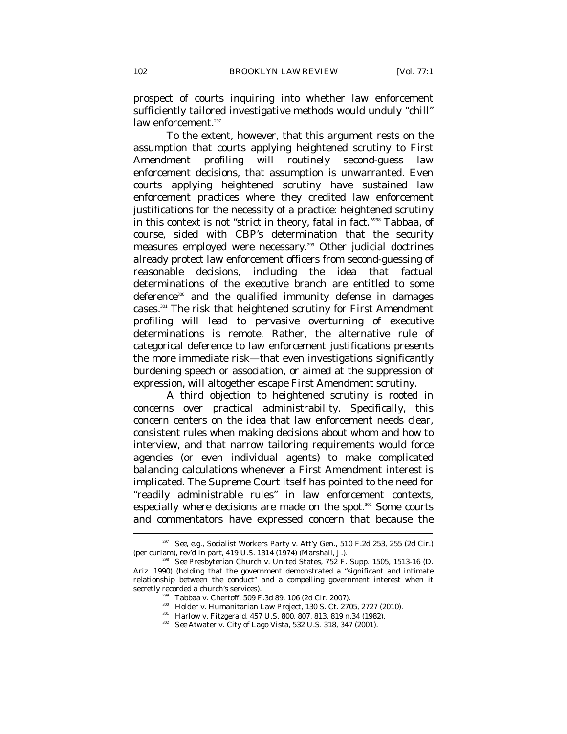prospect of courts inquiring into whether law enforcement sufficiently tailored investigative methods would unduly "chill" law enforcement.<sup>297</sup>

To the extent, however, that this argument rests on the assumption that courts applying heightened scrutiny to First Amendment profiling will routinely second-guess law enforcement decisions, that assumption is unwarranted. Even courts applying heightened scrutiny have sustained law enforcement practices where they credited law enforcement justifications for the necessity of a practice: heightened scrutiny in this context is not "strict in theory, fatal in fact."298 *Tabbaa*, of course, sided with CBP's determination that the security measures employed were necessary.299 Other judicial doctrines already protect law enforcement officers from second-guessing of reasonable decisions, including the idea that factual determinations of the executive branch are entitled to some deference<sup>300</sup> and the qualified immunity defense in damages cases.301 The risk that heightened scrutiny for First Amendment profiling will lead to pervasive overturning of executive determinations is remote. Rather, the alternative rule of categorical deference to law enforcement justifications presents the more immediate risk—that even investigations significantly burdening speech or association, or aimed at the suppression of expression, will altogether escape First Amendment scrutiny.

A third objection to heightened scrutiny is rooted in concerns over practical administrability. Specifically, this concern centers on the idea that law enforcement needs clear, consistent rules when making decisions about whom and how to interview, and that narrow tailoring requirements would force agencies (or even individual agents) to make complicated balancing calculations whenever a First Amendment interest is implicated. The Supreme Court itself has pointed to the need for "readily administrable rules" in law enforcement contexts, especially where decisions are made on the spot.<sup>302</sup> Some courts and commentators have expressed concern that because the  $\overline{a}$ 

<sup>&</sup>lt;sup>297</sup> See, e.g., Socialist Workers Party v. Att'y Gen., 510 F.2d 253, 255 (2d Cir.) (per curiam), *rev'd in part*, 419 U.S. 1314 (1974) (Marshall, J.). 298 *See* Presbyterian Church v. United States, 752 F. Supp. 1505, 1513-16 (D.

Ariz. 1990) (holding that the government demonstrated a "significant and intimate relationship between the conduct" and a compelling government interest when it secretly recorded a church's services).<br>
Tabbaa v. Chertoff, 509 F.3d 89, 106 (2d Cir. 2007).<br>
<sup>300</sup> Holder v. Humanitarian Law Project, 130 S. Ct. 2705, 2727 (2010).<br>
<sup>301</sup> Harlow v. Fitzgerald, 457 U.S. 800, 807, 813, 81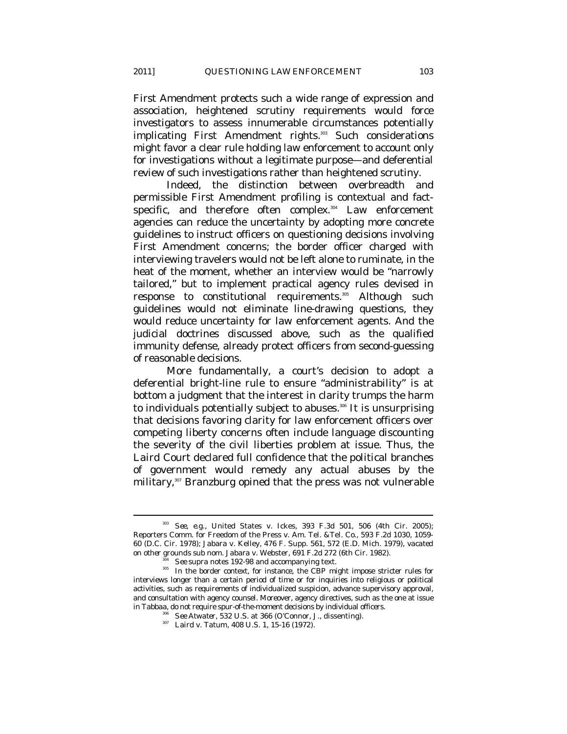First Amendment protects such a wide range of expression and association, heightened scrutiny requirements would force investigators to assess innumerable circumstances potentially implicating First Amendment rights.<sup>303</sup> Such considerations might favor a clear rule holding law enforcement to account only for investigations without a legitimate purpose—and deferential review of such investigations rather than heightened scrutiny.

Indeed, the distinction between overbreadth and permissible First Amendment profiling is contextual and factspecific, and therefore often complex.<sup>304</sup> Law enforcement agencies can reduce the uncertainty by adopting more concrete guidelines to instruct officers on questioning decisions involving First Amendment concerns; the border officer charged with interviewing travelers would not be left alone to ruminate, in the heat of the moment, whether an interview would be "narrowly tailored," but to implement practical agency rules devised in response to constitutional requirements.<sup>305</sup> Although such guidelines would not eliminate line-drawing questions, they would reduce uncertainty for law enforcement agents. And the judicial doctrines discussed above, such as the qualified immunity defense, already protect officers from second-guessing of reasonable decisions.

More fundamentally, a court's decision to adopt a deferential bright-line rule to ensure "administrability" is at bottom a judgment that the interest in clarity trumps the harm to individuals potentially subject to abuses.<sup>306</sup> It is unsurprising that decisions favoring clarity for law enforcement officers over competing liberty concerns often include language discounting the severity of the civil liberties problem at issue. Thus, the *Laird* Court declared full confidence that the political branches of government would remedy any actual abuses by the military,<sup>307</sup> *Branzburg* opined that the press was not vulnerable

<sup>303</sup> *See, e.g.*, United States v. Ickes, 393 F.3d 501, 506 (4th Cir. 2005); Reporters Comm. for Freedom of the Press v. Am. Tel. &Tel. Co., 593 F.2d 1030, 1059- 60 (D.C. Cir. 1978); Jabara v. Kelley, 476 F. Supp. 561, 572 (E.D. Mich. 1979), *vacated*  % on other grounds sub nom. Jabara v. Webster, 691 F.2d 272 (6th Cir. 1982).<br>See supra notes 192-98 and accompanying text.<br>In the border context, for instance, the CBP might impose stricter rules for

interviews longer than a certain period of time or for inquiries into religious or political activities, such as requirements of individualized suspicion, advance supervisory approval, and consultation with agency counsel. Moreover, agency directives, such as the one at issue in *Tabbaa*, do not require spur-of-the-moment decisions by individual officers.

<sup>&</sup>lt;sup>306</sup> *See Atwater*, 532 U.S. at 366 (O'Connor, J., dissenting). Laird v. Tatum, 408 U.S. 1, 15-16 (1972).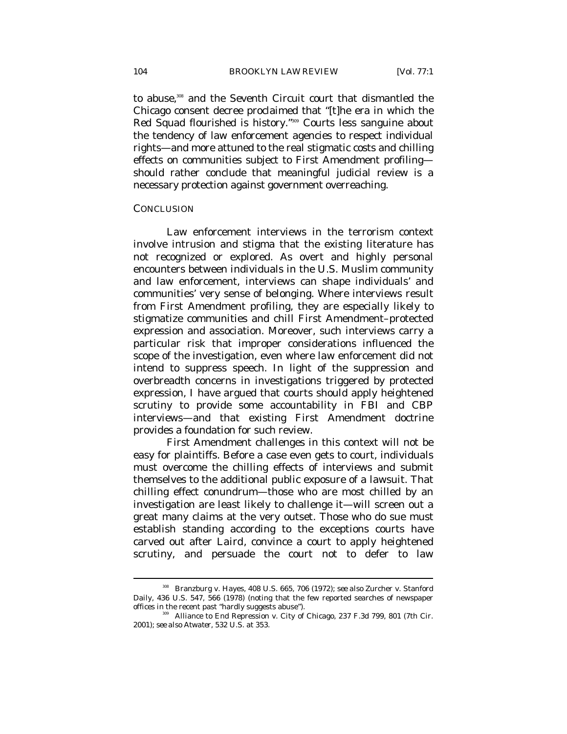to abuse,<sup>308</sup> and the Seventh Circuit court that dismantled the Chicago consent decree proclaimed that "[t]he era in which the Red Squad flourished is history."309 Courts less sanguine about the tendency of law enforcement agencies to respect individual rights—and more attuned to the real stigmatic costs and chilling effects on communities subject to First Amendment profiling should rather conclude that meaningful judicial review is a necessary protection against government overreaching.

## **CONCLUSION**

 $\overline{a}$ 

Law enforcement interviews in the terrorism context involve intrusion and stigma that the existing literature has not recognized or explored. As overt and highly personal encounters between individuals in the U.S. Muslim community and law enforcement, interviews can shape individuals' and communities' very sense of belonging. Where interviews result from First Amendment profiling, they are especially likely to stigmatize communities and chill First Amendment–protected expression and association. Moreover, such interviews carry a particular risk that improper considerations influenced the scope of the investigation, even where law enforcement did not intend to suppress speech. In light of the suppression and overbreadth concerns in investigations triggered by protected expression, I have argued that courts should apply heightened scrutiny to provide some accountability in FBI and CBP interviews—and that existing First Amendment doctrine provides a foundation for such review.

First Amendment challenges in this context will not be easy for plaintiffs. Before a case even gets to court, individuals must overcome the chilling effects of interviews and submit themselves to the additional public exposure of a lawsuit. That chilling effect conundrum—those who are most chilled by an investigation are least likely to challenge it—will screen out a great many claims at the very outset. Those who do sue must establish standing according to the exceptions courts have carved out after *Laird*, convince a court to apply heightened scrutiny, and persuade the court not to defer to law

<sup>308</sup> Branzburg v. Hayes, 408 U.S. 665, 706 (1972); *see also* Zurcher v. Stanford Daily, 436 U.S. 547, 566 (1978) (noting that the few reported searches of newspaper offices in the recent past "hardly suggests abuse").

<sup>&</sup>lt;sup>39</sup> Alliance to End Repression v. City of Chicago, 237 F.3d 799, 801 (7th Cir. 2001); *see also Atwater*, 532 U.S. at 353.